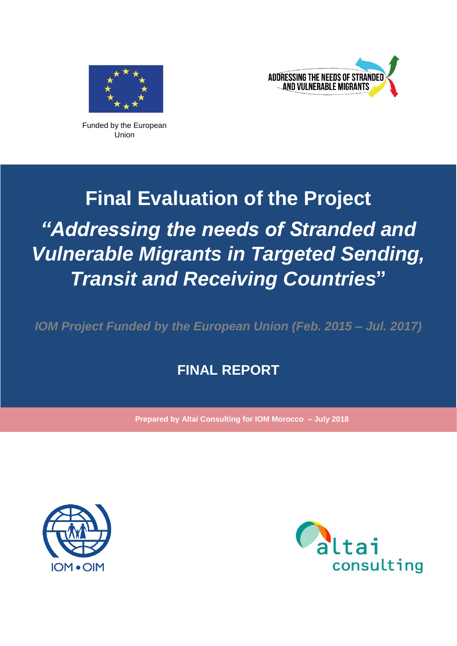



Funded by the European Union

# **Final Evaluation of the Project** *"Addressing the needs of Stranded and Vulnerable Migrants in Targeted Sending, Transit and Receiving Countries***"**

*IOM Project Funded by the European Union (Feb. 2015 – Jul. 2017)*

## **FINAL REPORT**

**Prepared by Altai Consulting for IOM Morocco – July 2018**



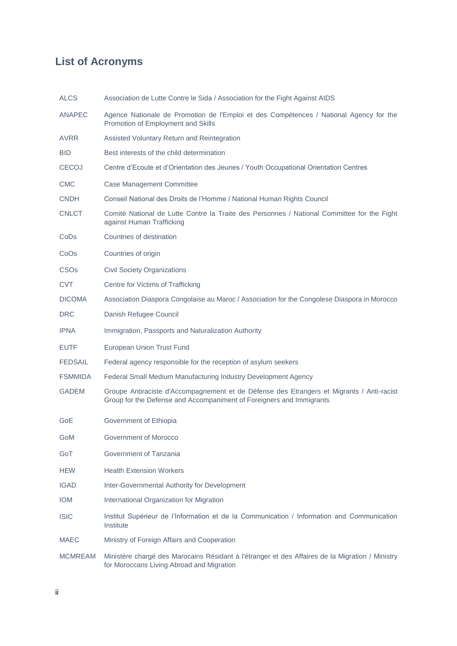## **List of Acronyms**

| <b>ALCS</b>            | Association de Lutte Contre le Sida / Association for the Fight Against AIDS                                                                                      |
|------------------------|-------------------------------------------------------------------------------------------------------------------------------------------------------------------|
| <b>ANAPEC</b>          | Agence Nationale de Promotion de l'Emploi et des Compétences / National Agency for the<br>Promotion of Employment and Skills                                      |
| AVRR                   | Assisted Voluntary Return and Reintegration                                                                                                                       |
| <b>BID</b>             | Best interests of the child determination                                                                                                                         |
| <b>CECOJ</b>           | Centre d'Ecoute et d'Orientation des Jeunes / Youth Occupational Orientation Centres                                                                              |
| <b>CMC</b>             | <b>Case Management Committee</b>                                                                                                                                  |
| <b>CNDH</b>            | Conseil National des Droits de l'Homme / National Human Rights Council                                                                                            |
| <b>CNLCT</b>           | Comité National de Lutte Contre la Traite des Personnes / National Committee for the Fight<br>against Human Trafficking                                           |
| CoDs                   | Countries of destination                                                                                                                                          |
| CoOs                   | Countries of origin                                                                                                                                               |
| <b>CSO<sub>s</sub></b> | <b>Civil Society Organizations</b>                                                                                                                                |
| <b>CVT</b>             | Centre for Victims of Trafficking                                                                                                                                 |
| <b>DICOMA</b>          | Association Diaspora Congolaise au Maroc / Association for the Congolese Diaspora in Morocco                                                                      |
| <b>DRC</b>             | Danish Refugee Council                                                                                                                                            |
| <b>IPNA</b>            | Immigration, Passports and Naturalization Authority                                                                                                               |
| <b>EUTF</b>            | European Union Trust Fund                                                                                                                                         |
| <b>FEDSAIL</b>         | Federal agency responsible for the reception of asylum seekers                                                                                                    |
| <b>FSMMIDA</b>         | Federal Small Medium Manufacturing Industry Development Agency                                                                                                    |
| <b>GADEM</b>           | Groupe Antiraciste d'Accompagnement et de Défense des Etrangers et Migrants / Anti-racist<br>Group for the Defense and Accompaniment of Foreigners and Immigrants |
| GoE                    | Government of Ethiopia                                                                                                                                            |
| GoM                    | Government of Morocco                                                                                                                                             |
| GoT                    | Government of Tanzania                                                                                                                                            |
| <b>HEW</b>             | <b>Health Extension Workers</b>                                                                                                                                   |
| <b>IGAD</b>            | Inter-Governmental Authority for Development                                                                                                                      |
| <b>IOM</b>             | International Organization for Migration                                                                                                                          |
| <b>ISIC</b>            | Institut Supérieur de l'Information et de la Communication / Information and Communication<br>Institute                                                           |
| <b>MAEC</b>            | Ministry of Foreign Affairs and Cooperation                                                                                                                       |
| <b>MCMREAM</b>         | Ministère chargé des Marocains Résidant à l'étranger et des Affaires de la Migration / Ministry<br>for Moroccans Living Abroad and Migration                      |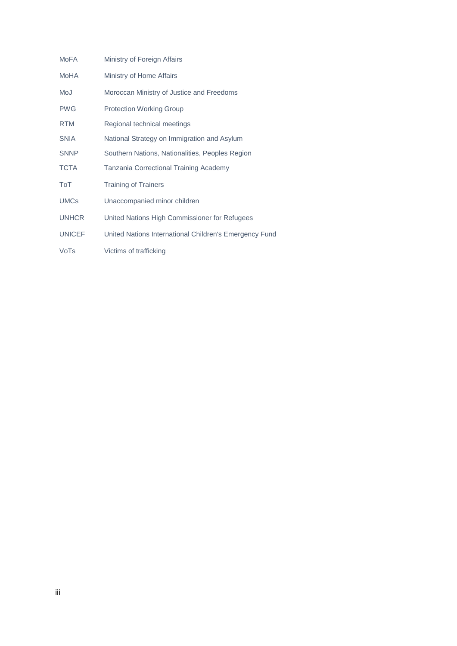| <b>MoFA</b>   | Ministry of Foreign Affairs                            |
|---------------|--------------------------------------------------------|
| MoHA          | Ministry of Home Affairs                               |
| MoJ           | Moroccan Ministry of Justice and Freedoms              |
| <b>PWG</b>    | <b>Protection Working Group</b>                        |
| <b>RTM</b>    | Regional technical meetings                            |
| <b>SNIA</b>   | National Strategy on Immigration and Asylum            |
| <b>SNNP</b>   | Southern Nations, Nationalities, Peoples Region        |
| <b>TCTA</b>   | Tanzania Correctional Training Academy                 |
| ToT           | <b>Training of Trainers</b>                            |
| <b>UMCs</b>   | Unaccompanied minor children                           |
| <b>UNHCR</b>  | United Nations High Commissioner for Refugees          |
| <b>UNICEF</b> | United Nations International Children's Emergency Fund |
| VoTs          | Victims of trafficking                                 |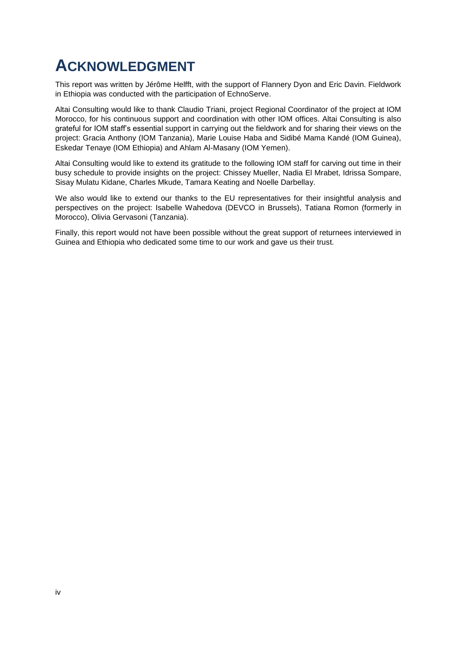# <span id="page-3-0"></span>**ACKNOWLEDGMENT**

This report was written by Jérôme Helfft, with the support of Flannery Dyon and Eric Davin. Fieldwork in Ethiopia was conducted with the participation of EchnoServe.

Altai Consulting would like to thank Claudio Triani, project Regional Coordinator of the project at IOM Morocco, for his continuous support and coordination with other IOM offices. Altai Consulting is also grateful for IOM staff's essential support in carrying out the fieldwork and for sharing their views on the project: Gracia Anthony (IOM Tanzania), Marie Louise Haba and Sidibé Mama Kandé (IOM Guinea), Eskedar Tenaye (IOM Ethiopia) and Ahlam Al-Masany (IOM Yemen).

Altai Consulting would like to extend its gratitude to the following IOM staff for carving out time in their busy schedule to provide insights on the project: Chissey Mueller, Nadia El Mrabet, Idrissa Sompare, Sisay Mulatu Kidane, Charles Mkude, Tamara Keating and Noelle Darbellay.

We also would like to extend our thanks to the EU representatives for their insightful analysis and perspectives on the project: Isabelle Wahedova (DEVCO in Brussels), Tatiana Romon (formerly in Morocco), Olivia Gervasoni (Tanzania).

Finally, this report would not have been possible without the great support of returnees interviewed in Guinea and Ethiopia who dedicated some time to our work and gave us their trust.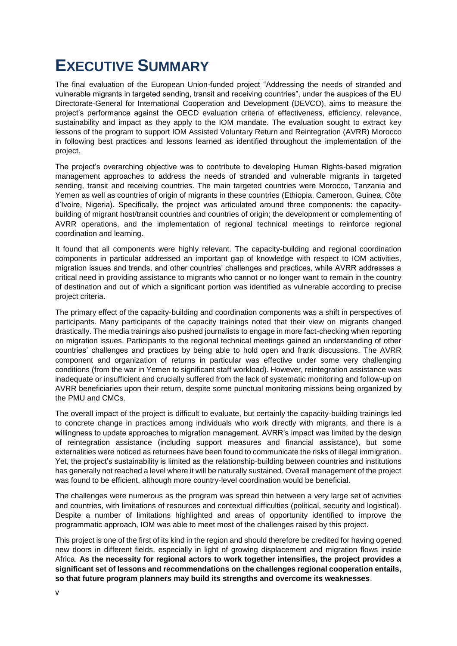# <span id="page-4-0"></span>**EXECUTIVE SUMMARY**

The final evaluation of the European Union-funded project "Addressing the needs of stranded and vulnerable migrants in targeted sending, transit and receiving countries", under the auspices of the EU Directorate-General for International Cooperation and Development (DEVCO), aims to measure the project's performance against the OECD evaluation criteria of effectiveness, efficiency, relevance, sustainability and impact as they apply to the IOM mandate. The evaluation sought to extract key lessons of the program to support IOM Assisted Voluntary Return and Reintegration (AVRR) Morocco in following best practices and lessons learned as identified throughout the implementation of the project.

The project's overarching objective was to contribute to developing Human Rights-based migration management approaches to address the needs of stranded and vulnerable migrants in targeted sending, transit and receiving countries. The main targeted countries were Morocco, Tanzania and Yemen as well as countries of origin of migrants in these countries (Ethiopia, Cameroon, Guinea, Côte d'Ivoire, Nigeria). Specifically, the project was articulated around three components: the capacitybuilding of migrant host/transit countries and countries of origin; the development or complementing of AVRR operations, and the implementation of regional technical meetings to reinforce regional coordination and learning.

It found that all components were highly relevant. The capacity-building and regional coordination components in particular addressed an important gap of knowledge with respect to IOM activities, migration issues and trends, and other countries' challenges and practices, while AVRR addresses a critical need in providing assistance to migrants who cannot or no longer want to remain in the country of destination and out of which a significant portion was identified as vulnerable according to precise project criteria.

The primary effect of the capacity-building and coordination components was a shift in perspectives of participants. Many participants of the capacity trainings noted that their view on migrants changed drastically. The media trainings also pushed journalists to engage in more fact-checking when reporting on migration issues. Participants to the regional technical meetings gained an understanding of other countries' challenges and practices by being able to hold open and frank discussions. The AVRR component and organization of returns in particular was effective under some very challenging conditions (from the war in Yemen to significant staff workload). However, reintegration assistance was inadequate or insufficient and crucially suffered from the lack of systematic monitoring and follow-up on AVRR beneficiaries upon their return, despite some punctual monitoring missions being organized by the PMU and CMCs.

The overall impact of the project is difficult to evaluate, but certainly the capacity-building trainings led to concrete change in practices among individuals who work directly with migrants, and there is a willingness to update approaches to migration management. AVRR's impact was limited by the design of reintegration assistance (including support measures and financial assistance), but some externalities were noticed as returnees have been found to communicate the risks of illegal immigration. Yet, the project's sustainability is limited as the relationship-building between countries and institutions has generally not reached a level where it will be naturally sustained. Overall management of the project was found to be efficient, although more country-level coordination would be beneficial.

The challenges were numerous as the program was spread thin between a very large set of activities and countries, with limitations of resources and contextual difficulties (political, security and logistical). Despite a number of limitations highlighted and areas of opportunity identified to improve the programmatic approach, IOM was able to meet most of the challenges raised by this project.

This project is one of the first of its kind in the region and should therefore be credited for having opened new doors in different fields, especially in light of growing displacement and migration flows inside Africa. **As the necessity for regional actors to work together intensifies, the project provides a significant set of lessons and recommendations on the challenges regional cooperation entails, so that future program planners may build its strengths and overcome its weaknesses**.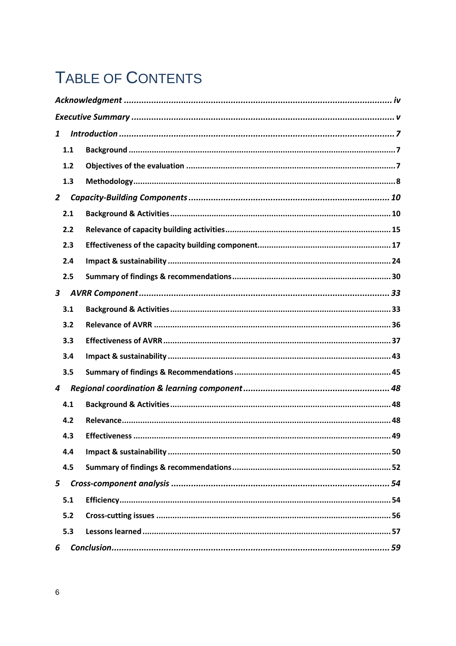# TABLE OF CONTENTS

| $\mathbf{1}$   |  |  |  |
|----------------|--|--|--|
| 1.1            |  |  |  |
| 1.2            |  |  |  |
| 1.3            |  |  |  |
| $\overline{2}$ |  |  |  |
| 2.1            |  |  |  |
| 2.2            |  |  |  |
| 2.3            |  |  |  |
| 2.4            |  |  |  |
| 2.5            |  |  |  |
| $\mathbf{3}$   |  |  |  |
| 3.1            |  |  |  |
| 3.2            |  |  |  |
| 3.3            |  |  |  |
| 3.4            |  |  |  |
| 3.5            |  |  |  |
| 4              |  |  |  |
| 4.1            |  |  |  |
| 4.2            |  |  |  |
| 4.3            |  |  |  |
| 4.4            |  |  |  |
| 4.5            |  |  |  |
| 5              |  |  |  |
| 5.1            |  |  |  |
| 5.2            |  |  |  |
| 5.3            |  |  |  |
| 6              |  |  |  |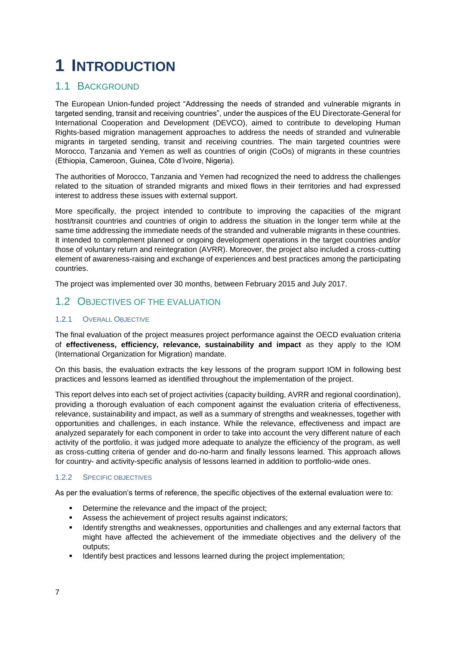# <span id="page-6-0"></span>**1 INTRODUCTION**

### <span id="page-6-1"></span>1.1 BACKGROUND

The European Union-funded project "Addressing the needs of stranded and vulnerable migrants in targeted sending, transit and receiving countries", under the auspices of the EU Directorate-General for International Cooperation and Development (DEVCO), aimed to contribute to developing Human Rights-based migration management approaches to address the needs of stranded and vulnerable migrants in targeted sending, transit and receiving countries. The main targeted countries were Morocco, Tanzania and Yemen as well as countries of origin (CoOs) of migrants in these countries (Ethiopia, Cameroon, Guinea, Côte d'Ivoire, Nigeria).

The authorities of Morocco, Tanzania and Yemen had recognized the need to address the challenges related to the situation of stranded migrants and mixed flows in their territories and had expressed interest to address these issues with external support.

More specifically, the project intended to contribute to improving the capacities of the migrant host/transit countries and countries of origin to address the situation in the longer term while at the same time addressing the immediate needs of the stranded and vulnerable migrants in these countries. It intended to complement planned or ongoing development operations in the target countries and/or those of voluntary return and reintegration (AVRR). Moreover, the project also included a cross-cutting element of awareness-raising and exchange of experiences and best practices among the participating countries.

The project was implemented over 30 months, between February 2015 and July 2017.

### <span id="page-6-2"></span>1.2 OBJECTIVES OF THE EVALUATION

### 1.2.1 OVERALL OBJECTIVE

The final evaluation of the project measures project performance against the OECD evaluation criteria of **effectiveness, efficiency, relevance, sustainability and impact** as they apply to the IOM (International Organization for Migration) mandate.

On this basis, the evaluation extracts the key lessons of the program support IOM in following best practices and lessons learned as identified throughout the implementation of the project.

This report delves into each set of project activities (capacity building, AVRR and regional coordination), providing a thorough evaluation of each component against the evaluation criteria of effectiveness, relevance, sustainability and impact, as well as a summary of strengths and weaknesses, together with opportunities and challenges, in each instance. While the relevance, effectiveness and impact are analyzed separately for each component in order to take into account the very different nature of each activity of the portfolio, it was judged more adequate to analyze the efficiency of the program, as well as cross-cutting criteria of gender and do-no-harm and finally lessons learned. This approach allows for country- and activity-specific analysis of lessons learned in addition to portfolio-wide ones.

#### 1.2.2 SPECIFIC OBJECTIVES

As per the evaluation's terms of reference, the specific objectives of the external evaluation were to:

- Determine the relevance and the impact of the project;
- Assess the achievement of project results against indicators;
- **■** Identify strengths and weaknesses, opportunities and challenges and any external factors that might have affected the achievement of the immediate objectives and the delivery of the outputs;
- Identify best practices and lessons learned during the project implementation;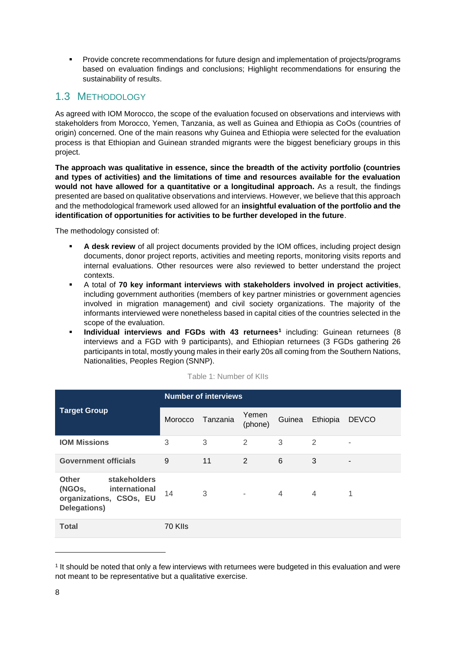**• Provide concrete recommendations for future design and implementation of projects/programs** based on evaluation findings and conclusions; Highlight recommendations for ensuring the sustainability of results.

### <span id="page-7-0"></span>1.3 METHODOLOGY

As agreed with IOM Morocco, the scope of the evaluation focused on observations and interviews with stakeholders from Morocco, Yemen, Tanzania, as well as Guinea and Ethiopia as CoOs (countries of origin) concerned. One of the main reasons why Guinea and Ethiopia were selected for the evaluation process is that Ethiopian and Guinean stranded migrants were the biggest beneficiary groups in this project.

**The approach was qualitative in essence, since the breadth of the activity portfolio (countries and types of activities) and the limitations of time and resources available for the evaluation would not have allowed for a quantitative or a longitudinal approach.** As a result, the findings presented are based on qualitative observations and interviews. However, we believe that this approach and the methodological framework used allowed for an **insightful evaluation of the portfolio and the identification of opportunities for activities to be further developed in the future**.

The methodology consisted of:

- **A desk review** of all project documents provided by the IOM offices, including project design documents, donor project reports, activities and meeting reports, monitoring visits reports and internal evaluations. Other resources were also reviewed to better understand the project contexts.
- A total of **70 key informant interviews with stakeholders involved in project activities**, including government authorities (members of key partner ministries or government agencies involved in migration management) and civil society organizations. The majority of the informants interviewed were nonetheless based in capital cities of the countries selected in the scope of the evaluation.
- **Individual interviews and FGDs with 43 returnees<sup>1</sup> including: Guinean returnees (8)** interviews and a FGD with 9 participants), and Ethiopian returnees (3 FGDs gathering 26 participants in total, mostly young males in their early 20s all coming from the Southern Nations, Nationalities, Peoples Region (SNNP).

|                                                                                                    | <b>Number of interviews</b> |          |                  |                |                |              |
|----------------------------------------------------------------------------------------------------|-----------------------------|----------|------------------|----------------|----------------|--------------|
| <b>Target Group</b>                                                                                | Morocco                     | Tanzania | Yemen<br>(phone) | Guinea         | Ethiopia       | <b>DEVCO</b> |
| <b>IOM Missions</b>                                                                                | 3                           | 3        | $\mathfrak{D}$   | 3              | 2              | ۰            |
| <b>Government officials</b>                                                                        | 9                           | 11       | 2                | 6              | 3              |              |
| stakeholders<br><b>Other</b><br>(NGOs,<br>international<br>organizations, CSOs, EU<br>Delegations) | 14                          | 3        | ٠                | $\overline{4}$ | $\overline{4}$ | 1            |
| <b>Total</b>                                                                                       | 70 KIIs                     |          |                  |                |                |              |

Table 1: Number of KIIs

<sup>1</sup> It should be noted that only a few interviews with returnees were budgeted in this evaluation and were not meant to be representative but a qualitative exercise.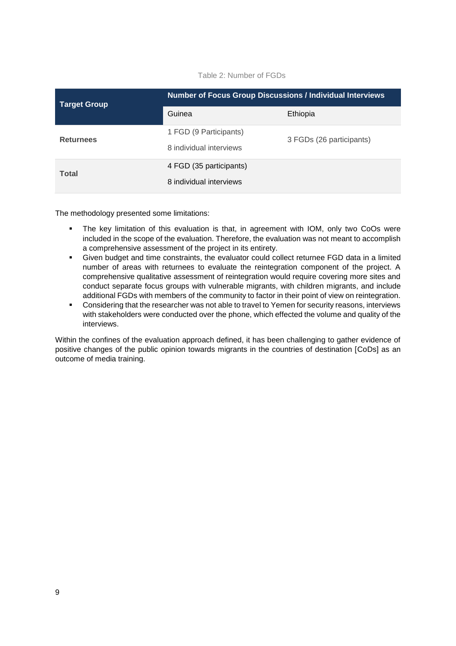Table 2: Number of FGDs

| <b>Target Group</b> | <b>Number of Focus Group Discussions / Individual Interviews</b> |                          |  |  |
|---------------------|------------------------------------------------------------------|--------------------------|--|--|
|                     | Guinea                                                           | Ethiopia                 |  |  |
| <b>Returnees</b>    | 1 FGD (9 Participants)<br>8 individual interviews                | 3 FGDs (26 participants) |  |  |
| <b>Total</b>        | 4 FGD (35 participants)<br>8 individual interviews               |                          |  |  |

The methodology presented some limitations:

- The key limitation of this evaluation is that, in agreement with IOM, only two CoOs were included in the scope of the evaluation. Therefore, the evaluation was not meant to accomplish a comprehensive assessment of the project in its entirety.
- Given budget and time constraints, the evaluator could collect returnee FGD data in a limited number of areas with returnees to evaluate the reintegration component of the project. A comprehensive qualitative assessment of reintegration would require covering more sites and conduct separate focus groups with vulnerable migrants, with children migrants, and include additional FGDs with members of the community to factor in their point of view on reintegration.
- **•** Considering that the researcher was not able to travel to Yemen for security reasons, interviews with stakeholders were conducted over the phone, which effected the volume and quality of the interviews.

Within the confines of the evaluation approach defined, it has been challenging to gather evidence of positive changes of the public opinion towards migrants in the countries of destination [CoDs] as an outcome of media training.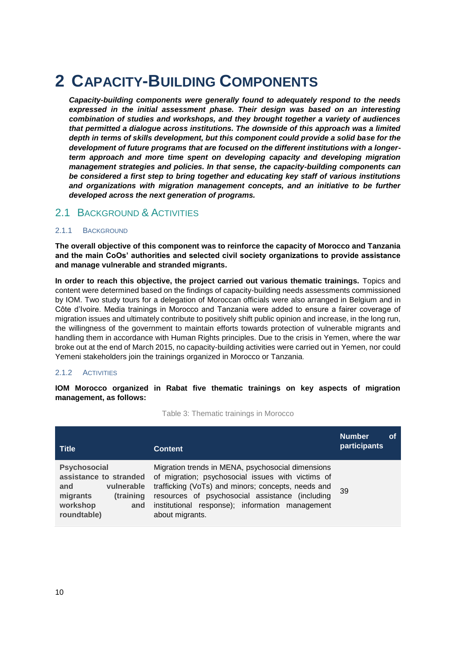## <span id="page-9-0"></span>**2 CAPACITY-BUILDING COMPONENTS**

*Capacity-building components were generally found to adequately respond to the needs expressed in the initial assessment phase. Their design was based on an interesting combination of studies and workshops, and they brought together a variety of audiences that permitted a dialogue across institutions. The downside of this approach was a limited depth in terms of skills development, but this component could provide a solid base for the development of future programs that are focused on the different institutions with a longerterm approach and more time spent on developing capacity and developing migration management strategies and policies. In that sense, the capacity-building components can be considered a first step to bring together and educating key staff of various institutions and organizations with migration management concepts, and an initiative to be further developed across the next generation of programs.*

### <span id="page-9-1"></span>2.1 BACKGROUND & ACTIVITIES

#### 2.1.1 BACKGROUND

**The overall objective of this component was to reinforce the capacity of Morocco and Tanzania and the main CoOs' authorities and selected civil society organizations to provide assistance and manage vulnerable and stranded migrants.** 

**In order to reach this objective, the project carried out various thematic trainings.** Topics and content were determined based on the findings of capacity-building needs assessments commissioned by IOM. Two study tours for a delegation of Moroccan officials were also arranged in Belgium and in Côte d'Ivoire. Media trainings in Morocco and Tanzania were added to ensure a fairer coverage of migration issues and ultimately contribute to positively shift public opinion and increase, in the long run, the willingness of the government to maintain efforts towards protection of vulnerable migrants and handling them in accordance with Human Rights principles. Due to the crisis in Yemen, where the war broke out at the end of March 2015, no capacity-building activities were carried out in Yemen, nor could Yemeni stakeholders join the trainings organized in Morocco or Tanzania.

#### 2.1.2 ACTIVITIES

**IOM Morocco organized in Rabat five thematic trainings on key aspects of migration management, as follows:**

**Title Content Number of participants Psychosocial assistance to stranded and vulnerable migrants (training workshop and roundtable)** Migration trends in MENA, psychosocial dimensions of migration; psychosocial issues with victims of trafficking (VoTs) and minors; concepts, needs and resources of psychosocial assistance (including institutional response); information management about migrants. 39

Table 3: Thematic trainings in Morocco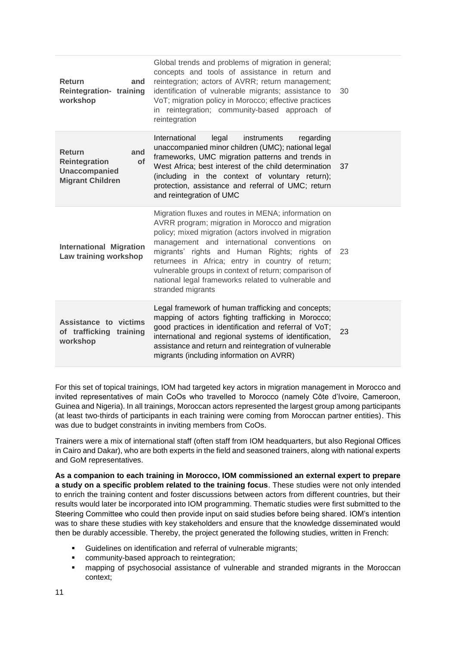| <b>Return</b><br>and<br>Reintegration- training<br>workshop                                           | Global trends and problems of migration in general;<br>concepts and tools of assistance in return and<br>reintegration; actors of AVRR; return management;<br>identification of vulnerable migrants; assistance to<br>VoT; migration policy in Morocco; effective practices<br>in reintegration; community-based approach of<br>reintegration                                                                                                            | 30 |
|-------------------------------------------------------------------------------------------------------|----------------------------------------------------------------------------------------------------------------------------------------------------------------------------------------------------------------------------------------------------------------------------------------------------------------------------------------------------------------------------------------------------------------------------------------------------------|----|
| <b>Return</b><br>and<br>Reintegration<br><b>of</b><br><b>Unaccompanied</b><br><b>Migrant Children</b> | International<br>instruments<br>regarding<br>legal<br>unaccompanied minor children (UMC); national legal<br>frameworks, UMC migration patterns and trends in<br>West Africa; best interest of the child determination<br>(including in the context of voluntary return);<br>protection, assistance and referral of UMC; return<br>and reintegration of UMC                                                                                               | 37 |
| <b>International Migration</b><br>Law training workshop                                               | Migration fluxes and routes in MENA; information on<br>AVRR program; migration in Morocco and migration<br>policy; mixed migration (actors involved in migration<br>management and international conventions on<br>migrants' rights and Human Rights; rights of<br>returnees in Africa; entry in country of return;<br>vulnerable groups in context of return; comparison of<br>national legal frameworks related to vulnerable and<br>stranded migrants | 23 |
| Assistance to victims<br>of trafficking<br>training<br>workshop                                       | Legal framework of human trafficking and concepts;<br>mapping of actors fighting trafficking in Morocco;<br>good practices in identification and referral of VoT;<br>international and regional systems of identification,<br>assistance and return and reintegration of vulnerable<br>migrants (including information on AVRR)                                                                                                                          | 23 |

For this set of topical trainings, IOM had targeted key actors in migration management in Morocco and invited representatives of main CoOs who travelled to Morocco (namely Côte d'Ivoire, Cameroon, Guinea and Nigeria). In all trainings, Moroccan actors represented the largest group among participants (at least two-thirds of participants in each training were coming from Moroccan partner entities). This was due to budget constraints in inviting members from CoOs.

Trainers were a mix of international staff (often staff from IOM headquarters, but also Regional Offices in Cairo and Dakar), who are both experts in the field and seasoned trainers, along with national experts and GoM representatives.

**As a companion to each training in Morocco, IOM commissioned an external expert to prepare a study on a specific problem related to the training focus**. These studies were not only intended to enrich the training content and foster discussions between actors from different countries, but their results would later be incorporated into IOM programming. Thematic studies were first submitted to the Steering Committee who could then provide input on said studies before being shared. IOM's intention was to share these studies with key stakeholders and ensure that the knowledge disseminated would then be durably accessible. Thereby, the project generated the following studies, written in French:

- Guidelines on identification and referral of vulnerable migrants;
- community-based approach to reintegration;
- mapping of psychosocial assistance of vulnerable and stranded migrants in the Moroccan context;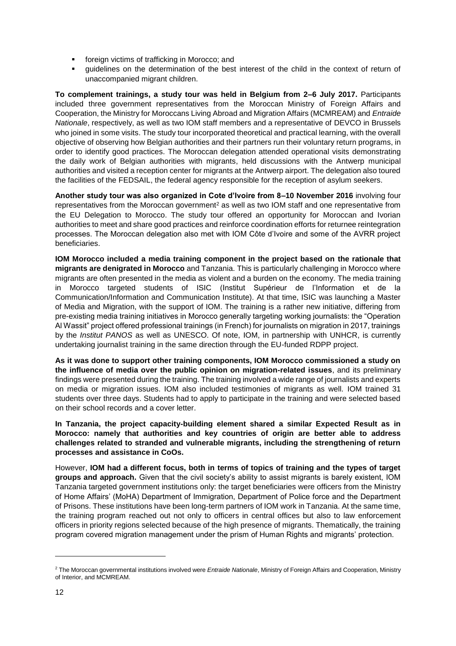- foreign victims of trafficking in Morocco; and
- guidelines on the determination of the best interest of the child in the context of return of unaccompanied migrant children.

**To complement trainings, a study tour was held in Belgium from 2–6 July 2017.** Participants included three government representatives from the Moroccan Ministry of Foreign Affairs and Cooperation, the Ministry for Moroccans Living Abroad and Migration Affairs (MCMREAM) and *Entraide Nationale*, respectively, as well as two IOM staff members and a representative of DEVCO in Brussels who joined in some visits. The study tour incorporated theoretical and practical learning, with the overall objective of observing how Belgian authorities and their partners run their voluntary return programs, in order to identify good practices. The Moroccan delegation attended operational visits demonstrating the daily work of Belgian authorities with migrants, held discussions with the Antwerp municipal authorities and visited a reception center for migrants at the Antwerp airport. The delegation also toured the facilities of the FEDSAIL, the federal agency responsible for the reception of asylum seekers.

**Another study tour was also organized in Cote d'Ivoire from 8–10 November 2016** involving four representatives from the Moroccan government<sup>2</sup> as well as two IOM staff and one representative from the EU Delegation to Morocco. The study tour offered an opportunity for Moroccan and Ivorian authorities to meet and share good practices and reinforce coordination efforts for returnee reintegration processes. The Moroccan delegation also met with IOM Côte d'Ivoire and some of the AVRR project beneficiaries.

**IOM Morocco included a media training component in the project based on the rationale that migrants are denigrated in Morocco** and Tanzania. This is particularly challenging in Morocco where migrants are often presented in the media as violent and a burden on the economy. The media training in Morocco targeted students of ISIC (Institut Supérieur de l'Information et de la Communication/Information and Communication Institute). At that time, ISIC was launching a Master of Media and Migration, with the support of IOM. The training is a rather new initiative, differing from pre-existing media training initiatives in Morocco generally targeting working journalists: the "Operation Al Wassit" project offered professional trainings (in French) for journalists on migration in 2017, trainings by the *Institut PANOS* as well as UNESCO. Of note, IOM, in partnership with UNHCR, is currently undertaking journalist training in the same direction through the EU-funded RDPP project.

**As it was done to support other training components, IOM Morocco commissioned a study on the influence of media over the public opinion on migration-related issues**, and its preliminary findings were presented during the training. The training involved a wide range of journalists and experts on media or migration issues. IOM also included testimonies of migrants as well. IOM trained 31 students over three days. Students had to apply to participate in the training and were selected based on their school records and a cover letter.

**In Tanzania, the project capacity-building element shared a similar Expected Result as in Morocco: namely that authorities and key countries of origin are better able to address challenges related to stranded and vulnerable migrants, including the strengthening of return processes and assistance in CoOs.**

However, **IOM had a different focus, both in terms of topics of training and the types of target groups and approach.** Given that the civil society's ability to assist migrants is barely existent, IOM Tanzania targeted government institutions only: the target beneficiaries were officers from the Ministry of Home Affairs' (MoHA) Department of Immigration, Department of Police force and the Department of Prisons. These institutions have been long-term partners of IOM work in Tanzania. At the same time, the training program reached out not only to officers in central offices but also to law enforcement officers in priority regions selected because of the high presence of migrants. Thematically, the training program covered migration management under the prism of Human Rights and migrants' protection.

<sup>2</sup> The Moroccan governmental institutions involved were *Entraide Nationale*, Ministry of Foreign Affairs and Cooperation, Ministry of Interior, and MCMREAM.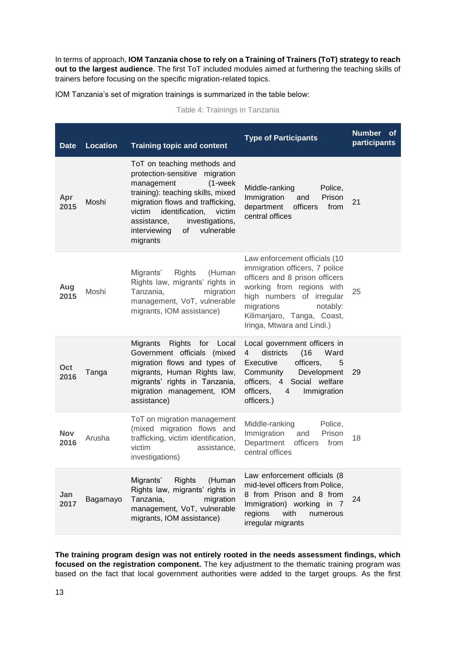In terms of approach, **IOM Tanzania chose to rely on a Training of Trainers (ToT) strategy to reach out to the largest audience**. The first ToT included modules aimed at furthering the teaching skills of trainers before focusing on the specific migration-related topics.

IOM Tanzania's set of migration trainings is summarized in the table below:

| Table 4: Trainings in Tanzania |  |
|--------------------------------|--|
|--------------------------------|--|

| <b>Date</b> | <b>Location</b> | <b>Training topic and content</b>                                                                                                                                                                                                                                                             | <b>Type of Participants</b>                                                                                                                                                                                                                       | <b>Number</b><br>οf<br>participants |
|-------------|-----------------|-----------------------------------------------------------------------------------------------------------------------------------------------------------------------------------------------------------------------------------------------------------------------------------------------|---------------------------------------------------------------------------------------------------------------------------------------------------------------------------------------------------------------------------------------------------|-------------------------------------|
| Apr<br>2015 | Moshi           | ToT on teaching methods and<br>protection-sensitive migration<br>management<br>$(1$ -week<br>training): teaching skills, mixed<br>migration flows and trafficking,<br>identification,<br>victim<br>victim<br>assistance,<br>investigations,<br>vulnerable<br>interviewing<br>of l<br>migrants | Middle-ranking<br>Police,<br>Immigration<br>Prison<br>and<br>department<br>officers<br>from<br>central offices                                                                                                                                    | 21                                  |
| Aug<br>2015 | Moshi           | <b>Rights</b><br>(Human<br>Migrants'<br>Rights law, migrants' rights in<br>Tanzania,<br>migration<br>management, VoT, vulnerable<br>migrants, IOM assistance)                                                                                                                                 | Law enforcement officials (10<br>immigration officers, 7 police<br>officers and 8 prison officers<br>working from regions with<br>high numbers of irregular<br>migrations<br>notably:<br>Kilimanjaro, Tanga, Coast,<br>Iringa, Mtwara and Lindi.) | 25                                  |
| Oct<br>2016 | Tanga           | Rights for Local<br>Migrants<br>Government officials (mixed<br>migration flows and types of<br>migrants, Human Rights law,<br>migrants' rights in Tanzania,<br>migration management, IOM<br>assistance)                                                                                       | Local government officers in<br>(16)<br>$\overline{4}$<br>districts<br>Ward<br>officers,<br>Executive<br>5<br>Development<br>Community<br>officers,<br>4 Social welfare<br>officers,<br>Immigration<br>4<br>officers.)                            | 29                                  |
| Nov<br>2016 | Arusha          | ToT on migration management<br>(mixed migration flows and<br>trafficking, victim identification,<br>victim<br>assistance,<br>investigations)                                                                                                                                                  | Middle-ranking<br>Police,<br>Immigration<br>and<br>Prison<br>Department<br>officers<br>from<br>central offices                                                                                                                                    | 18                                  |
| Jan<br>2017 | Bagamayo        | Migrants'<br><b>Rights</b><br>(Human<br>Rights law, migrants' rights in<br>Tanzania,<br>migration<br>management, VoT, vulnerable<br>migrants, IOM assistance)                                                                                                                                 | Law enforcement officials (8<br>mid-level officers from Police,<br>8 from Prison and 8 from<br>Immigration) working in 7<br>with<br>regions<br>numerous<br>irregular migrants                                                                     | 24                                  |

**The training program design was not entirely rooted in the needs assessment findings, which focused on the registration component.** The key adjustment to the thematic training program was based on the fact that local government authorities were added to the target groups. As the first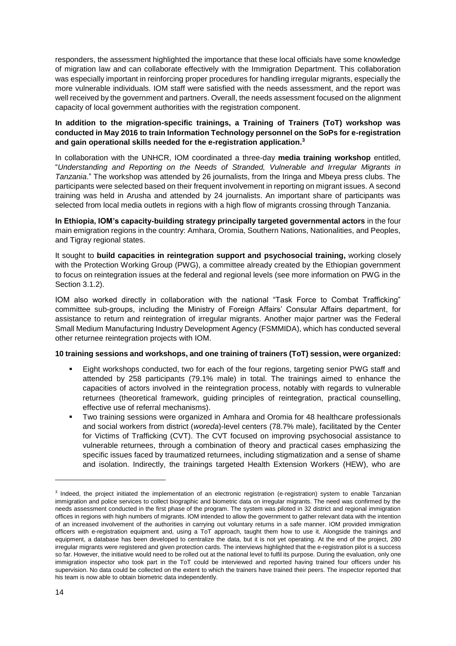responders, the assessment highlighted the importance that these local officials have some knowledge of migration law and can collaborate effectively with the Immigration Department. This collaboration was especially important in reinforcing proper procedures for handling irregular migrants, especially the more vulnerable individuals. IOM staff were satisfied with the needs assessment, and the report was well received by the government and partners. Overall, the needs assessment focused on the alignment capacity of local government authorities with the registration component.

### **In addition to the migration-specific trainings, a Training of Trainers (ToT) workshop was conducted in May 2016 to train Information Technology personnel on the SoPs for e-registration and gain operational skills needed for the e-registration application.<sup>3</sup>**

In collaboration with the UNHCR, IOM coordinated a three-day **media training workshop** entitled, "*Understanding and Reporting on the Needs of Stranded, Vulnerable and Irregular Migrants in Tanzania*." The workshop was attended by 26 journalists, from the Iringa and Mbeya press clubs. The participants were selected based on their frequent involvement in reporting on migrant issues. A second training was held in Arusha and attended by 24 journalists. An important share of participants was selected from local media outlets in regions with a high flow of migrants crossing through Tanzania.

**In Ethiopia, IOM's capacity-building strategy principally targeted governmental actors** in the four main emigration regions in the country: Amhara, Oromia, Southern Nations, Nationalities, and Peoples, and Tigray regional states.

It sought to **build capacities in reintegration support and psychosocial training,** working closely with the Protection Working Group (PWG), a committee already created by the Ethiopian government to focus on reintegration issues at the federal and regional levels (see more information on PWG in the Section 3.1.2).

IOM also worked directly in collaboration with the national "Task Force to Combat Trafficking" committee sub-groups, including the Ministry of Foreign Affairs' Consular Affairs department, for assistance to return and reintegration of irregular migrants. Another major partner was the Federal Small Medium Manufacturing Industry Development Agency (FSMMIDA), which has conducted several other returnee reintegration projects with IOM.

#### **10 training sessions and workshops, and one training of trainers (ToT) session, were organized:**

- Eight workshops conducted, two for each of the four regions, targeting senior PWG staff and attended by 258 participants (79.1% male) in total. The trainings aimed to enhance the capacities of actors involved in the reintegration process, notably with regards to vulnerable returnees (theoretical framework, guiding principles of reintegration, practical counselling, effective use of referral mechanisms).
- Two training sessions were organized in Amhara and Oromia for 48 healthcare professionals and social workers from district (*woreda*)-level centers (78.7% male), facilitated by the Center for Victims of Trafficking (CVT). The CVT focused on improving psychosocial assistance to vulnerable returnees, through a combination of theory and practical cases emphasizing the specific issues faced by traumatized returnees, including stigmatization and a sense of shame and isolation. Indirectly, the trainings targeted Health Extension Workers (HEW), who are

<sup>&</sup>lt;sup>3</sup> Indeed, the project initiated the implementation of an electronic registration (e-registration) system to enable Tanzanian immigration and police services to collect biographic and biometric data on irregular migrants. The need was confirmed by the needs assessment conducted in the first phase of the program. The system was piloted in 32 district and regional immigration offices in regions with high numbers of migrants. IOM intended to allow the government to gather relevant data with the intention of an increased involvement of the authorities in carrying out voluntary returns in a safe manner. IOM provided immigration officers with e-registration equipment and, using a ToT approach, taught them how to use it. Alongside the trainings and equipment, a database has been developed to centralize the data, but it is not yet operating. At the end of the project, 280 irregular migrants were registered and given protection cards. The interviews highlighted that the e-registration pilot is a success so far. However, the initiative would need to be rolled out at the national level to fulfil its purpose. During the evaluation, only one immigration inspector who took part in the ToT could be interviewed and reported having trained four officers under his supervision. No data could be collected on the extent to which the trainers have trained their peers. The inspector reported that his team is now able to obtain biometric data independently.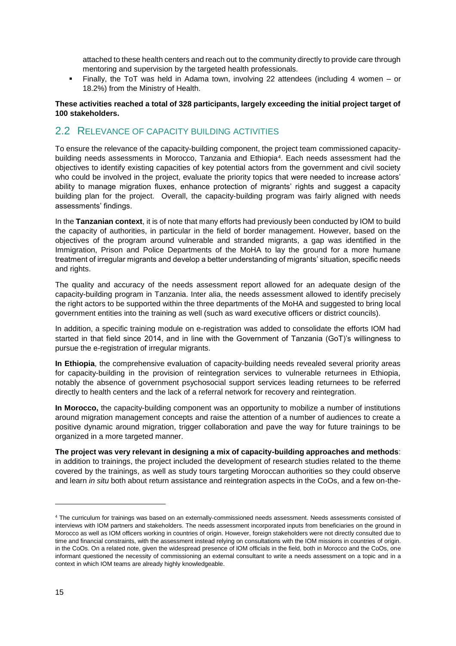attached to these health centers and reach out to the community directly to provide care through mentoring and supervision by the targeted health professionals.

▪ Finally, the ToT was held in Adama town, involving 22 attendees (including 4 women – or 18.2%) from the Ministry of Health.

#### **These activities reached a total of 328 participants, largely exceeding the initial project target of 100 stakeholders.**

### <span id="page-14-0"></span>2.2 RELEVANCE OF CAPACITY BUILDING ACTIVITIES

To ensure the relevance of the capacity-building component, the project team commissioned capacitybuilding needs assessments in Morocco, Tanzania and Ethiopia<sup>4</sup> . Each needs assessment had the objectives to identify existing capacities of key potential actors from the government and civil society who could be involved in the project, evaluate the priority topics that were needed to increase actors' ability to manage migration fluxes, enhance protection of migrants' rights and suggest a capacity building plan for the project. Overall, the capacity-building program was fairly aligned with needs assessments' findings.

In the **Tanzanian context**, it is of note that many efforts had previously been conducted by IOM to build the capacity of authorities, in particular in the field of border management. However, based on the objectives of the program around vulnerable and stranded migrants, a gap was identified in the Immigration, Prison and Police Departments of the MoHA to lay the ground for a more humane treatment of irregular migrants and develop a better understanding of migrants' situation, specific needs and rights.

The quality and accuracy of the needs assessment report allowed for an adequate design of the capacity-building program in Tanzania. Inter alia, the needs assessment allowed to identify precisely the right actors to be supported within the three departments of the MoHA and suggested to bring local government entities into the training as well (such as ward executive officers or district councils).

In addition, a specific training module on e-registration was added to consolidate the efforts IOM had started in that field since 2014, and in line with the Government of Tanzania (GoT)'s willingness to pursue the e-registration of irregular migrants.

**In Ethiopia**, the comprehensive evaluation of capacity-building needs revealed several priority areas for capacity-building in the provision of reintegration services to vulnerable returnees in Ethiopia, notably the absence of government psychosocial support services leading returnees to be referred directly to health centers and the lack of a referral network for recovery and reintegration.

**In Morocco,** the capacity-building component was an opportunity to mobilize a number of institutions around migration management concepts and raise the attention of a number of audiences to create a positive dynamic around migration, trigger collaboration and pave the way for future trainings to be organized in a more targeted manner.

**The project was very relevant in designing a mix of capacity-building approaches and methods**: in addition to trainings, the project included the development of research studies related to the theme covered by the trainings, as well as study tours targeting Moroccan authorities so they could observe and learn *in situ* both about return assistance and reintegration aspects in the CoOs, and a few on-the-

<sup>4</sup> The curriculum for trainings was based on an externally-commissioned needs assessment. Needs assessments consisted of interviews with IOM partners and stakeholders. The needs assessment incorporated inputs from beneficiaries on the ground in Morocco as well as IOM officers working in countries of origin. However, foreign stakeholders were not directly consulted due to time and financial constraints, with the assessment instead relying on consultations with the IOM missions in countries of origin. in the CoOs. On a related note, given the widespread presence of IOM officials in the field, both in Morocco and the CoOs, one informant questioned the necessity of commissioning an external consultant to write a needs assessment on a topic and in a context in which IOM teams are already highly knowledgeable.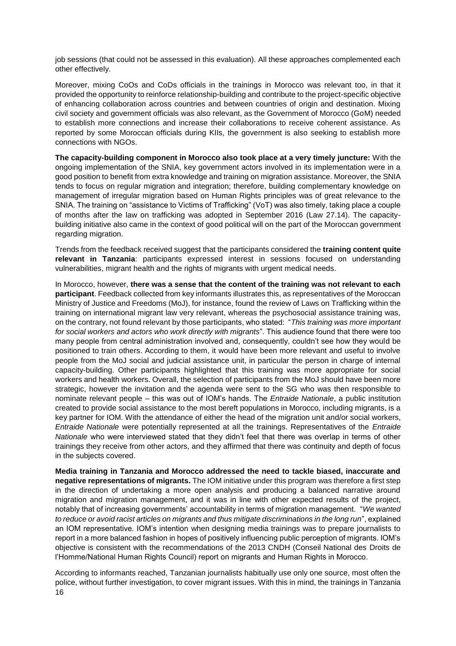job sessions (that could not be assessed in this evaluation). All these approaches complemented each other effectively.

Moreover, mixing CoOs and CoDs officials in the trainings in Morocco was relevant too, in that it provided the opportunity to reinforce relationship-building and contribute to the project-specific objective of enhancing collaboration across countries and between countries of origin and destination. Mixing civil society and government officials was also relevant, as the Government of Morocco (GoM) needed to establish more connections and increase their collaborations to receive coherent assistance. As reported by some Moroccan officials during KIIs, the government is also seeking to establish more connections with NGOs.

**The capacity-building component in Morocco also took place at a very timely juncture:** With the ongoing implementation of the SNIA, key government actors involved in its implementation were in a good position to benefit from extra knowledge and training on migration assistance. Moreover, the SNIA tends to focus on regular migration and integration; therefore, building complementary knowledge on management of irregular migration based on Human Rights principles was of great relevance to the SNIA. The training on "assistance to Victims of Trafficking" (VoT) was also timely, taking place a couple of months after the law on trafficking was adopted in September 2016 (Law 27.14). The capacitybuilding initiative also came in the context of good political will on the part of the Moroccan government regarding migration.

Trends from the feedback received suggest that the participants considered the **training content quite relevant in Tanzania**: participants expressed interest in sessions focused on understanding vulnerabilities, migrant health and the rights of migrants with urgent medical needs.

In Morocco, however, **there was a sense that the content of the training was not relevant to each participant**. Feedback collected from key informants illustrates this, as representatives of the Moroccan Ministry of Justice and Freedoms (MoJ), for instance, found the review of Laws on Trafficking within the training on international migrant law very relevant, whereas the psychosocial assistance training was, on the contrary, not found relevant by those participants, who stated: "*This training was more important for social workers and actors who work directly with migrants*". This audience found that there were too many people from central administration involved and, consequently, couldn't see how they would be positioned to train others. According to them, it would have been more relevant and useful to involve people from the MoJ social and judicial assistance unit, in particular the person in charge of internal capacity-building. Other participants highlighted that this training was more appropriate for social workers and health workers. Overall, the selection of participants from the MoJ should have been more strategic, however the invitation and the agenda were sent to the SG who was then responsible to nominate relevant people – this was out of IOM's hands. The *Entraide Nationale*, a public institution created to provide social assistance to the most bereft populations in Morocco, including migrants, is a key partner for IOM. With the attendance of either the head of the migration unit and/or social workers, *Entraide Nationale* were potentially represented at all the trainings. Representatives of the *Entraide Nationale* who were interviewed stated that they didn't feel that there was overlap in terms of other trainings they receive from other actors, and they affirmed that there was continuity and depth of focus in the subjects covered.

**Media training in Tanzania and Morocco addressed the need to tackle biased, inaccurate and negative representations of migrants.** The IOM initiative under this program was therefore a first step in the direction of undertaking a more open analysis and producing a balanced narrative around migration and migration management, and it was in line with other expected results of the project, notably that of increasing governments' accountability in terms of migration management. "*We wanted to reduce or avoid racist articles on migrants and thus mitigate discriminations in the long run*", explained an IOM representative. IOM's intention when designing media trainings was to prepare journalists to report in a more balanced fashion in hopes of positively influencing public perception of migrants. IOM's objective is consistent with the recommendations of the 2013 CNDH (Conseil National des Droits de l'Homme/National Human Rights Council) report on migrants and Human Rights in Morocco.

16 According to informants reached, Tanzanian journalists habitually use only one source, most often the police, without further investigation, to cover migrant issues. With this in mind, the trainings in Tanzania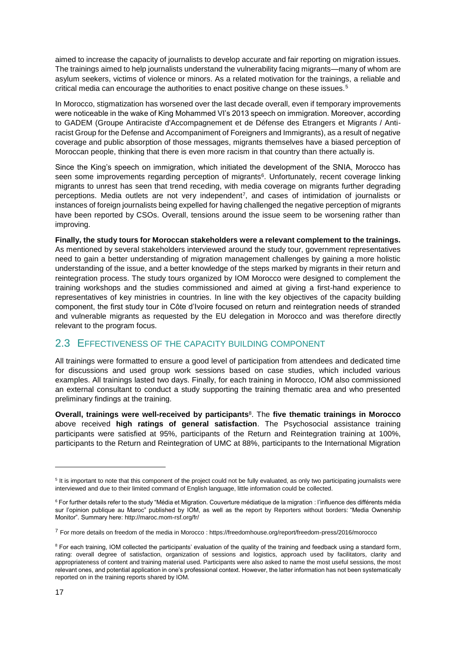aimed to increase the capacity of journalists to develop accurate and fair reporting on migration issues. The trainings aimed to help journalists understand the vulnerability facing migrants—many of whom are asylum seekers, victims of violence or minors. As a related motivation for the trainings, a reliable and critical media can encourage the authorities to enact positive change on these issues.<sup>5</sup>

In Morocco, stigmatization has worsened over the last decade overall, even if temporary improvements were noticeable in the wake of King Mohammed VI's 2013 speech on immigration. Moreover, according to GADEM (Groupe Antiraciste d'Accompagnement et de Défense des Etrangers et Migrants / Antiracist Group for the Defense and Accompaniment of Foreigners and Immigrants), as a result of negative coverage and public absorption of those messages, migrants themselves have a biased perception of Moroccan people, thinking that there is even more racism in that country than there actually is.

Since the King's speech on immigration, which initiated the development of the SNIA, Morocco has seen some improvements regarding perception of migrants<sup>6</sup>. Unfortunately, recent coverage linking migrants to unrest has seen that trend receding, with media coverage on migrants further degrading perceptions. Media outlets are not very independent<sup>7</sup>, and cases of intimidation of journalists or instances of foreign journalists being expelled for having challenged the negative perception of migrants have been reported by CSOs. Overall, tensions around the issue seem to be worsening rather than improving.

**Finally, the study tours for Moroccan stakeholders were a relevant complement to the trainings.** As mentioned by several stakeholders interviewed around the study tour, government representatives need to gain a better understanding of migration management challenges by gaining a more holistic understanding of the issue, and a better knowledge of the steps marked by migrants in their return and reintegration process. The study tours organized by IOM Morocco were designed to complement the training workshops and the studies commissioned and aimed at giving a first-hand experience to representatives of key ministries in countries. In line with the key objectives of the capacity building component, the first study tour in Côte d'Ivoire focused on return and reintegration needs of stranded and vulnerable migrants as requested by the EU delegation in Morocco and was therefore directly relevant to the program focus.

### <span id="page-16-0"></span>2.3 EFFECTIVENESS OF THE CAPACITY BUILDING COMPONENT

All trainings were formatted to ensure a good level of participation from attendees and dedicated time for discussions and used group work sessions based on case studies, which included various examples. All trainings lasted two days. Finally, for each training in Morocco, IOM also commissioned an external consultant to conduct a study supporting the training thematic area and who presented preliminary findings at the training.

**Overall, trainings were well-received by participants**<sup>8</sup> . The **five thematic trainings in Morocco**  above received **high ratings of general satisfaction**. The Psychosocial assistance training participants were satisfied at 95%, participants of the Return and Reintegration training at 100%, participants to the Return and Reintegration of UMC at 88%, participants to the International Migration

<sup>&</sup>lt;sup>5</sup> It is important to note that this component of the project could not be fully evaluated, as only two participating journalists were interviewed and due to their limited command of English language, little information could be collected.

<sup>6</sup> For further details refer to the study "Média et Migration. Couverture médiatique de la migration : l'influence des différents média sur l'opinion publique au Maroc" published by IOM, as well as the report by Reporters without borders: "Media Ownership Monitor". Summary here[: http://maroc.mom-rsf.org/fr/](http://maroc.mom-rsf.org/fr/)

<sup>7</sup> For more details on freedom of the media in Morocco : https://freedomhouse.org/report/freedom-press/2016/morocco

<sup>&</sup>lt;sup>8</sup> For each training, IOM collected the participants' evaluation of the quality of the training and feedback using a standard form, rating: overall degree of satisfaction, organization of sessions and logistics, approach used by facilitators, clarity and appropriateness of content and training material used. Participants were also asked to name the most useful sessions, the most relevant ones, and potential application in one's professional context. However, the latter information has not been systematically reported on in the training reports shared by IOM.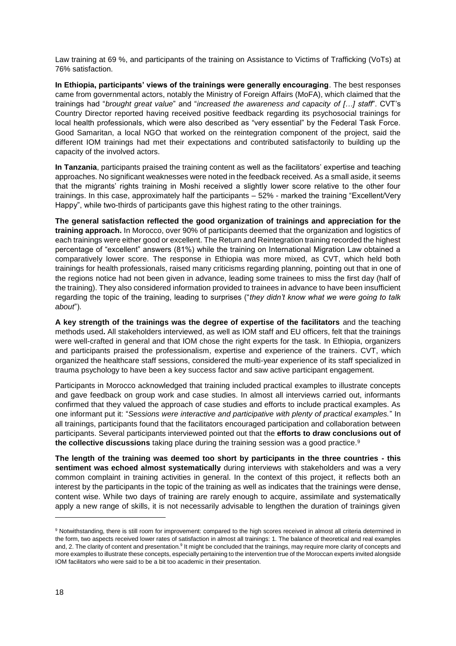Law training at 69 %, and participants of the training on Assistance to Victims of Trafficking (VoTs) at 76% satisfaction.

**In Ethiopia, participants' views of the trainings were generally encouraging**. The best responses came from governmental actors, notably the Ministry of Foreign Affairs (MoFA), which claimed that the trainings had "*brought great value*" and "*increased the awareness and capacity of […] staff*". CVT's Country Director reported having received positive feedback regarding its psychosocial trainings for local health professionals, which were also described as "very essential" by the Federal Task Force. Good Samaritan, a local NGO that worked on the reintegration component of the project, said the different IOM trainings had met their expectations and contributed satisfactorily to building up the capacity of the involved actors.

**In Tanzania**, participants praised the training content as well as the facilitators' expertise and teaching approaches. No significant weaknesses were noted in the feedback received. As a small aside, it seems that the migrants' rights training in Moshi received a slightly lower score relative to the other four trainings. In this case, approximately half the participants – 52% - marked the training "Excellent/Very Happy", while two-thirds of participants gave this highest rating to the other trainings.

**The general satisfaction reflected the good organization of trainings and appreciation for the training approach.** In Morocco, over 90% of participants deemed that the organization and logistics of each trainings were either good or excellent. The Return and Reintegration training recorded the highest percentage of "excellent" answers (81%) while the training on International Migration Law obtained a comparatively lower score. The response in Ethiopia was more mixed, as CVT, which held both trainings for health professionals, raised many criticisms regarding planning, pointing out that in one of the regions notice had not been given in advance, leading some trainees to miss the first day (half of the training). They also considered information provided to trainees in advance to have been insufficient regarding the topic of the training, leading to surprises ("*they didn't know what we were going to talk about*").

**A key strength of the trainings was the degree of expertise of the facilitators** and the teaching methods used**.** All stakeholders interviewed, as well as IOM staff and EU officers, felt that the trainings were well-crafted in general and that IOM chose the right experts for the task. In Ethiopia, organizers and participants praised the professionalism, expertise and experience of the trainers. CVT, which organized the healthcare staff sessions, considered the multi-year experience of its staff specialized in trauma psychology to have been a key success factor and saw active participant engagement.

Participants in Morocco acknowledged that training included practical examples to illustrate concepts and gave feedback on group work and case studies. In almost all interviews carried out, informants confirmed that they valued the approach of case studies and efforts to include practical examples. As one informant put it: "*Sessions were interactive and participative with plenty of practical examples.*" In all trainings, participants found that the facilitators encouraged participation and collaboration between participants. Several participants interviewed pointed out that the **efforts to draw conclusions out of the collective discussions** taking place during the training session was a good practice.<sup>9</sup>

**The length of the training was deemed too short by participants in the three countries - this sentiment was echoed almost systematically** during interviews with stakeholders and was a very common complaint in training activities in general. In the context of this project, it reflects both an interest by the participants in the topic of the training as well as indicates that the trainings were dense, content wise. While two days of training are rarely enough to acquire, assimilate and systematically apply a new range of skills, it is not necessarily advisable to lengthen the duration of trainings given

<sup>&</sup>lt;sup>9</sup> Notwithstanding, there is still room for improvement: compared to the high scores received in almost all criteria determined in the form, two aspects received lower rates of satisfaction in almost all trainings: 1. The balance of theoretical and real examples and, 2. The clarity of content and presentation.<sup>9</sup> It might be concluded that the trainings, may require more clarity of concepts and more examples to illustrate these concepts, especially pertaining to the intervention true of the Moroccan experts invited alongside IOM facilitators who were said to be a bit too academic in their presentation.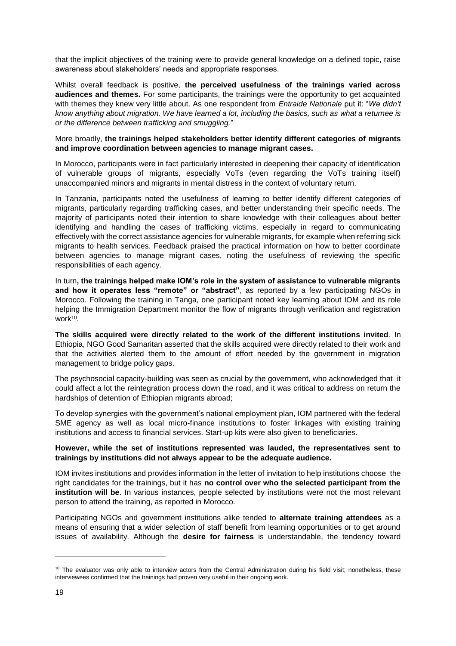that the implicit objectives of the training were to provide general knowledge on a defined topic, raise awareness about stakeholders' needs and appropriate responses.

Whilst overall feedback is positive, **the perceived usefulness of the trainings varied across audiences and themes.** For some participants, the trainings were the opportunity to get acquainted with themes they knew very little about. As one respondent from *Entraide Nationale* put it: "*We didn't know anything about migration. We have learned a lot, including the basics, such as what a returnee is or the difference between trafficking and smuggling.*"

#### More broadly, **the trainings helped stakeholders better identify different categories of migrants and improve coordination between agencies to manage migrant cases.**

In Morocco, participants were in fact particularly interested in deepening their capacity of identification of vulnerable groups of migrants, especially VoTs (even regarding the VoTs training itself) unaccompanied minors and migrants in mental distress in the context of voluntary return.

In Tanzania, participants noted the usefulness of learning to better identify different categories of migrants, particularly regarding trafficking cases, and better understanding their specific needs. The majority of participants noted their intention to share knowledge with their colleagues about better identifying and handling the cases of trafficking victims, especially in regard to communicating effectively with the correct assistance agencies for vulnerable migrants, for example when referring sick migrants to health services. Feedback praised the practical information on how to better coordinate between agencies to manage migrant cases, noting the usefulness of reviewing the specific responsibilities of each agency.

In turn**, the trainings helped make IOM's role in the system of assistance to vulnerable migrants and how it operates less "remote" or "abstract"**, as reported by a few participating NGOs in Morocco. Following the training in Tanga, one participant noted key learning about IOM and its role helping the Immigration Department monitor the flow of migrants through verification and registration work<sup>10</sup>.

**The skills acquired were directly related to the work of the different institutions invited**. In Ethiopia, NGO Good Samaritan asserted that the skills acquired were directly related to their work and that the activities alerted them to the amount of effort needed by the government in migration management to bridge policy gaps.

The psychosocial capacity-building was seen as crucial by the government, who acknowledged that it could affect a lot the reintegration process down the road, and it was critical to address on return the hardships of detention of Ethiopian migrants abroad;

To develop synergies with the government's national employment plan, IOM partnered with the federal SME agency as well as local micro-finance institutions to foster linkages with existing training institutions and access to financial services. Start-up kits were also given to beneficiaries.

#### **However, while the set of institutions represented was lauded, the representatives sent to trainings by institutions did not always appear to be the adequate audience.**

IOM invites institutions and provides information in the letter of invitation to help institutions choose the right candidates for the trainings, but it has **no control over who the selected participant from the institution will be**. In various instances, people selected by institutions were not the most relevant person to attend the training, as reported in Morocco.

Participating NGOs and government institutions alike tended to **alternate training attendees** as a means of ensuring that a wider selection of staff benefit from learning opportunities or to get around issues of availability. Although the **desire for fairness** is understandable, the tendency toward

<sup>&</sup>lt;sup>10</sup> The evaluator was only able to interview actors from the Central Administration during his field visit; nonetheless, these interviewees confirmed that the trainings had proven very useful in their ongoing work.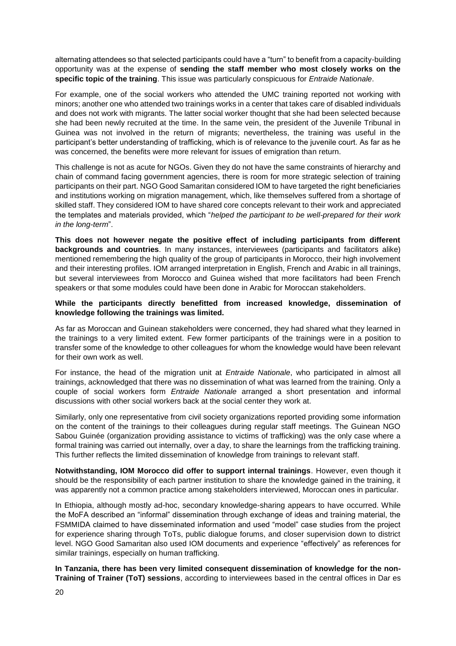alternating attendees so that selected participants could have a "turn" to benefit from a capacity-building opportunity was at the expense of **sending the staff member who most closely works on the specific topic of the training**. This issue was particularly conspicuous for *Entraide Nationale*.

For example, one of the social workers who attended the UMC training reported not working with minors; another one who attended two trainings works in a center that takes care of disabled individuals and does not work with migrants. The latter social worker thought that she had been selected because she had been newly recruited at the time. In the same vein, the president of the Juvenile Tribunal in Guinea was not involved in the return of migrants; nevertheless, the training was useful in the participant's better understanding of trafficking, which is of relevance to the juvenile court. As far as he was concerned, the benefits were more relevant for issues of emigration than return.

This challenge is not as acute for NGOs. Given they do not have the same constraints of hierarchy and chain of command facing government agencies, there is room for more strategic selection of training participants on their part. NGO Good Samaritan considered IOM to have targeted the right beneficiaries and institutions working on migration management, which, like themselves suffered from a shortage of skilled staff. They considered IOM to have shared core concepts relevant to their work and appreciated the templates and materials provided, which "*helped the participant to be well-prepared for their work in the long-term*".

**This does not however negate the positive effect of including participants from different backgrounds and countries**. In many instances, interviewees (participants and facilitators alike) mentioned remembering the high quality of the group of participants in Morocco, their high involvement and their interesting profiles. IOM arranged interpretation in English, French and Arabic in all trainings, but several interviewees from Morocco and Guinea wished that more facilitators had been French speakers or that some modules could have been done in Arabic for Moroccan stakeholders.

#### **While the participants directly benefitted from increased knowledge, dissemination of knowledge following the trainings was limited.**

As far as Moroccan and Guinean stakeholders were concerned, they had shared what they learned in the trainings to a very limited extent. Few former participants of the trainings were in a position to transfer some of the knowledge to other colleagues for whom the knowledge would have been relevant for their own work as well.

For instance, the head of the migration unit at *Entraide Nationale*, who participated in almost all trainings, acknowledged that there was no dissemination of what was learned from the training. Only a couple of social workers form *Entraide Nationale* arranged a short presentation and informal discussions with other social workers back at the social center they work at.

Similarly, only one representative from civil society organizations reported providing some information on the content of the trainings to their colleagues during regular staff meetings. The Guinean NGO Sabou Guinée (organization providing assistance to victims of trafficking) was the only case where a formal training was carried out internally, over a day, to share the learnings from the trafficking training. This further reflects the limited dissemination of knowledge from trainings to relevant staff.

**Notwithstanding, IOM Morocco did offer to support internal trainings**. However, even though it should be the responsibility of each partner institution to share the knowledge gained in the training, it was apparently not a common practice among stakeholders interviewed, Moroccan ones in particular.

In Ethiopia, although mostly ad-hoc, secondary knowledge-sharing appears to have occurred. While the MoFA described an "informal" dissemination through exchange of ideas and training material, the FSMMIDA claimed to have disseminated information and used "model" case studies from the project for experience sharing through ToTs, public dialogue forums, and closer supervision down to district level. NGO Good Samaritan also used IOM documents and experience "effectively" as references for similar trainings, especially on human trafficking.

**In Tanzania, there has been very limited consequent dissemination of knowledge for the non-Training of Trainer (ToT) sessions**, according to interviewees based in the central offices in Dar es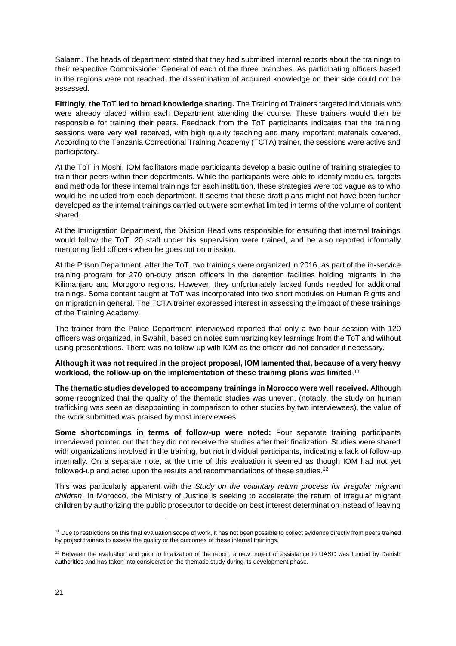Salaam. The heads of department stated that they had submitted internal reports about the trainings to their respective Commissioner General of each of the three branches. As participating officers based in the regions were not reached, the dissemination of acquired knowledge on their side could not be assessed.

**Fittingly, the ToT led to broad knowledge sharing.** The Training of Trainers targeted individuals who were already placed within each Department attending the course. These trainers would then be responsible for training their peers. Feedback from the ToT participants indicates that the training sessions were very well received, with high quality teaching and many important materials covered. According to the Tanzania Correctional Training Academy (TCTA) trainer, the sessions were active and participatory.

At the ToT in Moshi, IOM facilitators made participants develop a basic outline of training strategies to train their peers within their departments. While the participants were able to identify modules, targets and methods for these internal trainings for each institution, these strategies were too vague as to who would be included from each department. It seems that these draft plans might not have been further developed as the internal trainings carried out were somewhat limited in terms of the volume of content shared.

At the Immigration Department, the Division Head was responsible for ensuring that internal trainings would follow the ToT. 20 staff under his supervision were trained, and he also reported informally mentoring field officers when he goes out on mission.

At the Prison Department, after the ToT, two trainings were organized in 2016, as part of the in-service training program for 270 on-duty prison officers in the detention facilities holding migrants in the Kilimanjaro and Morogoro regions. However, they unfortunately lacked funds needed for additional trainings. Some content taught at ToT was incorporated into two short modules on Human Rights and on migration in general. The TCTA trainer expressed interest in assessing the impact of these trainings of the Training Academy.

The trainer from the Police Department interviewed reported that only a two-hour session with 120 officers was organized, in Swahili, based on notes summarizing key learnings from the ToT and without using presentations. There was no follow-up with IOM as the officer did not consider it necessary.

#### **Although it was not required in the project proposal, IOM lamented that, because of a very heavy workload, the follow-up on the implementation of these training plans was limited**. 11

**The thematic studies developed to accompany trainings in Morocco were well received.** Although some recognized that the quality of the thematic studies was uneven, (notably, the study on human trafficking was seen as disappointing in comparison to other studies by two interviewees), the value of the work submitted was praised by most interviewees.

**Some shortcomings in terms of follow-up were noted:** Four separate training participants interviewed pointed out that they did not receive the studies after their finalization. Studies were shared with organizations involved in the training, but not individual participants, indicating a lack of follow-up internally. On a separate note, at the time of this evaluation it seemed as though IOM had not yet followed-up and acted upon the results and recommendations of these studies.<sup>12</sup>

This was particularly apparent with the *Study on the voluntary return process for irregular migrant children*. In Morocco, the Ministry of Justice is seeking to accelerate the return of irregular migrant children by authorizing the public prosecutor to decide on best interest determination instead of leaving

<sup>&</sup>lt;sup>11</sup> Due to restrictions on this final evaluation scope of work, it has not been possible to collect evidence directly from peers trained by project trainers to assess the quality or the outcomes of these internal trainings.

<sup>&</sup>lt;sup>12</sup> Between the evaluation and prior to finalization of the report, a new project of assistance to UASC was funded by Danish authorities and has taken into consideration the thematic study during its development phase.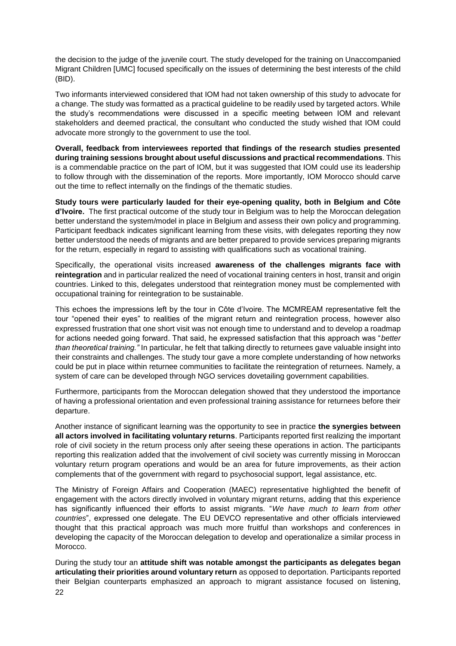the decision to the judge of the juvenile court. The study developed for the training on Unaccompanied Migrant Children [UMC] focused specifically on the issues of determining the best interests of the child (BID).

Two informants interviewed considered that IOM had not taken ownership of this study to advocate for a change. The study was formatted as a practical guideline to be readily used by targeted actors. While the study's recommendations were discussed in a specific meeting between IOM and relevant stakeholders and deemed practical, the consultant who conducted the study wished that IOM could advocate more strongly to the government to use the tool.

**Overall, feedback from interviewees reported that findings of the research studies presented during training sessions brought about useful discussions and practical recommendations**. This is a commendable practice on the part of IOM, but it was suggested that IOM could use its leadership to follow through with the dissemination of the reports. More importantly, IOM Morocco should carve out the time to reflect internally on the findings of the thematic studies.

**Study tours were particularly lauded for their eye-opening quality, both in Belgium and Côte d'Ivoire.** The first practical outcome of the study tour in Belgium was to help the Moroccan delegation better understand the system/model in place in Belgium and assess their own policy and programming. Participant feedback indicates significant learning from these visits, with delegates reporting they now better understood the needs of migrants and are better prepared to provide services preparing migrants for the return, especially in regard to assisting with qualifications such as vocational training.

Specifically, the operational visits increased **awareness of the challenges migrants face with reintegration** and in particular realized the need of vocational training centers in host, transit and origin countries. Linked to this, delegates understood that reintegration money must be complemented with occupational training for reintegration to be sustainable.

This echoes the impressions left by the tour in Côte d'Ivoire. The MCMREAM representative felt the tour "opened their eyes" to realities of the migrant return and reintegration process, however also expressed frustration that one short visit was not enough time to understand and to develop a roadmap for actions needed going forward. That said, he expressed satisfaction that this approach was "*better than theoretical training."* In particular, he felt that talking directly to returnees gave valuable insight into their constraints and challenges. The study tour gave a more complete understanding of how networks could be put in place within returnee communities to facilitate the reintegration of returnees. Namely, a system of care can be developed through NGO services dovetailing government capabilities.

Furthermore, participants from the Moroccan delegation showed that they understood the importance of having a professional orientation and even professional training assistance for returnees before their departure.

Another instance of significant learning was the opportunity to see in practice **the synergies between all actors involved in facilitating voluntary returns**. Participants reported first realizing the important role of civil society in the return process only after seeing these operations in action. The participants reporting this realization added that the involvement of civil society was currently missing in Moroccan voluntary return program operations and would be an area for future improvements, as their action complements that of the government with regard to psychosocial support, legal assistance, etc.

The Ministry of Foreign Affairs and Cooperation (MAEC) representative highlighted the benefit of engagement with the actors directly involved in voluntary migrant returns, adding that this experience has significantly influenced their efforts to assist migrants. "*We have much to learn from other countries*", expressed one delegate. The EU DEVCO representative and other officials interviewed thought that this practical approach was much more fruitful than workshops and conferences in developing the capacity of the Moroccan delegation to develop and operationalize a similar process in Morocco.

22 During the study tour an **attitude shift was notable amongst the participants as delegates began articulating their priorities around voluntary return** as opposed to deportation. Participants reported their Belgian counterparts emphasized an approach to migrant assistance focused on listening,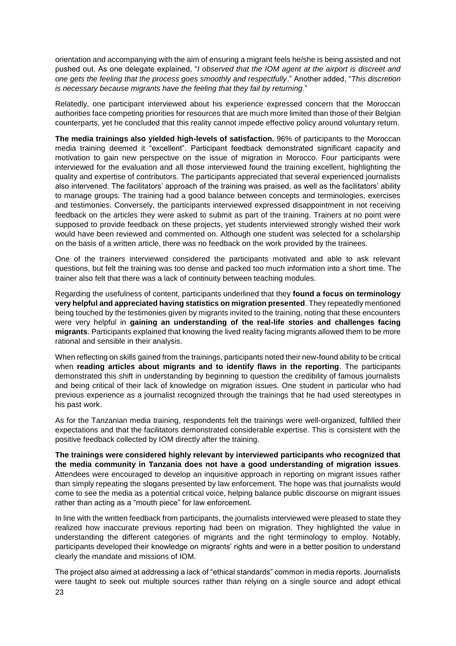orientation and accompanying with the aim of ensuring a migrant feels he/she is being assisted and not pushed out. As one delegate explained, "*I observed that the IOM agent at the airport is discreet and one gets the feeling that the process goes smoothly and respectfully*." Another added, "*This discretion is necessary because migrants have the feeling that they fail by returning*."

Relatedly, one participant interviewed about his experience expressed concern that the Moroccan authorities face competing priorities for resources that are much more limited than those of their Belgian counterparts, yet he concluded that this reality cannot impede effective policy around voluntary return.

**The media trainings also yielded high-levels of satisfaction.** 96% of participants to the Moroccan media training deemed it "excellent". Participant feedback demonstrated significant capacity and motivation to gain new perspective on the issue of migration in Morocco. Four participants were interviewed for the evaluation and all those interviewed found the training excellent, highlighting the quality and expertise of contributors. The participants appreciated that several experienced journalists also intervened. The facilitators' approach of the training was praised, as well as the facilitators' ability to manage groups. The training had a good balance between concepts and terminologies, exercises and testimonies. Conversely, the participants interviewed expressed disappointment in not receiving feedback on the articles they were asked to submit as part of the training. Trainers at no point were supposed to provide feedback on these projects, yet students interviewed strongly wished their work would have been reviewed and commented on. Although one student was selected for a scholarship on the basis of a written article, there was no feedback on the work provided by the trainees.

One of the trainers interviewed considered the participants motivated and able to ask relevant questions, but felt the training was too dense and packed too much information into a short time. The trainer also felt that there was a lack of continuity between teaching modules.

Regarding the usefulness of content, participants underlined that they **found a focus on terminology very helpful and appreciated having statistics on migration presented**. They repeatedly mentioned being touched by the testimonies given by migrants invited to the training, noting that these encounters were very helpful in **gaining an understanding of the real-life stories and challenges facing migrants**. Participants explained that knowing the lived reality facing migrants allowed them to be more rational and sensible in their analysis.

When reflecting on skills gained from the trainings, participants noted their new-found ability to be critical when **reading articles about migrants and to identify flaws in the reporting**. The participants demonstrated this shift in understanding by beginning to question the credibility of famous journalists and being critical of their lack of knowledge on migration issues. One student in particular who had previous experience as a journalist recognized through the trainings that he had used stereotypes in his past work.

As for the Tanzanian media training, respondents felt the trainings were well-organized, fulfilled their expectations and that the facilitators demonstrated considerable expertise. This is consistent with the positive feedback collected by IOM directly after the training.

**The trainings were considered highly relevant by interviewed participants who recognized that the media community in Tanzania does not have a good understanding of migration issues**. Attendees were encouraged to develop an inquisitive approach in reporting on migrant issues rather than simply repeating the slogans presented by law enforcement. The hope was that journalists would come to see the media as a potential critical voice, helping balance public discourse on migrant issues rather than acting as a "mouth piece" for law enforcement.

In line with the written feedback from participants, the journalists interviewed were pleased to state they realized how inaccurate previous reporting had been on migration. They highlighted the value in understanding the different categories of migrants and the right terminology to employ. Notably, participants developed their knowledge on migrants' rights and were in a better position to understand clearly the mandate and missions of IOM.

23 The project also aimed at addressing a lack of "ethical standards" common in media reports. Journalists were taught to seek out multiple sources rather than relying on a single source and adopt ethical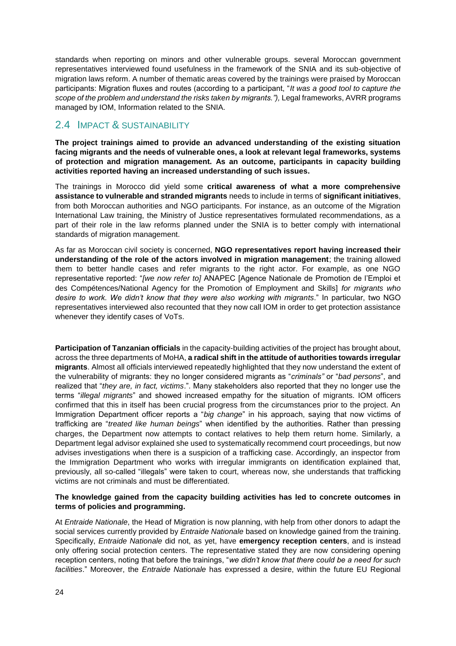standards when reporting on minors and other vulnerable groups. several Moroccan government representatives interviewed found usefulness in the framework of the SNIA and its sub-objective of migration laws reform. A number of thematic areas covered by the trainings were praised by Moroccan participants: Migration fluxes and routes (according to a participant, "*It was a good tool to capture the*  scope of the problem and understand the risks taken by migrants."), Legal frameworks, AVRR programs managed by IOM, Information related to the SNIA.

### <span id="page-23-0"></span>2.4 IMPACT & SUSTAINABILITY

**The project trainings aimed to provide an advanced understanding of the existing situation facing migrants and the needs of vulnerable ones, a look at relevant legal frameworks, systems of protection and migration management. As an outcome, participants in capacity building activities reported having an increased understanding of such issues.** 

The trainings in Morocco did yield some **critical awareness of what a more comprehensive assistance to vulnerable and stranded migrants** needs to include in terms of **significant initiatives**, from both Moroccan authorities and NGO participants. For instance, as an outcome of the Migration International Law training, the Ministry of Justice representatives formulated recommendations, as a part of their role in the law reforms planned under the SNIA is to better comply with international standards of migration management.

As far as Moroccan civil society is concerned, **NGO representatives report having increased their understanding of the role of the actors involved in migration management**; the training allowed them to better handle cases and refer migrants to the right actor. For example, as one NGO representative reported: "*[we now refer to]* ANAPEC [Agence Nationale de Promotion de l'Emploi et des Compétences/National Agency for the Promotion of Employment and Skills] *for migrants who desire to work. We didn't know that they were also working with migrants*." In particular, two NGO representatives interviewed also recounted that they now call IOM in order to get protection assistance whenever they identify cases of VoTs.

**Participation of Tanzanian officials** in the capacity-building activities of the project has brought about, across the three departments of MoHA, **a radical shift in the attitude of authorities towards irregular migrants**. Almost all officials interviewed repeatedly highlighted that they now understand the extent of the vulnerability of migrants: they no longer considered migrants as "*criminals"* or "*bad persons*", and realized that "*they are, in fact, victims*.". Many stakeholders also reported that they no longer use the terms "*illegal migrants*" and showed increased empathy for the situation of migrants. IOM officers confirmed that this in itself has been crucial progress from the circumstances prior to the project. An Immigration Department officer reports a "*big change*" in his approach, saying that now victims of trafficking are "*treated like human beings*" when identified by the authorities. Rather than pressing charges, the Department now attempts to contact relatives to help them return home. Similarly, a Department legal advisor explained she used to systematically recommend court proceedings, but now advises investigations when there is a suspicion of a trafficking case. Accordingly, an inspector from the Immigration Department who works with irregular immigrants on identification explained that, previously, all so-called "illegals" were taken to court, whereas now, she understands that trafficking victims are not criminals and must be differentiated.

#### **The knowledge gained from the capacity building activities has led to concrete outcomes in terms of policies and programming.**

At *Entraide Nationale*, the Head of Migration is now planning, with help from other donors to adapt the social services currently provided by *Entraide Nationale* based on knowledge gained from the training. Specifically, *Entraide Nationale* did not, as yet, have **emergency reception centers**, and is instead only offering social protection centers. The representative stated they are now considering opening reception centers, noting that before the trainings, "*we didn't know that there could be a need for such facilities*." Moreover, the *Entraide Nationale* has expressed a desire, within the future EU Regional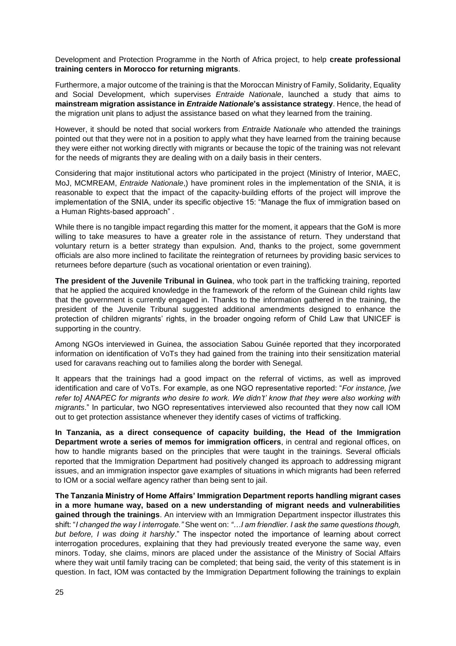Development and Protection Programme in the North of Africa project, to help **create professional training centers in Morocco for returning migrants**.

Furthermore, a major outcome of the training is that the Moroccan Ministry of Family, Solidarity, Equality and Social Development, which supervises *Entraide Nationale*, launched a study that aims to **mainstream migration assistance in** *Entraide Nationale***'s assistance strategy**. Hence, the head of the migration unit plans to adjust the assistance based on what they learned from the training.

However, it should be noted that social workers from *Entraide Nationale* who attended the trainings pointed out that they were not in a position to apply what they have learned from the training because they were either not working directly with migrants or because the topic of the training was not relevant for the needs of migrants they are dealing with on a daily basis in their centers.

Considering that major institutional actors who participated in the project (Ministry of Interior, MAEC, MoJ, MCMREAM, *Entraide Nationale*,) have prominent roles in the implementation of the SNIA, it is reasonable to expect that the impact of the capacity-building efforts of the project will improve the implementation of the SNIA, under its specific objective 15: "Manage the flux of immigration based on a Human Rights-based approach" .

While there is no tangible impact regarding this matter for the moment, it appears that the GoM is more willing to take measures to have a greater role in the assistance of return. They understand that voluntary return is a better strategy than expulsion. And, thanks to the project, some government officials are also more inclined to facilitate the reintegration of returnees by providing basic services to returnees before departure (such as vocational orientation or even training).

**The president of the Juvenile Tribunal in Guinea**, who took part in the trafficking training, reported that he applied the acquired knowledge in the framework of the reform of the Guinean child rights law that the government is currently engaged in. Thanks to the information gathered in the training, the president of the Juvenile Tribunal suggested additional amendments designed to enhance the protection of children migrants' rights, in the broader ongoing reform of Child Law that UNICEF is supporting in the country.

Among NGOs interviewed in Guinea, the association Sabou Guinée reported that they incorporated information on identification of VoTs they had gained from the training into their sensitization material used for caravans reaching out to families along the border with Senegal.

It appears that the trainings had a good impact on the referral of victims, as well as improved identification and care of VoTs. For example, as one NGO representative reported: "*For instance, [we refer to] ANAPEC for migrants who desire to work. We didn't' know that they were also working with migrants*." In particular, two NGO representatives interviewed also recounted that they now call IOM out to get protection assistance whenever they identify cases of victims of trafficking.

**In Tanzania, as a direct consequence of capacity building, the Head of the Immigration Department wrote a series of memos for immigration officers**, in central and regional offices, on how to handle migrants based on the principles that were taught in the trainings. Several officials reported that the Immigration Department had positively changed its approach to addressing migrant issues, and an immigration inspector gave examples of situations in which migrants had been referred to IOM or a social welfare agency rather than being sent to jail.

**The Tanzania Ministry of Home Affairs' Immigration Department reports handling migrant cases in a more humane way, based on a new understanding of migrant needs and vulnerabilities gained through the trainings**. An interview with an Immigration Department inspector illustrates this shift: "*I changed the way I interrogate."* She went on: *"…I am friendlier. I ask the same questions though, but before, I was doing it harshly*." The inspector noted the importance of learning about correct interrogation procedures, explaining that they had previously treated everyone the same way, even minors. Today, she claims, minors are placed under the assistance of the Ministry of Social Affairs where they wait until family tracing can be completed; that being said, the verity of this statement is in question. In fact, IOM was contacted by the Immigration Department following the trainings to explain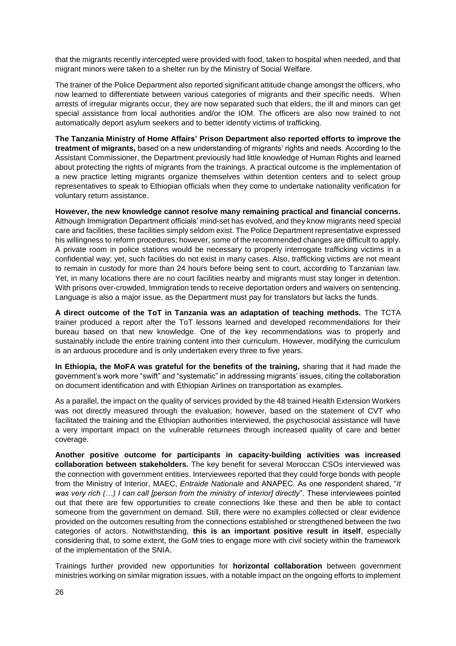that the migrants recently intercepted were provided with food, taken to hospital when needed, and that migrant minors were taken to a shelter run by the Ministry of Social Welfare.

The trainer of the Police Department also reported significant attitude change amongst the officers, who now learned to differentiate between various categories of migrants and their specific needs. When arrests of irregular migrants occur, they are now separated such that elders, the ill and minors can get special assistance from local authorities and/or the IOM. The officers are also now trained to not automatically deport asylum seekers and to better identify victims of trafficking.

**The Tanzania Ministry of Home Affairs' Prison Department also reported efforts to improve the treatment of migrants,** based on a new understanding of migrants' rights and needs. According to the Assistant Commissioner, the Department previously had little knowledge of Human Rights and learned about protecting the rights of migrants from the trainings. A practical outcome is the implementation of a new practice letting migrants organize themselves within detention centers and to select group representatives to speak to Ethiopian officials when they come to undertake nationality verification for voluntary return assistance.

**However, the new knowledge cannot resolve many remaining practical and financial concerns.**  Although Immigration Department officials' mind-set has evolved, and they know migrants need special care and facilities, these facilities simply seldom exist. The Police Department representative expressed his willingness to reform procedures; however, some of the recommended changes are difficult to apply. A private room in police stations would be necessary to properly interrogate trafficking victims in a confidential way; yet, such facilities do not exist in many cases. Also, trafficking victims are not meant to remain in custody for more than 24 hours before being sent to court, according to Tanzanian law. Yet, in many locations there are no court facilities nearby and migrants must stay longer in detention. With prisons over-crowded, Immigration tends to receive deportation orders and waivers on sentencing. Language is also a major issue, as the Department must pay for translators but lacks the funds.

**A direct outcome of the ToT in Tanzania was an adaptation of teaching methods.** The TCTA trainer produced a report after the ToT lessons learned and developed recommendations for their bureau based on that new knowledge. One of the key recommendations was to properly and sustainably include the entire training content into their curriculum. However, modifying the curriculum is an arduous procedure and is only undertaken every three to five years.

**In Ethiopia, the MoFA was grateful for the benefits of the training,** sharing that it had made the government's work more "swift" and "systematic" in addressing migrants' issues, citing the collaboration on document identification and with Ethiopian Airlines on transportation as examples.

As a parallel, the impact on the quality of services provided by the 48 trained Health Extension Workers was not directly measured through the evaluation; however, based on the statement of CVT who facilitated the training and the Ethiopian authorities interviewed, the psychosocial assistance will have a very important impact on the vulnerable returnees through increased quality of care and better coverage.

**Another positive outcome for participants in capacity-building activities was increased collaboration between stakeholders.** The key benefit for several Moroccan CSOs interviewed was the connection with government entities. Interviewees reported that they could forge bonds with people from the Ministry of Interior, MAEC, *Entraide Nationale* and ANAPEC. As one respondent shared, "*It was very rich (…) I can call [person from the ministry of interior] directly*". These interviewees pointed out that there are few opportunities to create connections like these and then be able to contact someone from the government on demand. Still, there were no examples collected or clear evidence provided on the outcomes resulting from the connections established or strengthened between the two categories of actors. Notwithstanding, **this is an important positive result in itself**, especially considering that, to some extent, the GoM tries to engage more with civil society within the framework of the implementation of the SNIA.

Trainings further provided new opportunities for **horizontal collaboration** between government ministries working on similar migration issues, with a notable impact on the ongoing efforts to implement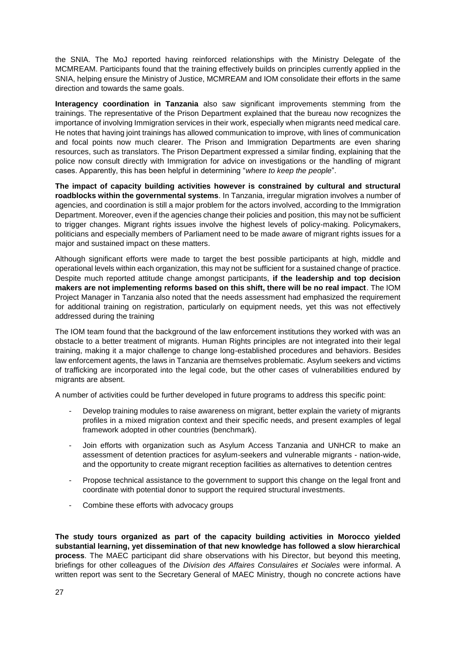the SNIA. The MoJ reported having reinforced relationships with the Ministry Delegate of the MCMREAM. Participants found that the training effectively builds on principles currently applied in the SNIA, helping ensure the Ministry of Justice, MCMREAM and IOM consolidate their efforts in the same direction and towards the same goals.

**Interagency coordination in Tanzania** also saw significant improvements stemming from the trainings. The representative of the Prison Department explained that the bureau now recognizes the importance of involving Immigration services in their work, especially when migrants need medical care. He notes that having joint trainings has allowed communication to improve, with lines of communication and focal points now much clearer. The Prison and Immigration Departments are even sharing resources, such as translators. The Prison Department expressed a similar finding, explaining that the police now consult directly with Immigration for advice on investigations or the handling of migrant cases. Apparently, this has been helpful in determining "*where to keep the people*".

**The impact of capacity building activities however is constrained by cultural and structural roadblocks within the governmental systems**. In Tanzania, irregular migration involves a number of agencies, and coordination is still a major problem for the actors involved, according to the Immigration Department. Moreover, even if the agencies change their policies and position, this may not be sufficient to trigger changes. Migrant rights issues involve the highest levels of policy-making. Policymakers, politicians and especially members of Parliament need to be made aware of migrant rights issues for a major and sustained impact on these matters.

Although significant efforts were made to target the best possible participants at high, middle and operational levels within each organization, this may not be sufficient for a sustained change of practice. Despite much reported attitude change amongst participants, **if the leadership and top decision makers are not implementing reforms based on this shift, there will be no real impact**. The IOM Project Manager in Tanzania also noted that the needs assessment had emphasized the requirement for additional training on registration, particularly on equipment needs, yet this was not effectively addressed during the training

The IOM team found that the background of the law enforcement institutions they worked with was an obstacle to a better treatment of migrants. Human Rights principles are not integrated into their legal training, making it a major challenge to change long-established procedures and behaviors. Besides law enforcement agents, the laws in Tanzania are themselves problematic. Asylum seekers and victims of trafficking are incorporated into the legal code, but the other cases of vulnerabilities endured by migrants are absent.

A number of activities could be further developed in future programs to address this specific point:

- Develop training modules to raise awareness on migrant, better explain the variety of migrants profiles in a mixed migration context and their specific needs, and present examples of legal framework adopted in other countries (benchmark).
- Join efforts with organization such as Asylum Access Tanzania and UNHCR to make an assessment of detention practices for asylum-seekers and vulnerable migrants - nation-wide, and the opportunity to create migrant reception facilities as alternatives to detention centres
- Propose technical assistance to the government to support this change on the legal front and coordinate with potential donor to support the required structural investments.
- Combine these efforts with advocacy groups

**The study tours organized as part of the capacity building activities in Morocco yielded substantial learning, yet dissemination of that new knowledge has followed a slow hierarchical process**. The MAEC participant did share observations with his Director, but beyond this meeting, briefings for other colleagues of the *Division des Affaires Consulaires et Sociales* were informal. A written report was sent to the Secretary General of MAEC Ministry, though no concrete actions have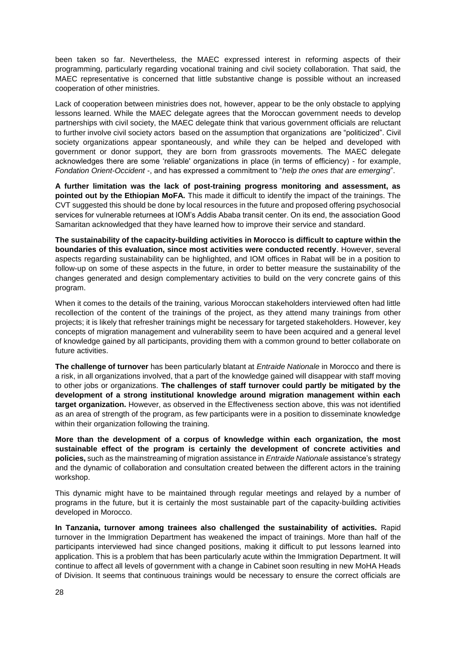been taken so far. Nevertheless, the MAEC expressed interest in reforming aspects of their programming, particularly regarding vocational training and civil society collaboration. That said, the MAEC representative is concerned that little substantive change is possible without an increased cooperation of other ministries.

Lack of cooperation between ministries does not, however, appear to be the only obstacle to applying lessons learned. While the MAEC delegate agrees that the Moroccan government needs to develop partnerships with civil society, the MAEC delegate think that various government officials are reluctant to further involve civil society actors based on the assumption that organizations are "politicized". Civil society organizations appear spontaneously, and while they can be helped and developed with government or donor support, they are born from grassroots movements. The MAEC delegate acknowledges there are some 'reliable' organizations in place (in terms of efficiency) - for example, *Fondation Orient-Occident* -, and has expressed a commitment to "*help the ones that are emerging*".

**A further limitation was the lack of post-training progress monitoring and assessment, as pointed out by the Ethiopian MoFA.** This made it difficult to identify the impact of the trainings. The CVT suggested this should be done by local resources in the future and proposed offering psychosocial services for vulnerable returnees at IOM's Addis Ababa transit center. On its end, the association Good Samaritan acknowledged that they have learned how to improve their service and standard.

**The sustainability of the capacity-building activities in Morocco is difficult to capture within the boundaries of this evaluation, since most activities were conducted recently**. However, several aspects regarding sustainability can be highlighted, and IOM offices in Rabat will be in a position to follow-up on some of these aspects in the future, in order to better measure the sustainability of the changes generated and design complementary activities to build on the very concrete gains of this program.

When it comes to the details of the training, various Moroccan stakeholders interviewed often had little recollection of the content of the trainings of the project, as they attend many trainings from other projects; it is likely that refresher trainings might be necessary for targeted stakeholders. However, key concepts of migration management and vulnerability seem to have been acquired and a general level of knowledge gained by all participants, providing them with a common ground to better collaborate on future activities.

**The challenge of turnover** has been particularly blatant at *Entraide Nationale* in Morocco and there is a risk, in all organizations involved, that a part of the knowledge gained will disappear with staff moving to other jobs or organizations. **The challenges of staff turnover could partly be mitigated by the development of a strong institutional knowledge around migration management within each target organization.** However, as observed in the Effectiveness section above, this was not identified as an area of strength of the program, as few participants were in a position to disseminate knowledge within their organization following the training.

**More than the development of a corpus of knowledge within each organization, the most sustainable effect of the program is certainly the development of concrete activities and policies,** such as the mainstreaming of migration assistance in *Entraide Nationale* assistance's strategy and the dynamic of collaboration and consultation created between the different actors in the training workshop.

This dynamic might have to be maintained through regular meetings and relayed by a number of programs in the future, but it is certainly the most sustainable part of the capacity-building activities developed in Morocco.

**In Tanzania, turnover among trainees also challenged the sustainability of activities.** Rapid turnover in the Immigration Department has weakened the impact of trainings. More than half of the participants interviewed had since changed positions, making it difficult to put lessons learned into application. This is a problem that has been particularly acute within the Immigration Department. It will continue to affect all levels of government with a change in Cabinet soon resulting in new MoHA Heads of Division. It seems that continuous trainings would be necessary to ensure the correct officials are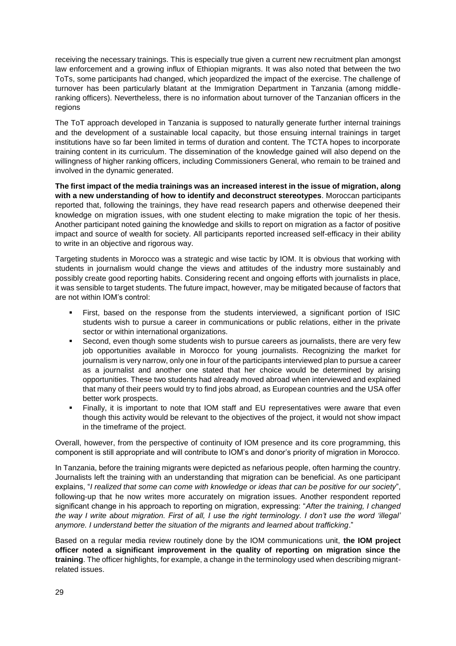receiving the necessary trainings. This is especially true given a current new recruitment plan amongst law enforcement and a growing influx of Ethiopian migrants. It was also noted that between the two ToTs, some participants had changed, which jeopardized the impact of the exercise. The challenge of turnover has been particularly blatant at the Immigration Department in Tanzania (among middleranking officers). Nevertheless, there is no information about turnover of the Tanzanian officers in the regions

The ToT approach developed in Tanzania is supposed to naturally generate further internal trainings and the development of a sustainable local capacity, but those ensuing internal trainings in target institutions have so far been limited in terms of duration and content. The TCTA hopes to incorporate training content in its curriculum. The dissemination of the knowledge gained will also depend on the willingness of higher ranking officers, including Commissioners General, who remain to be trained and involved in the dynamic generated.

**The first impact of the media trainings was an increased interest in the issue of migration, along with a new understanding of how to identify and deconstruct stereotypes**. Moroccan participants reported that, following the trainings, they have read research papers and otherwise deepened their knowledge on migration issues, with one student electing to make migration the topic of her thesis. Another participant noted gaining the knowledge and skills to report on migration as a factor of positive impact and source of wealth for society. All participants reported increased self-efficacy in their ability to write in an objective and rigorous way.

Targeting students in Morocco was a strategic and wise tactic by IOM. It is obvious that working with students in journalism would change the views and attitudes of the industry more sustainably and possibly create good reporting habits. Considering recent and ongoing efforts with journalists in place, it was sensible to target students. The future impact, however, may be mitigated because of factors that are not within IOM's control:

- First, based on the response from the students interviewed, a significant portion of ISIC students wish to pursue a career in communications or public relations, either in the private sector or within international organizations.
- **EXECOM**, even though some students wish to pursue careers as journalists, there are very few job opportunities available in Morocco for young journalists. Recognizing the market for journalism is very narrow, only one in four of the participants interviewed plan to pursue a career as a journalist and another one stated that her choice would be determined by arising opportunities. These two students had already moved abroad when interviewed and explained that many of their peers would try to find jobs abroad, as European countries and the USA offer better work prospects.
- Finally, it is important to note that IOM staff and EU representatives were aware that even though this activity would be relevant to the objectives of the project, it would not show impact in the timeframe of the project.

Overall, however, from the perspective of continuity of IOM presence and its core programming, this component is still appropriate and will contribute to IOM's and donor's priority of migration in Morocco.

In Tanzania, before the training migrants were depicted as nefarious people, often harming the country. Journalists left the training with an understanding that migration can be beneficial. As one participant explains, "*I realized that some can come with knowledge or ideas that can be positive for our society*", following-up that he now writes more accurately on migration issues. Another respondent reported significant change in his approach to reporting on migration, expressing: "*After the training, I changed the way I write about migration. First of all, I use the right terminology. I don't use the word 'illegal' anymore. I understand better the situation of the migrants and learned about trafficking*."

Based on a regular media review routinely done by the IOM communications unit, **the IOM project officer noted a significant improvement in the quality of reporting on migration since the training**. The officer highlights, for example, a change in the terminology used when describing migrantrelated issues.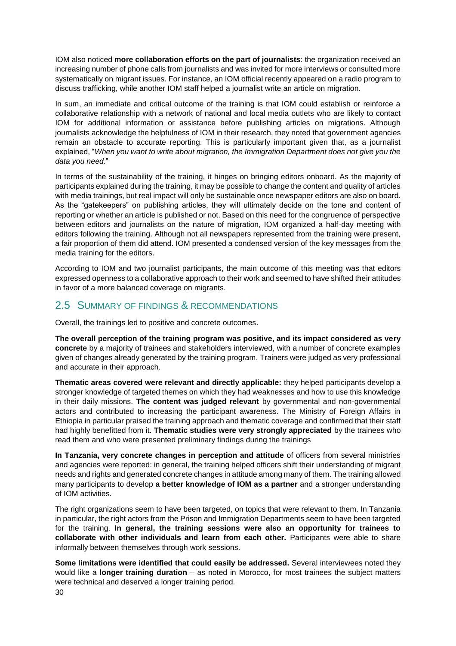IOM also noticed **more collaboration efforts on the part of journalists**: the organization received an increasing number of phone calls from journalists and was invited for more interviews or consulted more systematically on migrant issues. For instance, an IOM official recently appeared on a radio program to discuss trafficking, while another IOM staff helped a journalist write an article on migration.

In sum, an immediate and critical outcome of the training is that IOM could establish or reinforce a collaborative relationship with a network of national and local media outlets who are likely to contact IOM for additional information or assistance before publishing articles on migrations. Although journalists acknowledge the helpfulness of IOM in their research, they noted that government agencies remain an obstacle to accurate reporting. This is particularly important given that, as a journalist explained, "*When you want to write about migration, the Immigration Department does not give you the data you need*."

In terms of the sustainability of the training, it hinges on bringing editors onboard. As the majority of participants explained during the training, it may be possible to change the content and quality of articles with media trainings, but real impact will only be sustainable once newspaper editors are also on board. As the "gatekeepers" on publishing articles, they will ultimately decide on the tone and content of reporting or whether an article is published or not. Based on this need for the congruence of perspective between editors and journalists on the nature of migration, IOM organized a half-day meeting with editors following the training. Although not all newspapers represented from the training were present, a fair proportion of them did attend. IOM presented a condensed version of the key messages from the media training for the editors.

According to IOM and two journalist participants, the main outcome of this meeting was that editors expressed openness to a collaborative approach to their work and seemed to have shifted their attitudes in favor of a more balanced coverage on migrants.

### <span id="page-29-0"></span>2.5 SUMMARY OF FINDINGS & RECOMMENDATIONS

Overall, the trainings led to positive and concrete outcomes.

**The overall perception of the training program was positive, and its impact considered as very concrete** by a majority of trainees and stakeholders interviewed, with a number of concrete examples given of changes already generated by the training program. Trainers were judged as very professional and accurate in their approach.

**Thematic areas covered were relevant and directly applicable:** they helped participants develop a stronger knowledge of targeted themes on which they had weaknesses and how to use this knowledge in their daily missions. **The content was judged relevant** by governmental and non-governmental actors and contributed to increasing the participant awareness. The Ministry of Foreign Affairs in Ethiopia in particular praised the training approach and thematic coverage and confirmed that their staff had highly benefitted from it. **Thematic studies were very strongly appreciated** by the trainees who read them and who were presented preliminary findings during the trainings

**In Tanzania, very concrete changes in perception and attitude** of officers from several ministries and agencies were reported: in general, the training helped officers shift their understanding of migrant needs and rights and generated concrete changes in attitude among many of them. The training allowed many participants to develop **a better knowledge of IOM as a partner** and a stronger understanding of IOM activities.

The right organizations seem to have been targeted, on topics that were relevant to them. In Tanzania in particular, the right actors from the Prison and Immigration Departments seem to have been targeted for the training. **In general, the training sessions were also an opportunity for trainees to collaborate with other individuals and learn from each other.** Participants were able to share informally between themselves through work sessions.

**Some limitations were identified that could easily be addressed.** Several interviewees noted they would like a **longer training duration** – as noted in Morocco, for most trainees the subject matters were technical and deserved a longer training period.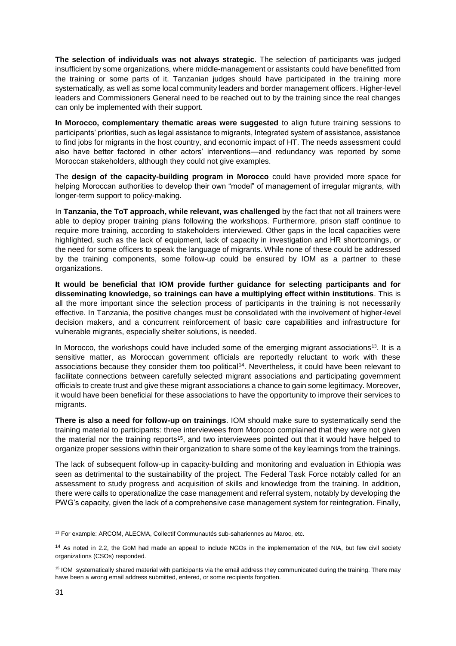**The selection of individuals was not always strategic**. The selection of participants was judged insufficient by some organizations, where middle-management or assistants could have benefitted from the training or some parts of it. Tanzanian judges should have participated in the training more systematically, as well as some local community leaders and border management officers. Higher-level leaders and Commissioners General need to be reached out to by the training since the real changes can only be implemented with their support.

**In Morocco, complementary thematic areas were suggested** to align future training sessions to participants' priorities, such as legal assistance to migrants, Integrated system of assistance, assistance to find jobs for migrants in the host country, and economic impact of HT. The needs assessment could also have better factored in other actors' interventions—and redundancy was reported by some Moroccan stakeholders, although they could not give examples.

The **design of the capacity-building program in Morocco** could have provided more space for helping Moroccan authorities to develop their own "model" of management of irregular migrants, with longer-term support to policy-making.

In **Tanzania, the ToT approach, while relevant, was challenged** by the fact that not all trainers were able to deploy proper training plans following the workshops. Furthermore, prison staff continue to require more training, according to stakeholders interviewed. Other gaps in the local capacities were highlighted, such as the lack of equipment, lack of capacity in investigation and HR shortcomings, or the need for some officers to speak the language of migrants. While none of these could be addressed by the training components, some follow-up could be ensured by IOM as a partner to these organizations.

**It would be beneficial that IOM provide further guidance for selecting participants and for disseminating knowledge, so trainings can have a multiplying effect within institutions**. This is all the more important since the selection process of participants in the training is not necessarily effective. In Tanzania, the positive changes must be consolidated with the involvement of higher-level decision makers, and a concurrent reinforcement of basic care capabilities and infrastructure for vulnerable migrants, especially shelter solutions, is needed.

In Morocco, the workshops could have included some of the emerging migrant associations<sup>13</sup>. It is a sensitive matter, as Moroccan government officials are reportedly reluctant to work with these associations because they consider them too political<sup>14</sup>. Nevertheless, it could have been relevant to facilitate connections between carefully selected migrant associations and participating government officials to create trust and give these migrant associations a chance to gain some legitimacy. Moreover, it would have been beneficial for these associations to have the opportunity to improve their services to migrants.

**There is also a need for follow-up on trainings**. IOM should make sure to systematically send the training material to participants: three interviewees from Morocco complained that they were not given the material nor the training reports<sup>15</sup>, and two interviewees pointed out that it would have helped to organize proper sessions within their organization to share some of the key learnings from the trainings.

The lack of subsequent follow-up in capacity-building and monitoring and evaluation in Ethiopia was seen as detrimental to the sustainability of the project. The Federal Task Force notably called for an assessment to study progress and acquisition of skills and knowledge from the training. In addition, there were calls to operationalize the case management and referral system, notably by developing the PWG's capacity, given the lack of a comprehensive case management system for reintegration. Finally,

-

<sup>13</sup> For example: ARCOM, ALECMA, Collectif Communautés sub-sahariennes au Maroc, etc.

<sup>&</sup>lt;sup>14</sup> As noted in [2.2,](#page-14-0) the GoM had made an appeal to include NGOs in the implementation of the NIA, but few civil society organizations (CSOs) responded.

<sup>&</sup>lt;sup>15</sup> IOM systematically shared material with participants via the email address they communicated during the training. There may have been a wrong email address submitted, entered, or some recipients forgotten.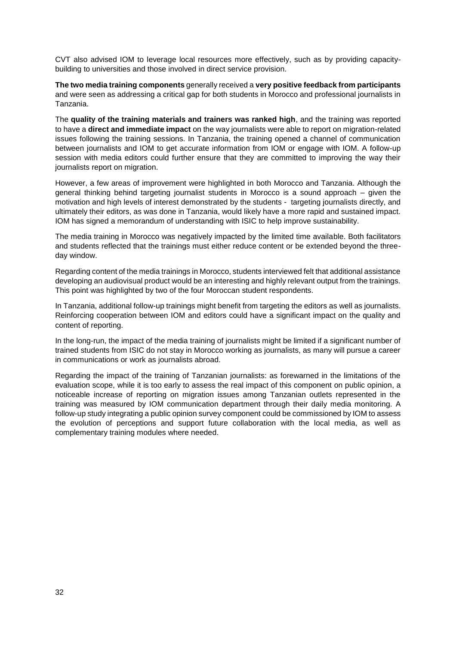CVT also advised IOM to leverage local resources more effectively, such as by providing capacitybuilding to universities and those involved in direct service provision.

**The two media training components** generally received a **very positive feedback from participants** and were seen as addressing a critical gap for both students in Morocco and professional journalists in Tanzania.

The **quality of the training materials and trainers was ranked high**, and the training was reported to have a **direct and immediate impact** on the way journalists were able to report on migration-related issues following the training sessions. In Tanzania, the training opened a channel of communication between journalists and IOM to get accurate information from IOM or engage with IOM. A follow-up session with media editors could further ensure that they are committed to improving the way their journalists report on migration.

However, a few areas of improvement were highlighted in both Morocco and Tanzania. Although the general thinking behind targeting journalist students in Morocco is a sound approach – given the motivation and high levels of interest demonstrated by the students - targeting journalists directly, and ultimately their editors, as was done in Tanzania, would likely have a more rapid and sustained impact. IOM has signed a memorandum of understanding with ISIC to help improve sustainability.

The media training in Morocco was negatively impacted by the limited time available. Both facilitators and students reflected that the trainings must either reduce content or be extended beyond the threeday window.

Regarding content of the media trainings in Morocco, students interviewed felt that additional assistance developing an audiovisual product would be an interesting and highly relevant output from the trainings. This point was highlighted by two of the four Moroccan student respondents.

In Tanzania, additional follow-up trainings might benefit from targeting the editors as well as journalists. Reinforcing cooperation between IOM and editors could have a significant impact on the quality and content of reporting.

In the long-run, the impact of the media training of journalists might be limited if a significant number of trained students from ISIC do not stay in Morocco working as journalists, as many will pursue a career in communications or work as journalists abroad.

Regarding the impact of the training of Tanzanian journalists: as forewarned in the limitations of the evaluation scope, while it is too early to assess the real impact of this component on public opinion, a noticeable increase of reporting on migration issues among Tanzanian outlets represented in the training was measured by IOM communication department through their daily media monitoring. A follow-up study integrating a public opinion survey component could be commissioned by IOM to assess the evolution of perceptions and support future collaboration with the local media, as well as complementary training modules where needed.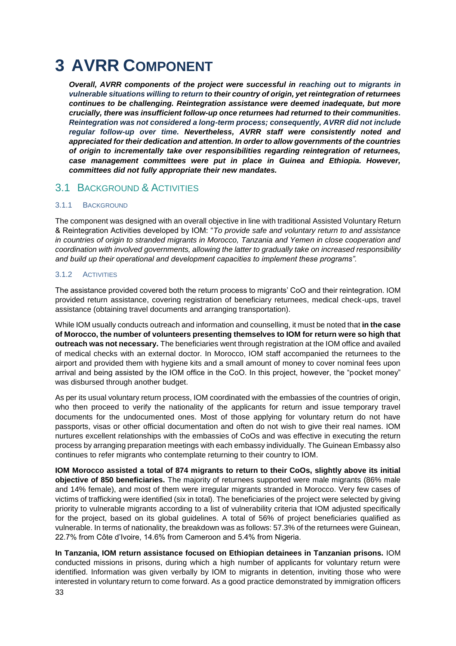# <span id="page-32-0"></span>**3 AVRR COMPONENT**

*Overall, AVRR components of the project were successful in reaching out to migrants in vulnerable situations willing to return to their country of origin, yet reintegration of returnees continues to be challenging. Reintegration assistance were deemed inadequate, but more crucially, there was insufficient follow-up once returnees had returned to their communities. Reintegration was not considered a long-term process; consequently, AVRR did not include regular follow-up over time. Nevertheless, AVRR staff were consistently noted and appreciated for their dedication and attention. In order to allow governments of the countries of origin to incrementally take over responsibilities regarding reintegration of returnees, case management committees were put in place in Guinea and Ethiopia. However, committees did not fully appropriate their new mandates.*

### <span id="page-32-1"></span>3.1 BACKGROUND & ACTIVITIES

### 3.1.1 BACKGROUND

The component was designed with an overall objective in line with traditional Assisted Voluntary Return & Reintegration Activities developed by IOM: "*To provide safe and voluntary return to and assistance in countries of origin to stranded migrants in Morocco, Tanzania and Yemen in close cooperation and coordination with involved governments, allowing the latter to gradually take on increased responsibility and build up their operational and development capacities to implement these programs".*

### 3.1.2 ACTIVITIES

The assistance provided covered both the return process to migrants' CoO and their reintegration. IOM provided return assistance, covering registration of beneficiary returnees, medical check-ups, travel assistance (obtaining travel documents and arranging transportation).

While IOM usually conducts outreach and information and counselling, it must be noted that **in the case of Morocco, the number of volunteers presenting themselves to IOM for return were so high that outreach was not necessary.** The beneficiaries went through registration at the IOM office and availed of medical checks with an external doctor. In Morocco, IOM staff accompanied the returnees to the airport and provided them with hygiene kits and a small amount of money to cover nominal fees upon arrival and being assisted by the IOM office in the CoO. In this project, however, the "pocket money" was disbursed through another budget.

As per its usual voluntary return process, IOM coordinated with the embassies of the countries of origin, who then proceed to verify the nationality of the applicants for return and issue temporary travel documents for the undocumented ones. Most of those applying for voluntary return do not have passports, visas or other official documentation and often do not wish to give their real names. IOM nurtures excellent relationships with the embassies of CoOs and was effective in executing the return process by arranging preparation meetings with each embassy individually. The Guinean Embassy also continues to refer migrants who contemplate returning to their country to IOM.

**IOM Morocco assisted a total of 874 migrants to return to their CoOs, slightly above its initial objective of 850 beneficiaries.** The majority of returnees supported were male migrants (86% male and 14% female), and most of them were irregular migrants stranded in Morocco. Very few cases of victims of trafficking were identified (six in total). The beneficiaries of the project were selected by giving priority to vulnerable migrants according to a list of vulnerability criteria that IOM adjusted specifically for the project, based on its global guidelines. A total of 56% of project beneficiaries qualified as vulnerable. In terms of nationality, the breakdown was as follows: 57.3% of the returnees were Guinean, 22.7% from Côte d'Ivoire, 14.6% from Cameroon and 5.4% from Nigeria.

33 **In Tanzania, IOM return assistance focused on Ethiopian detainees in Tanzanian prisons.** IOM conducted missions in prisons, during which a high number of applicants for voluntary return were identified. Information was given verbally by IOM to migrants in detention, inviting those who were interested in voluntary return to come forward. As a good practice demonstrated by immigration officers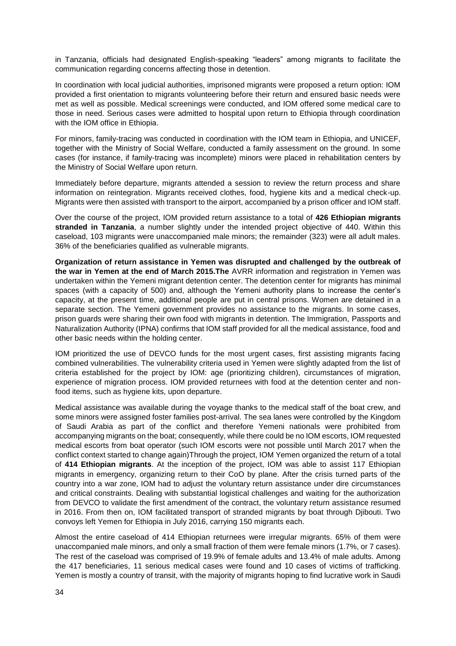in Tanzania, officials had designated English-speaking "leaders" among migrants to facilitate the communication regarding concerns affecting those in detention.

In coordination with local judicial authorities, imprisoned migrants were proposed a return option: IOM provided a first orientation to migrants volunteering before their return and ensured basic needs were met as well as possible. Medical screenings were conducted, and IOM offered some medical care to those in need. Serious cases were admitted to hospital upon return to Ethiopia through coordination with the IOM office in Ethiopia.

For minors, family-tracing was conducted in coordination with the IOM team in Ethiopia, and UNICEF, together with the Ministry of Social Welfare, conducted a family assessment on the ground. In some cases (for instance, if family-tracing was incomplete) minors were placed in rehabilitation centers by the Ministry of Social Welfare upon return.

Immediately before departure, migrants attended a session to review the return process and share information on reintegration. Migrants received clothes, food, hygiene kits and a medical check-up. Migrants were then assisted with transport to the airport, accompanied by a prison officer and IOM staff.

Over the course of the project, IOM provided return assistance to a total of **426 Ethiopian migrants stranded in Tanzania**, a number slightly under the intended project objective of 440. Within this caseload, 103 migrants were unaccompanied male minors; the remainder (323) were all adult males. 36% of the beneficiaries qualified as vulnerable migrants.

**Organization of return assistance in Yemen was disrupted and challenged by the outbreak of the war in Yemen at the end of March 2015.The** AVRR information and registration in Yemen was undertaken within the Yemeni migrant detention center. The detention center for migrants has minimal spaces (with a capacity of 500) and, although the Yemeni authority plans to increase the center's capacity, at the present time, additional people are put in central prisons. Women are detained in a separate section. The Yemeni government provides no assistance to the migrants. In some cases, prison guards were sharing their own food with migrants in detention. The Immigration, Passports and Naturalization Authority (IPNA) confirms that IOM staff provided for all the medical assistance, food and other basic needs within the holding center.

IOM prioritized the use of DEVCO funds for the most urgent cases, first assisting migrants facing combined vulnerabilities. The vulnerability criteria used in Yemen were slightly adapted from the list of criteria established for the project by IOM: age (prioritizing children), circumstances of migration, experience of migration process. IOM provided returnees with food at the detention center and nonfood items, such as hygiene kits, upon departure.

Medical assistance was available during the voyage thanks to the medical staff of the boat crew, and some minors were assigned foster families post-arrival. The sea lanes were controlled by the Kingdom of Saudi Arabia as part of the conflict and therefore Yemeni nationals were prohibited from accompanying migrants on the boat; consequently, while there could be no IOM escorts, IOM requested medical escorts from boat operator (such IOM escorts were not possible until March 2017 when the conflict context started to change again)Through the project, IOM Yemen organized the return of a total of **414 Ethiopian migrants**. At the inception of the project, IOM was able to assist 117 Ethiopian migrants in emergency, organizing return to their CoO by plane. After the crisis turned parts of the country into a war zone, IOM had to adjust the voluntary return assistance under dire circumstances and critical constraints. Dealing with substantial logistical challenges and waiting for the authorization from DEVCO to validate the first amendment of the contract, the voluntary return assistance resumed in 2016. From then on, IOM facilitated transport of stranded migrants by boat through Djibouti. Two convoys left Yemen for Ethiopia in July 2016, carrying 150 migrants each.

Almost the entire caseload of 414 Ethiopian returnees were irregular migrants. 65% of them were unaccompanied male minors, and only a small fraction of them were female minors (1.7%, or 7 cases). The rest of the caseload was comprised of 19.9% of female adults and 13.4% of male adults. Among the 417 beneficiaries, 11 serious medical cases were found and 10 cases of victims of trafficking. Yemen is mostly a country of transit, with the majority of migrants hoping to find lucrative work in Saudi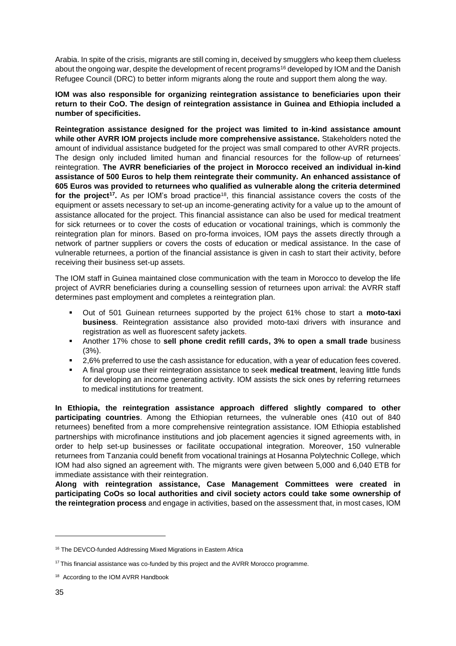Arabia. In spite of the crisis, migrants are still coming in, deceived by smugglers who keep them clueless about the ongoing war, despite the development of recent programs<sup>16</sup> developed by IOM and the Danish Refugee Council (DRC) to better inform migrants along the route and support them along the way.

**IOM was also responsible for organizing reintegration assistance to beneficiaries upon their return to their CoO. The design of reintegration assistance in Guinea and Ethiopia included a number of specificities.**

**Reintegration assistance designed for the project was limited to in-kind assistance amount while other AVRR IOM projects include more comprehensive assistance.** Stakeholders noted the amount of individual assistance budgeted for the project was small compared to other AVRR projects. The design only included limited human and financial resources for the follow-up of returnees' reintegration. **The AVRR beneficiaries of the project in Morocco received an individual in-kind assistance of 500 Euros to help them reintegrate their community. An enhanced assistance of 605 Euros was provided to returnees who qualified as vulnerable along the criteria determined for the project<sup>17</sup>.** As per IOM's broad practice<sup>18</sup>, this financial assistance covers the costs of the equipment or assets necessary to set-up an income-generating activity for a value up to the amount of assistance allocated for the project. This financial assistance can also be used for medical treatment for sick returnees or to cover the costs of education or vocational trainings, which is commonly the reintegration plan for minors. Based on pro-forma invoices, IOM pays the assets directly through a network of partner suppliers or covers the costs of education or medical assistance. In the case of vulnerable returnees, a portion of the financial assistance is given in cash to start their activity, before receiving their business set-up assets.

The IOM staff in Guinea maintained close communication with the team in Morocco to develop the life project of AVRR beneficiaries during a counselling session of returnees upon arrival: the AVRR staff determines past employment and completes a reintegration plan.

- Out of 501 Guinean returnees supported by the project 61% chose to start a **moto-taxi business**. Reintegration assistance also provided moto-taxi drivers with insurance and registration as well as fluorescent safety jackets.
- Another 17% chose to **sell phone credit refill cards, 3% to open a small trade** business (3%).
- 2,6% preferred to use the cash assistance for education, with a year of education fees covered.
- A final group use their reintegration assistance to seek **medical treatment**, leaving little funds for developing an income generating activity. IOM assists the sick ones by referring returnees to medical institutions for treatment.

**In Ethiopia, the reintegration assistance approach differed slightly compared to other participating countries**. Among the Ethiopian returnees, the vulnerable ones (410 out of 840 returnees) benefited from a more comprehensive reintegration assistance. IOM Ethiopia established partnerships with microfinance institutions and job placement agencies it signed agreements with, in order to help set-up businesses or facilitate occupational integration. Moreover, 150 vulnerable returnees from Tanzania could benefit from vocational trainings at Hosanna Polytechnic College, which IOM had also signed an agreement with. The migrants were given between 5,000 and 6,040 ETB for immediate assistance with their reintegration.

**Along with reintegration assistance, Case Management Committees were created in participating CoOs so local authorities and civil society actors could take some ownership of the reintegration process** and engage in activities, based on the assessment that, in most cases, IOM

<sup>&</sup>lt;sup>16</sup> The DEVCO-funded Addressing Mixed Migrations in Eastern Africa

<sup>&</sup>lt;sup>17</sup> This financial assistance was co-funded by this project and the AVRR Morocco programme.

<sup>&</sup>lt;sup>18</sup> According to the IOM AVRR Handbook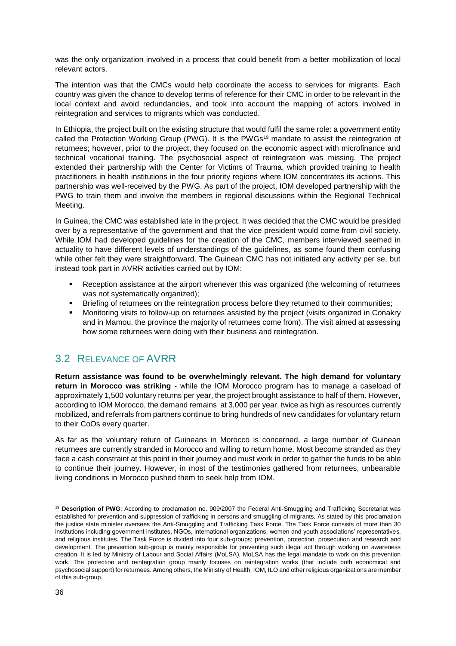was the only organization involved in a process that could benefit from a better mobilization of local relevant actors.

The intention was that the CMCs would help coordinate the access to services for migrants. Each country was given the chance to develop terms of reference for their CMC in order to be relevant in the local context and avoid redundancies, and took into account the mapping of actors involved in reintegration and services to migrants which was conducted.

In Ethiopia, the project built on the existing structure that would fulfil the same role: a government entity called the Protection Working Group (PWG). It is the PWGs<sup>19</sup> mandate to assist the reintegration of returnees; however, prior to the project, they focused on the economic aspect with microfinance and technical vocational training. The psychosocial aspect of reintegration was missing. The project extended their partnership with the Center for Victims of Trauma, which provided training to health practitioners in health institutions in the four priority regions where IOM concentrates its actions. This partnership was well-received by the PWG. As part of the project, IOM developed partnership with the PWG to train them and involve the members in regional discussions within the Regional Technical Meeting.

In Guinea, the CMC was established late in the project. It was decided that the CMC would be presided over by a representative of the government and that the vice president would come from civil society. While IOM had developed guidelines for the creation of the CMC, members interviewed seemed in actuality to have different levels of understandings of the guidelines, as some found them confusing while other felt they were straightforward. The Guinean CMC has not initiated any activity per se, but instead took part in AVRR activities carried out by IOM:

- Reception assistance at the airport whenever this was organized (the welcoming of returnees was not systematically organized);
- **•** Briefing of returnees on the reintegration process before they returned to their communities;
- Monitoring visits to follow-up on returnees assisted by the project (visits organized in Conakry and in Mamou, the province the majority of returnees come from). The visit aimed at assessing how some returnees were doing with their business and reintegration.

### <span id="page-35-0"></span>3.2 RELEVANCE OF AVRR

**Return assistance was found to be overwhelmingly relevant. The high demand for voluntary return in Morocco was striking** - while the IOM Morocco program has to manage a caseload of approximately 1,500 voluntary returns per year, the project brought assistance to half of them. However, according to IOM Morocco, the demand remains at 3,000 per year, twice as high as resources currently mobilized, and referrals from partners continue to bring hundreds of new candidates for voluntary return to their CoOs every quarter.

As far as the voluntary return of Guineans in Morocco is concerned, a large number of Guinean returnees are currently stranded in Morocco and willing to return home. Most become stranded as they face a cash constraint at this point in their journey and must work in order to gather the funds to be able to continue their journey. However, in most of the testimonies gathered from returnees, unbearable living conditions in Morocco pushed them to seek help from IOM.

<sup>&</sup>lt;sup>19</sup> Description of PWG: According to proclamation no. 909/2007 the Federal Anti-Smuggling and Trafficking Secretariat was established for prevention and suppression of trafficking in persons and smuggling of migrants. As stated by this proclamation the justice state minister oversees the Anti-Smuggling and Trafficking Task Force. The Task Force consists of more than 30 institutions including government institutes, NGOs, international organizations, women and youth associations' representatives, and religious institutes. The Task Force is divided into four sub-groups; prevention, protection, prosecution and research and development. The prevention sub-group is mainly responsible for preventing such illegal act through working on awareness creation. It is led by Ministry of Labour and Social Affairs (MoLSA). MoLSA has the legal mandate to work on this prevention work. The protection and reintegration group mainly focuses on reintegration works (that include both economical and psychosocial support) for returnees. Among others, the Ministry of Health, IOM, ILO and other religious organizations are member of this sub-group.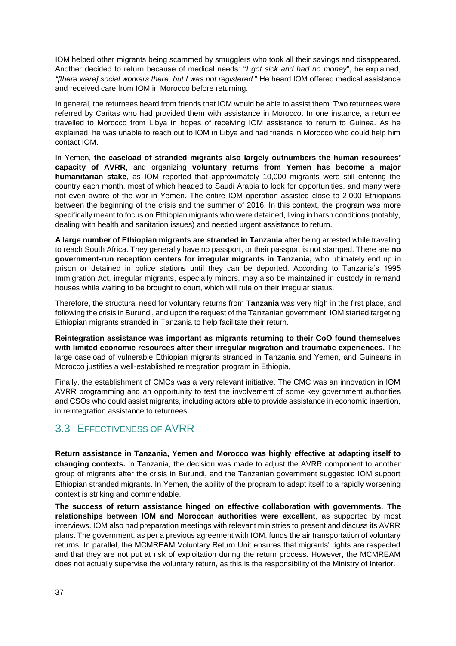IOM helped other migrants being scammed by smugglers who took all their savings and disappeared. Another decided to return because of medical needs: "*I got sick and had no money*", he explained, *"[there were] social workers there, but I was not registered*." He heard IOM offered medical assistance and received care from IOM in Morocco before returning.

In general, the returnees heard from friends that IOM would be able to assist them. Two returnees were referred by Caritas who had provided them with assistance in Morocco. In one instance, a returnee travelled to Morocco from Libya in hopes of receiving IOM assistance to return to Guinea. As he explained, he was unable to reach out to IOM in Libya and had friends in Morocco who could help him contact IOM.

In Yemen, **the caseload of stranded migrants also largely outnumbers the human resources' capacity of AVRR**, and organizing **voluntary returns from Yemen has become a major humanitarian stake**, as IOM reported that approximately 10,000 migrants were still entering the country each month, most of which headed to Saudi Arabia to look for opportunities, and many were not even aware of the war in Yemen. The entire IOM operation assisted close to 2,000 Ethiopians between the beginning of the crisis and the summer of 2016. In this context, the program was more specifically meant to focus on Ethiopian migrants who were detained, living in harsh conditions (notably, dealing with health and sanitation issues) and needed urgent assistance to return.

**A large number of Ethiopian migrants are stranded in Tanzania** after being arrested while traveling to reach South Africa. They generally have no passport, or their passport is not stamped. There are **no government-run reception centers for irregular migrants in Tanzania,** who ultimately end up in prison or detained in police stations until they can be deported. According to Tanzania's 1995 Immigration Act, irregular migrants, especially minors, may also be maintained in custody in remand houses while waiting to be brought to court, which will rule on their irregular status.

Therefore, the structural need for voluntary returns from **Tanzania** was very high in the first place, and following the crisis in Burundi, and upon the request of the Tanzanian government, IOM started targeting Ethiopian migrants stranded in Tanzania to help facilitate their return.

**Reintegration assistance was important as migrants returning to their CoO found themselves with limited economic resources after their irregular migration and traumatic experiences.** The large caseload of vulnerable Ethiopian migrants stranded in Tanzania and Yemen, and Guineans in Morocco justifies a well-established reintegration program in Ethiopia,

Finally, the establishment of CMCs was a very relevant initiative. The CMC was an innovation in IOM AVRR programming and an opportunity to test the involvement of some key government authorities and CSOs who could assist migrants, including actors able to provide assistance in economic insertion, in reintegration assistance to returnees.

### <span id="page-36-0"></span>3.3 EFFECTIVENESS OF AVRR

**Return assistance in Tanzania, Yemen and Morocco was highly effective at adapting itself to changing contexts.** In Tanzania, the decision was made to adjust the AVRR component to another group of migrants after the crisis in Burundi, and the Tanzanian government suggested IOM support Ethiopian stranded migrants. In Yemen, the ability of the program to adapt itself to a rapidly worsening context is striking and commendable.

**The success of return assistance hinged on effective collaboration with governments. The relationships between IOM and Moroccan authorities were excellent**, as supported by most interviews. IOM also had preparation meetings with relevant ministries to present and discuss its AVRR plans. The government, as per a previous agreement with IOM, funds the air transportation of voluntary returns. In parallel, the MCMREAM Voluntary Return Unit ensures that migrants' rights are respected and that they are not put at risk of exploitation during the return process. However, the MCMREAM does not actually supervise the voluntary return, as this is the responsibility of the Ministry of Interior.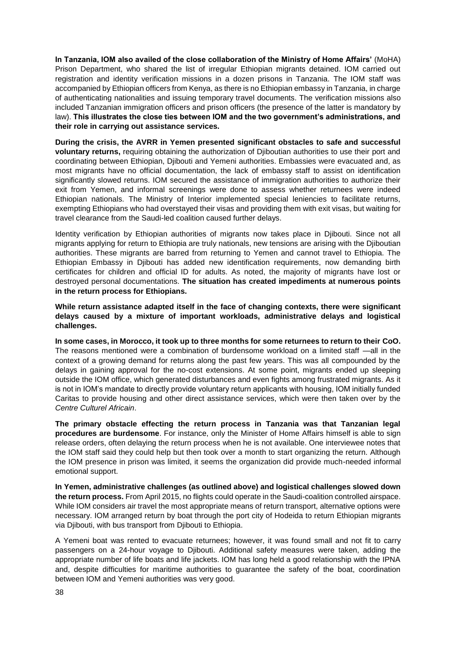**In Tanzania, IOM also availed of the close collaboration of the Ministry of Home Affairs'** (MoHA) Prison Department, who shared the list of irregular Ethiopian migrants detained. IOM carried out registration and identity verification missions in a dozen prisons in Tanzania. The IOM staff was accompanied by Ethiopian officers from Kenya, as there is no Ethiopian embassy in Tanzania, in charge of authenticating nationalities and issuing temporary travel documents. The verification missions also included Tanzanian immigration officers and prison officers (the presence of the latter is mandatory by law). **This illustrates the close ties between IOM and the two government's administrations, and their role in carrying out assistance services.**

**During the crisis, the AVRR in Yemen presented significant obstacles to safe and successful voluntary returns,** requiring obtaining the authorization of Djiboutian authorities to use their port and coordinating between Ethiopian, Djibouti and Yemeni authorities. Embassies were evacuated and, as most migrants have no official documentation, the lack of embassy staff to assist on identification significantly slowed returns. IOM secured the assistance of immigration authorities to authorize their exit from Yemen, and informal screenings were done to assess whether returnees were indeed Ethiopian nationals. The Ministry of Interior implemented special leniencies to facilitate returns, exempting Ethiopians who had overstayed their visas and providing them with exit visas, but waiting for travel clearance from the Saudi-led coalition caused further delays.

Identity verification by Ethiopian authorities of migrants now takes place in Djibouti. Since not all migrants applying for return to Ethiopia are truly nationals, new tensions are arising with the Djiboutian authorities. These migrants are barred from returning to Yemen and cannot travel to Ethiopia. The Ethiopian Embassy in Djibouti has added new identification requirements, now demanding birth certificates for children and official ID for adults. As noted, the majority of migrants have lost or destroyed personal documentations. **The situation has created impediments at numerous points in the return process for Ethiopians.**

**While return assistance adapted itself in the face of changing contexts, there were significant delays caused by a mixture of important workloads, administrative delays and logistical challenges.**

**In some cases, in Morocco, it took up to three months for some returnees to return to their CoO.**  The reasons mentioned were a combination of burdensome workload on a limited staff —all in the context of a growing demand for returns along the past few years. This was all compounded by the delays in gaining approval for the no-cost extensions. At some point, migrants ended up sleeping outside the IOM office, which generated disturbances and even fights among frustrated migrants. As it is not in IOM's mandate to directly provide voluntary return applicants with housing, IOM initially funded Caritas to provide housing and other direct assistance services, which were then taken over by the *Centre Culturel Africain*.

**The primary obstacle effecting the return process in Tanzania was that Tanzanian legal procedures are burdensome**. For instance, only the Minister of Home Affairs himself is able to sign release orders, often delaying the return process when he is not available. One interviewee notes that the IOM staff said they could help but then took over a month to start organizing the return. Although the IOM presence in prison was limited, it seems the organization did provide much-needed informal emotional support.

**In Yemen, administrative challenges (as outlined above) and logistical challenges slowed down the return process.** From April 2015, no flights could operate in the Saudi-coalition controlled airspace. While IOM considers air travel the most appropriate means of return transport, alternative options were necessary. IOM arranged return by boat through the port city of Hodeida to return Ethiopian migrants via Djibouti, with bus transport from Djibouti to Ethiopia.

A Yemeni boat was rented to evacuate returnees; however, it was found small and not fit to carry passengers on a 24-hour voyage to Djibouti. Additional safety measures were taken, adding the appropriate number of life boats and life jackets. IOM has long held a good relationship with the IPNA and, despite difficulties for maritime authorities to guarantee the safety of the boat, coordination between IOM and Yemeni authorities was very good.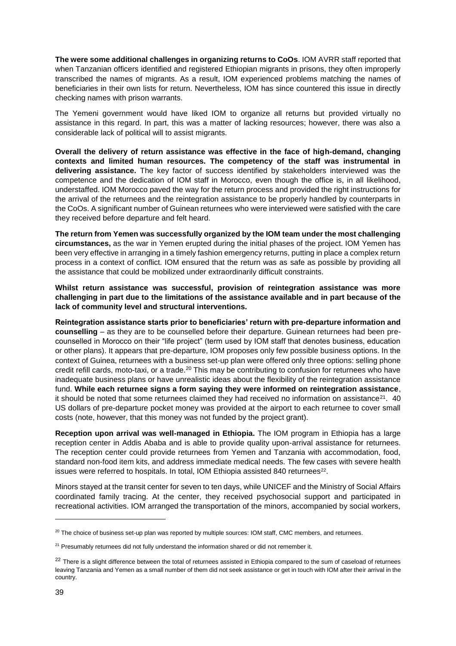**The were some additional challenges in organizing returns to CoOs**. IOM AVRR staff reported that when Tanzanian officers identified and registered Ethiopian migrants in prisons, they often improperly transcribed the names of migrants. As a result, IOM experienced problems matching the names of beneficiaries in their own lists for return. Nevertheless, IOM has since countered this issue in directly checking names with prison warrants.

The Yemeni government would have liked IOM to organize all returns but provided virtually no assistance in this regard. In part, this was a matter of lacking resources; however, there was also a considerable lack of political will to assist migrants.

**Overall the delivery of return assistance was effective in the face of high-demand, changing contexts and limited human resources. The competency of the staff was instrumental in delivering assistance.** The key factor of success identified by stakeholders interviewed was the competence and the dedication of IOM staff in Morocco, even though the office is, in all likelihood, understaffed. IOM Morocco paved the way for the return process and provided the right instructions for the arrival of the returnees and the reintegration assistance to be properly handled by counterparts in the CoOs. A significant number of Guinean returnees who were interviewed were satisfied with the care they received before departure and felt heard.

**The return from Yemen was successfully organized by the IOM team under the most challenging circumstances,** as the war in Yemen erupted during the initial phases of the project. IOM Yemen has been very effective in arranging in a timely fashion emergency returns, putting in place a complex return process in a context of conflict. IOM ensured that the return was as safe as possible by providing all the assistance that could be mobilized under extraordinarily difficult constraints.

**Whilst return assistance was successful, provision of reintegration assistance was more challenging in part due to the limitations of the assistance available and in part because of the lack of community level and structural interventions.** 

**Reintegration assistance starts prior to beneficiaries' return with pre-departure information and counselling** – as they are to be counselled before their departure. Guinean returnees had been precounselled in Morocco on their "life project" (term used by IOM staff that denotes business, education or other plans). It appears that pre-departure, IOM proposes only few possible business options. In the context of Guinea, returnees with a business set-up plan were offered only three options: selling phone credit refill cards, moto-taxi, or a trade.<sup>20</sup> This may be contributing to confusion for returnees who have inadequate business plans or have unrealistic ideas about the flexibility of the reintegration assistance fund. **While each returnee signs a form saying they were informed on reintegration assistance**, it should be noted that some returnees claimed they had received no information on assistance $2^1$ . 40 US dollars of pre-departure pocket money was provided at the airport to each returnee to cover small costs (note, however, that this money was not funded by the project grant).

**Reception upon arrival was well-managed in Ethiopia.** The IOM program in Ethiopia has a large reception center in Addis Ababa and is able to provide quality upon-arrival assistance for returnees. The reception center could provide returnees from Yemen and Tanzania with accommodation, food, standard non-food item kits, and address immediate medical needs. The few cases with severe health issues were referred to hospitals. In total, IOM Ethiopia assisted 840 returnees<sup>22</sup>.

Minors stayed at the transit center for seven to ten days, while UNICEF and the Ministry of Social Affairs coordinated family tracing. At the center, they received psychosocial support and participated in recreational activities. IOM arranged the transportation of the minors, accompanied by social workers,

<sup>&</sup>lt;sup>20</sup> The choice of business set-up plan was reported by multiple sources: IOM staff, CMC members, and returnees.

<sup>&</sup>lt;sup>21</sup> Presumably returnees did not fully understand the information shared or did not remember it.

<sup>&</sup>lt;sup>22</sup> There is a slight difference between the total of returnees assisted in Ethiopia compared to the sum of caseload of returnees leaving Tanzania and Yemen as a small number of them did not seek assistance or get in touch with IOM after their arrival in the country.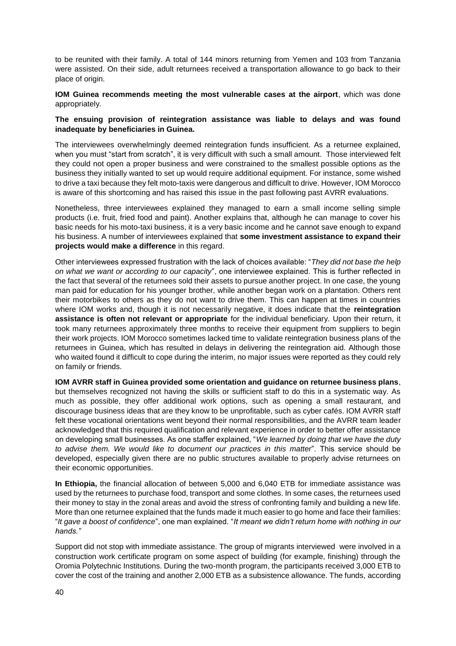to be reunited with their family. A total of 144 minors returning from Yemen and 103 from Tanzania were assisted. On their side, adult returnees received a transportation allowance to go back to their place of origin.

#### **IOM Guinea recommends meeting the most vulnerable cases at the airport**, which was done appropriately.

#### **The ensuing provision of reintegration assistance was liable to delays and was found inadequate by beneficiaries in Guinea.**

The interviewees overwhelmingly deemed reintegration funds insufficient. As a returnee explained, when you must "start from scratch", it is very difficult with such a small amount. Those interviewed felt they could not open a proper business and were constrained to the smallest possible options as the business they initially wanted to set up would require additional equipment. For instance, some wished to drive a taxi because they felt moto-taxis were dangerous and difficult to drive. However, IOM Morocco is aware of this shortcoming and has raised this issue in the past following past AVRR evaluations.

Nonetheless, three interviewees explained they managed to earn a small income selling simple products (i.e. fruit, fried food and paint). Another explains that, although he can manage to cover his basic needs for his moto-taxi business, it is a very basic income and he cannot save enough to expand his business. A number of interviewees explained that **some investment assistance to expand their projects would make a difference** in this regard.

Other interviewees expressed frustration with the lack of choices available: "*They did not base the help on what we want or according to our capacity*", one interviewee explained. This is further reflected in the fact that several of the returnees sold their assets to pursue another project. In one case, the young man paid for education for his younger brother, while another began work on a plantation. Others rent their motorbikes to others as they do not want to drive them. This can happen at times in countries where IOM works and, though it is not necessarily negative, it does indicate that the **reintegration assistance is often not relevant or appropriate** for the individual beneficiary. Upon their return, it took many returnees approximately three months to receive their equipment from suppliers to begin their work projects. IOM Morocco sometimes lacked time to validate reintegration business plans of the returnees in Guinea, which has resulted in delays in delivering the reintegration aid. Although those who waited found it difficult to cope during the interim, no major issues were reported as they could rely on family or friends.

**IOM AVRR staff in Guinea provided some orientation and guidance on returnee business plans**, but themselves recognized not having the skills or sufficient staff to do this in a systematic way. As much as possible, they offer additional work options, such as opening a small restaurant, and discourage business ideas that are they know to be unprofitable, such as cyber cafés. IOM AVRR staff felt these vocational orientations went beyond their normal responsibilities, and the AVRR team leader acknowledged that this required qualification and relevant experience in order to better offer assistance on developing small businesses. As one staffer explained, "*We learned by doing that we have the duty to advise them. We would like to document our practices in this matter*". This service should be developed, especially given there are no public structures available to properly advise returnees on their economic opportunities.

**In Ethiopia,** the financial allocation of between 5,000 and 6,040 ETB for immediate assistance was used by the returnees to purchase food, transport and some clothes. In some cases, the returnees used their money to stay in the zonal areas and avoid the stress of confronting family and building a new life. More than one returnee explained that the funds made it much easier to go home and face their families: "*It gave a boost of confidence*", one man explained. "*It meant we didn't return home with nothing in our hands."*

Support did not stop with immediate assistance. The group of migrants interviewed were involved in a construction work certificate program on some aspect of building (for example, finishing) through the Oromia Polytechnic Institutions. During the two-month program, the participants received 3,000 ETB to cover the cost of the training and another 2,000 ETB as a subsistence allowance. The funds, according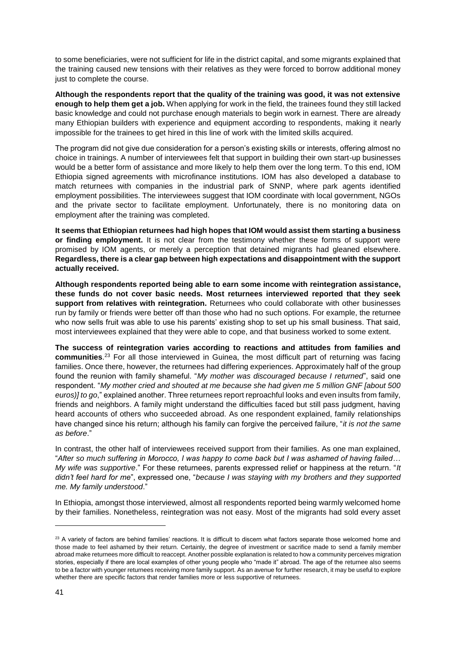to some beneficiaries, were not sufficient for life in the district capital, and some migrants explained that the training caused new tensions with their relatives as they were forced to borrow additional money just to complete the course.

**Although the respondents report that the quality of the training was good, it was not extensive enough to help them get a job.** When applying for work in the field, the trainees found they still lacked basic knowledge and could not purchase enough materials to begin work in earnest. There are already many Ethiopian builders with experience and equipment according to respondents, making it nearly impossible for the trainees to get hired in this line of work with the limited skills acquired.

The program did not give due consideration for a person's existing skills or interests, offering almost no choice in trainings. A number of interviewees felt that support in building their own start-up businesses would be a better form of assistance and more likely to help them over the long term. To this end, IOM Ethiopia signed agreements with microfinance institutions. IOM has also developed a database to match returnees with companies in the industrial park of SNNP, where park agents identified employment possibilities. The interviewees suggest that IOM coordinate with local government, NGOs and the private sector to facilitate employment. Unfortunately, there is no monitoring data on employment after the training was completed.

**It seems that Ethiopian returnees had high hopes that IOM would assist them starting a business or finding employment.** It is not clear from the testimony whether these forms of support were promised by IOM agents, or merely a perception that detained migrants had gleaned elsewhere. **Regardless, there is a clear gap between high expectations and disappointment with the support actually received.**

**Although respondents reported being able to earn some income with reintegration assistance, these funds do not cover basic needs. Most returnees interviewed reported that they seek support from relatives with reintegration.** Returnees who could collaborate with other businesses run by family or friends were better off than those who had no such options. For example, the returnee who now sells fruit was able to use his parents' existing shop to set up his small business. That said, most interviewees explained that they were able to cope, and that business worked to some extent.

**The success of reintegration varies according to reactions and attitudes from families and communities**. <sup>23</sup> For all those interviewed in Guinea, the most difficult part of returning was facing families. Once there, however, the returnees had differing experiences. Approximately half of the group found the reunion with family shameful. "*My mother was discouraged because I returned*", said one respondent. "*My mother cried and shouted at me because she had given me 5 million GNF [about 500 euros)] to go*," explained another. Three returnees report reproachful looks and even insults from family, friends and neighbors. A family might understand the difficulties faced but still pass judgment, having heard accounts of others who succeeded abroad. As one respondent explained, family relationships have changed since his return; although his family can forgive the perceived failure, "*it is not the same as before*."

In contrast, the other half of interviewees received support from their families. As one man explained, "*After so much suffering in Morocco, I was happy to come back but I was ashamed of having failed… My wife was supportive*." For these returnees, parents expressed relief or happiness at the return. "*It didn't feel hard for me*", expressed one, "*because I was staying with my brothers and they supported me. My family understood*."

In Ethiopia, amongst those interviewed, almost all respondents reported being warmly welcomed home by their families. Nonetheless, reintegration was not easy. Most of the migrants had sold every asset

<sup>&</sup>lt;sup>23</sup> A variety of factors are behind families' reactions. It is difficult to discern what factors separate those welcomed home and those made to feel ashamed by their return. Certainly, the degree of investment or sacrifice made to send a family member abroad make returnees more difficult to reaccept. Another possible explanation is related to how a community perceives migration stories, especially if there are local examples of other young people who "made it" abroad. The age of the returnee also seems to be a factor with younger returnees receiving more family support. As an avenue for further research, it may be useful to explore whether there are specific factors that render families more or less supportive of returnees.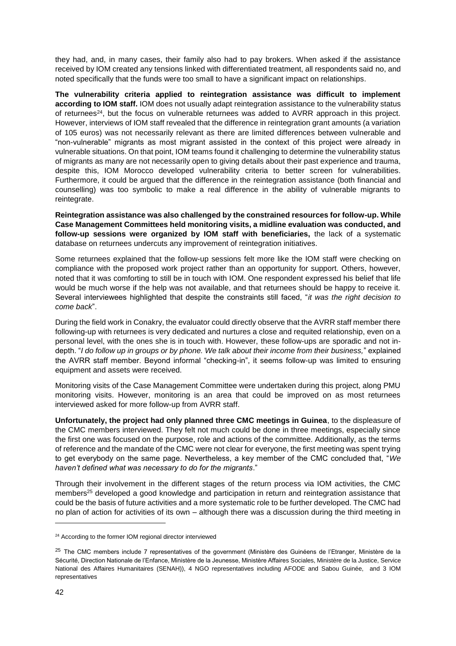they had, and, in many cases, their family also had to pay brokers. When asked if the assistance received by IOM created any tensions linked with differentiated treatment, all respondents said no, and noted specifically that the funds were too small to have a significant impact on relationships.

**The vulnerability criteria applied to reintegration assistance was difficult to implement according to IOM staff.** IOM does not usually adapt reintegration assistance to the vulnerability status of returnees<sup>24</sup>, but the focus on vulnerable returnees was added to AVRR approach in this project. However, interviews of IOM staff revealed that the difference in reintegration grant amounts (a variation of 105 euros) was not necessarily relevant as there are limited differences between vulnerable and "non-vulnerable" migrants as most migrant assisted in the context of this project were already in vulnerable situations. On that point, IOM teams found it challenging to determine the vulnerability status of migrants as many are not necessarily open to giving details about their past experience and trauma, despite this, IOM Morocco developed vulnerability criteria to better screen for vulnerabilities. Furthermore, it could be argued that the difference in the reintegration assistance (both financial and counselling) was too symbolic to make a real difference in the ability of vulnerable migrants to reintegrate.

**Reintegration assistance was also challenged by the constrained resources for follow-up. While Case Management Committees held monitoring visits, a midline evaluation was conducted, and follow-up sessions were organized by IOM staff with beneficiaries,** the lack of a systematic database on returnees undercuts any improvement of reintegration initiatives.

Some returnees explained that the follow-up sessions felt more like the IOM staff were checking on compliance with the proposed work project rather than an opportunity for support. Others, however, noted that it was comforting to still be in touch with IOM. One respondent expressed his belief that life would be much worse if the help was not available, and that returnees should be happy to receive it. Several interviewees highlighted that despite the constraints still faced, "*it was the right decision to come back*".

During the field work in Conakry, the evaluator could directly observe that the AVRR staff member there following-up with returnees is very dedicated and nurtures a close and requited relationship, even on a personal level, with the ones she is in touch with. However, these follow-ups are sporadic and not indepth. "*I do follow up in groups or by phone. We talk about their income from their business,*" explained the AVRR staff member. Beyond informal "checking-in", it seems follow-up was limited to ensuring equipment and assets were received.

Monitoring visits of the Case Management Committee were undertaken during this project, along PMU monitoring visits. However, monitoring is an area that could be improved on as most returnees interviewed asked for more follow-up from AVRR staff.

**Unfortunately, the project had only planned three CMC meetings in Guinea**, to the displeasure of the CMC members interviewed. They felt not much could be done in three meetings, especially since the first one was focused on the purpose, role and actions of the committee. Additionally, as the terms of reference and the mandate of the CMC were not clear for everyone, the first meeting was spent trying to get everybody on the same page. Nevertheless, a key member of the CMC concluded that, "*We haven't defined what was necessary to do for the migrants*."

Through their involvement in the different stages of the return process via IOM activities, the CMC members<sup>25</sup> developed a good knowledge and participation in return and reintegration assistance that could be the basis of future activities and a more systematic role to be further developed. The CMC had no plan of action for activities of its own – although there was a discussion during the third meeting in

<sup>&</sup>lt;sup>24</sup> According to the former IOM regional director interviewed

<sup>&</sup>lt;sup>25</sup> The CMC members include 7 representatives of the government (Ministère des Guinéens de l'Etranger, Ministère de la Sécurité, Direction Nationale de l'Enfance, Ministère de la Jeunesse, Ministère Affaires Sociales, Ministère de la Justice, Service National des Affaires Humanitaires (SENAH)), 4 NGO representatives including AFODE and Sabou Guinée, and 3 IOM representatives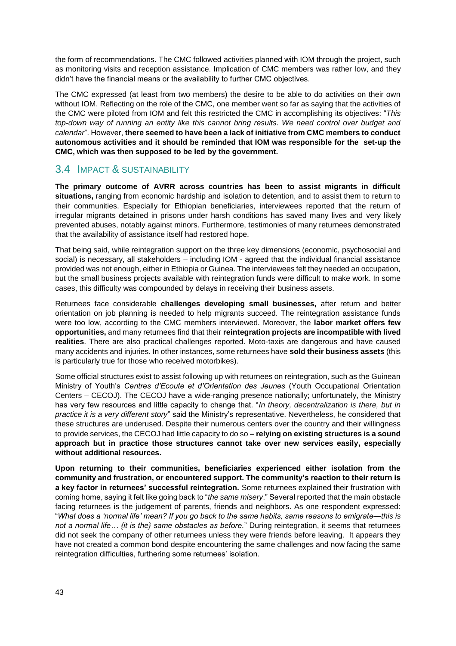the form of recommendations. The CMC followed activities planned with IOM through the project, such as monitoring visits and reception assistance. Implication of CMC members was rather low, and they didn't have the financial means or the availability to further CMC objectives.

The CMC expressed (at least from two members) the desire to be able to do activities on their own without IOM. Reflecting on the role of the CMC, one member went so far as saying that the activities of the CMC were piloted from IOM and felt this restricted the CMC in accomplishing its objectives: "*This top-down way of running an entity like this cannot bring results. We need control over budget and calendar*". However, **there seemed to have been a lack of initiative from CMC members to conduct autonomous activities and it should be reminded that IOM was responsible for the set-up the CMC, which was then supposed to be led by the government.**

### <span id="page-42-0"></span>3.4 IMPACT & SUSTAINABILITY

**The primary outcome of AVRR across countries has been to assist migrants in difficult situations,** ranging from economic hardship and isolation to detention, and to assist them to return to their communities. Especially for Ethiopian beneficiaries, interviewees reported that the return of irregular migrants detained in prisons under harsh conditions has saved many lives and very likely prevented abuses, notably against minors. Furthermore, testimonies of many returnees demonstrated that the availability of assistance itself had restored hope.

That being said, while reintegration support on the three key dimensions (economic, psychosocial and social) is necessary, all stakeholders – including IOM - agreed that the individual financial assistance provided was not enough, either in Ethiopia or Guinea. The interviewees felt they needed an occupation, but the small business projects available with reintegration funds were difficult to make work. In some cases, this difficulty was compounded by delays in receiving their business assets.

Returnees face considerable **challenges developing small businesses,** after return and better orientation on job planning is needed to help migrants succeed. The reintegration assistance funds were too low, according to the CMC members interviewed. Moreover, the **labor market offers few opportunities,** and many returnees find that their **reintegration projects are incompatible with lived realities**. There are also practical challenges reported. Moto-taxis are dangerous and have caused many accidents and injuries. In other instances, some returnees have **sold their business assets** (this is particularly true for those who received motorbikes).

Some official structures exist to assist following up with returnees on reintegration, such as the Guinean Ministry of Youth's *Centres d'Ecoute et d'Orientation des Jeunes* (Youth Occupational Orientation Centers – CECOJ). The CECOJ have a wide-ranging presence nationally; unfortunately, the Ministry has very few resources and little capacity to change that. "*In theory, decentralization is there, but in practice it is a very different story*" said the Ministry's representative. Nevertheless, he considered that these structures are underused. Despite their numerous centers over the country and their willingness to provide services, the CECOJ had little capacity to do so **– relying on existing structures is a sound approach but in practice those structures cannot take over new services easily, especially without additional resources.**

**Upon returning to their communities, beneficiaries experienced either isolation from the community and frustration, or encountered support. The community's reaction to their return is a key factor in returnees' successful reintegration.** Some returnees explained their frustration with coming home, saying it felt like going back to "*the same misery*." Several reported that the main obstacle facing returnees is the judgement of parents, friends and neighbors. As one respondent expressed: "*What does a 'normal life' mean? If you go back to the same habits, same reasons to emigrate—this is not a normal life… {it is the} same obstacles as before.*" During reintegration, it seems that returnees did not seek the company of other returnees unless they were friends before leaving. It appears they have not created a common bond despite encountering the same challenges and now facing the same reintegration difficulties, furthering some returnees' isolation.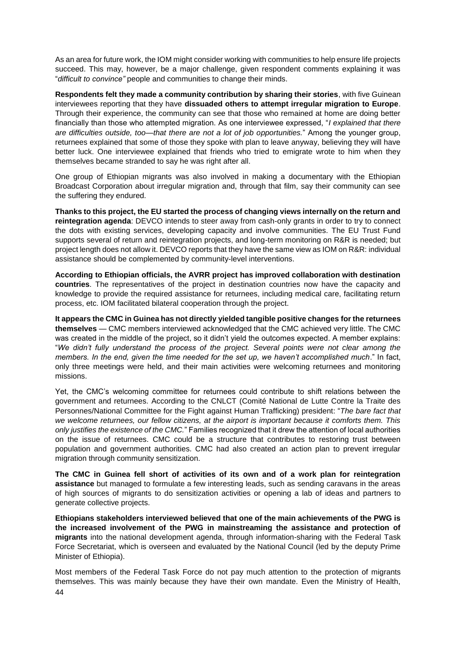As an area for future work, the IOM might consider working with communities to help ensure life projects succeed. This may, however, be a major challenge, given respondent comments explaining it was "*difficult to convince"* people and communities to change their minds.

**Respondents felt they made a community contribution by sharing their stories**, with five Guinean interviewees reporting that they have **dissuaded others to attempt irregular migration to Europe**. Through their experience, the community can see that those who remained at home are doing better financially than those who attempted migration. As one interviewee expressed, "*I explained that there are difficulties outside, too—that there are not a lot of job opportunities.*" Among the younger group, returnees explained that some of those they spoke with plan to leave anyway, believing they will have better luck. One interviewee explained that friends who tried to emigrate wrote to him when they themselves became stranded to say he was right after all.

One group of Ethiopian migrants was also involved in making a documentary with the Ethiopian Broadcast Corporation about irregular migration and, through that film, say their community can see the suffering they endured.

**Thanks to this project, the EU started the process of changing views internally on the return and reintegration agenda**: DEVCO intends to steer away from cash-only grants in order to try to connect the dots with existing services, developing capacity and involve communities. The EU Trust Fund supports several of return and reintegration projects, and long-term monitoring on R&R is needed; but project length does not allow it. DEVCO reports that they have the same view as IOM on R&R: individual assistance should be complemented by community-level interventions.

**According to Ethiopian officials, the AVRR project has improved collaboration with destination countries**. The representatives of the project in destination countries now have the capacity and knowledge to provide the required assistance for returnees, including medical care, facilitating return process, etc. IOM facilitated bilateral cooperation through the project.

**It appears the CMC in Guinea has not directly yielded tangible positive changes for the returnees themselves** — CMC members interviewed acknowledged that the CMC achieved very little. The CMC was created in the middle of the project, so it didn't yield the outcomes expected. A member explains: "*We didn't fully understand the process of the project. Several points were not clear among the members. In the end, given the time needed for the set up, we haven't accomplished much*." In fact, only three meetings were held, and their main activities were welcoming returnees and monitoring missions.

Yet, the CMC's welcoming committee for returnees could contribute to shift relations between the government and returnees. According to the CNLCT (Comité National de Lutte Contre la Traite des Personnes/National Committee for the Fight against Human Trafficking) president: "*The bare fact that we welcome returnees, our fellow citizens, at the airport is important because it comforts them. This only justifies the existence of the CMC.*" Families recognized that it drew the attention of local authorities on the issue of returnees. CMC could be a structure that contributes to restoring trust between population and government authorities. CMC had also created an action plan to prevent irregular migration through community sensitization.

**The CMC in Guinea fell short of activities of its own and of a work plan for reintegration assistance** but managed to formulate a few interesting leads, such as sending caravans in the areas of high sources of migrants to do sensitization activities or opening a lab of ideas and partners to generate collective projects.

**Ethiopians stakeholders interviewed believed that one of the main achievements of the PWG is the increased involvement of the PWG in mainstreaming the assistance and protection of migrants** into the national development agenda, through information-sharing with the Federal Task Force Secretariat, which is overseen and evaluated by the National Council (led by the deputy Prime Minister of Ethiopia).

44 Most members of the Federal Task Force do not pay much attention to the protection of migrants themselves. This was mainly because they have their own mandate. Even the Ministry of Health,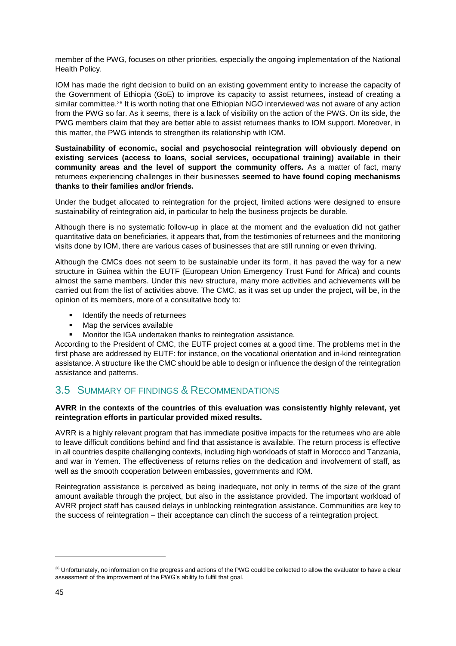member of the PWG, focuses on other priorities, especially the ongoing implementation of the National Health Policy.

IOM has made the right decision to build on an existing government entity to increase the capacity of the Government of Ethiopia (GoE) to improve its capacity to assist returnees, instead of creating a similar committee.<sup>26</sup> It is worth noting that one Ethiopian NGO interviewed was not aware of any action from the PWG so far. As it seems, there is a lack of visibility on the action of the PWG. On its side, the PWG members claim that they are better able to assist returnees thanks to IOM support. Moreover, in this matter, the PWG intends to strengthen its relationship with IOM.

**Sustainability of economic, social and psychosocial reintegration will obviously depend on existing services (access to loans, social services, occupational training) available in their community areas and the level of support the community offers.** As a matter of fact, many returnees experiencing challenges in their businesses **seemed to have found coping mechanisms thanks to their families and/or friends.** 

Under the budget allocated to reintegration for the project, limited actions were designed to ensure sustainability of reintegration aid, in particular to help the business projects be durable.

Although there is no systematic follow-up in place at the moment and the evaluation did not gather quantitative data on beneficiaries, it appears that, from the testimonies of returnees and the monitoring visits done by IOM, there are various cases of businesses that are still running or even thriving.

Although the CMCs does not seem to be sustainable under its form, it has paved the way for a new structure in Guinea within the EUTF (European Union Emergency Trust Fund for Africa) and counts almost the same members. Under this new structure, many more activities and achievements will be carried out from the list of activities above. The CMC, as it was set up under the project, will be, in the opinion of its members, more of a consultative body to:

- Identify the needs of returnees
- Map the services available
- Monitor the IGA undertaken thanks to reintegration assistance.

According to the President of CMC, the EUTF project comes at a good time. The problems met in the first phase are addressed by EUTF: for instance, on the vocational orientation and in-kind reintegration assistance. A structure like the CMC should be able to design or influence the design of the reintegration assistance and patterns.

### <span id="page-44-0"></span>3.5 SUMMARY OF FINDINGS & RECOMMENDATIONS

#### **AVRR in the contexts of the countries of this evaluation was consistently highly relevant, yet reintegration efforts in particular provided mixed results.**

AVRR is a highly relevant program that has immediate positive impacts for the returnees who are able to leave difficult conditions behind and find that assistance is available. The return process is effective in all countries despite challenging contexts, including high workloads of staff in Morocco and Tanzania, and war in Yemen. The effectiveness of returns relies on the dedication and involvement of staff, as well as the smooth cooperation between embassies, governments and IOM.

Reintegration assistance is perceived as being inadequate, not only in terms of the size of the grant amount available through the project, but also in the assistance provided. The important workload of AVRR project staff has caused delays in unblocking reintegration assistance. Communities are key to the success of reintegration – their acceptance can clinch the success of a reintegration project.

<sup>&</sup>lt;sup>26</sup> Unfortunately, no information on the progress and actions of the PWG could be collected to allow the evaluator to have a clear assessment of the improvement of the PWG's ability to fulfil that goal.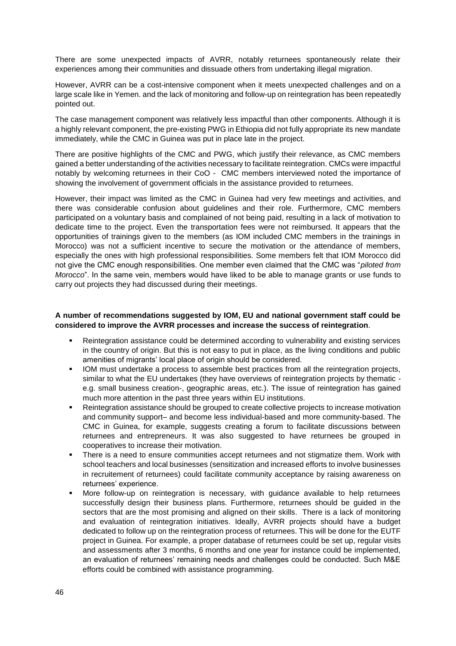There are some unexpected impacts of AVRR, notably returnees spontaneously relate their experiences among their communities and dissuade others from undertaking illegal migration.

However, AVRR can be a cost-intensive component when it meets unexpected challenges and on a large scale like in Yemen. and the lack of monitoring and follow-up on reintegration has been repeatedly pointed out.

The case management component was relatively less impactful than other components. Although it is a highly relevant component, the pre-existing PWG in Ethiopia did not fully appropriate its new mandate immediately, while the CMC in Guinea was put in place late in the project.

There are positive highlights of the CMC and PWG, which justify their relevance, as CMC members gained a better understanding of the activities necessary to facilitate reintegration. CMCs were impactful notably by welcoming returnees in their CoO - CMC members interviewed noted the importance of showing the involvement of government officials in the assistance provided to returnees.

However, their impact was limited as the CMC in Guinea had very few meetings and activities, and there was considerable confusion about guidelines and their role. Furthermore, CMC members participated on a voluntary basis and complained of not being paid, resulting in a lack of motivation to dedicate time to the project. Even the transportation fees were not reimbursed. It appears that the opportunities of trainings given to the members (as IOM included CMC members in the trainings in Morocco) was not a sufficient incentive to secure the motivation or the attendance of members, especially the ones with high professional responsibilities. Some members felt that IOM Morocco did not give the CMC enough responsibilities. One member even claimed that the CMC was "*piloted from Morocco*". In the same vein, members would have liked to be able to manage grants or use funds to carry out projects they had discussed during their meetings.

#### **A number of recommendations suggested by IOM, EU and national government staff could be considered to improve the AVRR processes and increase the success of reintegration**.

- Reintegration assistance could be determined according to vulnerability and existing services in the country of origin. But this is not easy to put in place, as the living conditions and public amenities of migrants' local place of origin should be considered.
- IOM must undertake a process to assemble best practices from all the reintegration projects, similar to what the EU undertakes (they have overviews of reintegration projects by thematic e.g. small business creation-, geographic areas, etc.). The issue of reintegration has gained much more attention in the past three years within EU institutions.
- Reintegration assistance should be grouped to create collective projects to increase motivation and community support– and become less individual-based and more community-based. The CMC in Guinea, for example, suggests creating a forum to facilitate discussions between returnees and entrepreneurs. It was also suggested to have returnees be grouped in cooperatives to increase their motivation.
- There is a need to ensure communities accept returnees and not stigmatize them. Work with school teachers and local businesses (sensitization and increased efforts to involve businesses in recruitement of returnees) could facilitate community acceptance by raising awareness on returnees' experience.
- More follow-up on reintegration is necessary, with guidance available to help returnees successfully design their business plans. Furthermore, returnees should be guided in the sectors that are the most promising and aligned on their skills. There is a lack of monitoring and evaluation of reintegration initiatives. Ideally, AVRR projects should have a budget dedicated to follow up on the reintegration process of returnees. This will be done for the EUTF project in Guinea. For example, a proper database of returnees could be set up, regular visits and assessments after 3 months, 6 months and one year for instance could be implemented, an evaluation of returnees' remaining needs and challenges could be conducted. Such M&E efforts could be combined with assistance programming.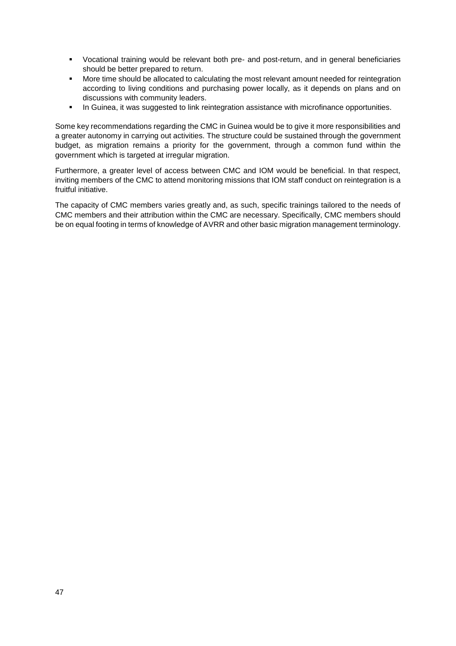- Vocational training would be relevant both pre- and post-return, and in general beneficiaries should be better prepared to return.
- More time should be allocated to calculating the most relevant amount needed for reintegration according to living conditions and purchasing power locally, as it depends on plans and on discussions with community leaders.
- **•** In Guinea, it was suggested to link reintegration assistance with microfinance opportunities.

Some key recommendations regarding the CMC in Guinea would be to give it more responsibilities and a greater autonomy in carrying out activities. The structure could be sustained through the government budget, as migration remains a priority for the government, through a common fund within the government which is targeted at irregular migration.

Furthermore, a greater level of access between CMC and IOM would be beneficial. In that respect, inviting members of the CMC to attend monitoring missions that IOM staff conduct on reintegration is a fruitful initiative.

The capacity of CMC members varies greatly and, as such, specific trainings tailored to the needs of CMC members and their attribution within the CMC are necessary. Specifically, CMC members should be on equal footing in terms of knowledge of AVRR and other basic migration management terminology.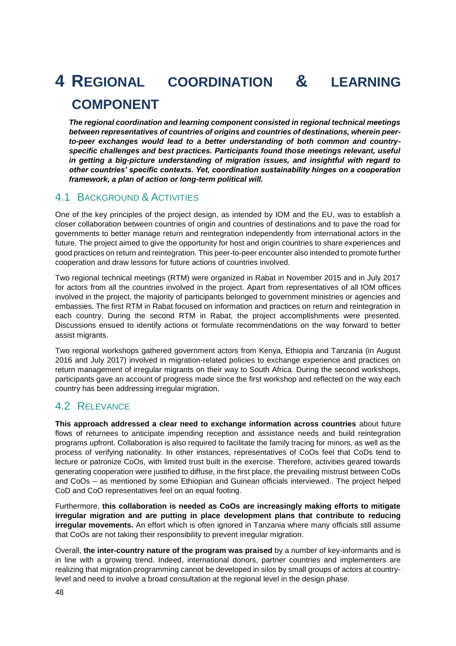# <span id="page-47-0"></span>**4 REGIONAL COORDINATION & LEARNING COMPONENT**

*The regional coordination and learning component consisted in regional technical meetings between representatives of countries of origins and countries of destinations, wherein peerto-peer exchanges would lead to a better understanding of both common and countryspecific challenges and best practices. Participants found those meetings relevant, useful in getting a big-picture understanding of migration issues, and insightful with regard to other countries' specific contexts. Yet, coordination sustainability hinges on a cooperation framework, a plan of action or long-term political will.*

### <span id="page-47-1"></span>4.1 BACKGROUND & ACTIVITIES

One of the key principles of the project design, as intended by IOM and the EU, was to establish a closer collaboration between countries of origin and countries of destinations and to pave the road for governments to better manage return and reintegration independently from international actors in the future. The project aimed to give the opportunity for host and origin countries to share experiences and good practices on return and reintegration. This peer-to-peer encounter also intended to promote further cooperation and draw lessons for future actions of countries involved.

Two regional technical meetings (RTM) were organized in Rabat in November 2015 and in July 2017 for actors from all the countries involved in the project. Apart from representatives of all IOM offices involved in the project, the majority of participants belonged to government ministries or agencies and embassies. The first RTM in Rabat focused on information and practices on return and reintegration in each country. During the second RTM in Rabat, the project accomplishments were presented. Discussions ensued to identify actions or formulate recommendations on the way forward to better assist migrants.

Two regional workshops gathered government actors from Kenya, Ethiopia and Tanzania (in August 2016 and July 2017) involved in migration-related policies to exchange experience and practices on return management of irregular migrants on their way to South Africa. During the second workshops, participants gave an account of progress made since the first workshop and reflected on the way each country has been addressing irregular migration.

### <span id="page-47-2"></span>4.2 RELEVANCE

**This approach addressed a clear need to exchange information across countries** about future flows of returnees to anticipate impending reception and assistance needs and build reintegration programs upfront. Collaboration is also required to facilitate the family tracing for minors, as well as the process of verifying nationality. In other instances, representatives of CoOs feel that CoDs tend to lecture or patronize CoOs, with limited trust built in the exercise. Therefore, activities geared towards generating cooperation were justified to diffuse, in the first place, the prevailing mistrust between CoDs and CoOs – as mentioned by some Ethiopian and Guinean officials interviewed.. The project helped CoD and CoO representatives feel on an equal footing.

Furthermore, **this collaboration is needed as CoOs are increasingly making efforts to mitigate irregular migration and are putting in place development plans that contribute to reducing irregular movements.** An effort which is often ignored in Tanzania where many officials still assume that CoOs are not taking their responsibility to prevent irregular migration.

Overall, **the inter-country nature of the program was praised** by a number of key-informants and is in line with a growing trend. Indeed, international donors, partner countries and implementers are realizing that migration programming cannot be developed in silos by small groups of actors at countrylevel and need to involve a broad consultation at the regional level in the design phase.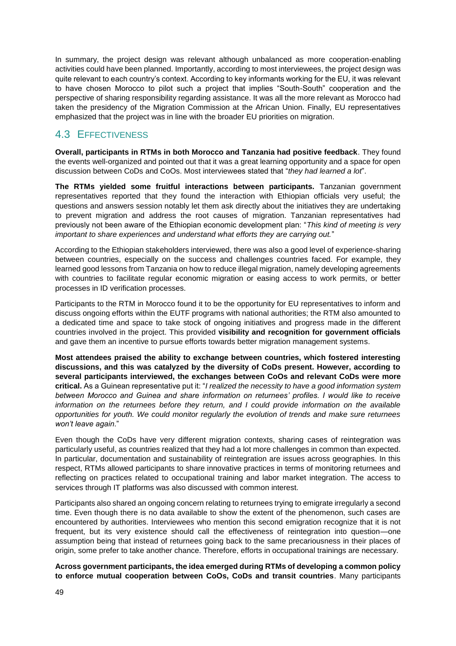In summary, the project design was relevant although unbalanced as more cooperation-enabling activities could have been planned. Importantly, according to most interviewees, the project design was quite relevant to each country's context. According to key informants working for the EU, it was relevant to have chosen Morocco to pilot such a project that implies "South-South" cooperation and the perspective of sharing responsibility regarding assistance. It was all the more relevant as Morocco had taken the presidency of the Migration Commission at the African Union. Finally, EU representatives emphasized that the project was in line with the broader EU priorities on migration.

### <span id="page-48-0"></span>4.3 EFFECTIVENESS

**Overall, participants in RTMs in both Morocco and Tanzania had positive feedback**. They found the events well-organized and pointed out that it was a great learning opportunity and a space for open discussion between CoDs and CoOs. Most interviewees stated that "*they had learned a lot*".

**The RTMs yielded some fruitful interactions between participants.** Tanzanian government representatives reported that they found the interaction with Ethiopian officials very useful; the questions and answers session notably let them ask directly about the initiatives they are undertaking to prevent migration and address the root causes of migration. Tanzanian representatives had previously not been aware of the Ethiopian economic development plan: "*This kind of meeting is very important to share experiences and understand what efforts they are carrying out.*"

According to the Ethiopian stakeholders interviewed, there was also a good level of experience-sharing between countries, especially on the success and challenges countries faced. For example, they learned good lessons from Tanzania on how to reduce illegal migration, namely developing agreements with countries to facilitate regular economic migration or easing access to work permits, or better processes in ID verification processes.

Participants to the RTM in Morocco found it to be the opportunity for EU representatives to inform and discuss ongoing efforts within the EUTF programs with national authorities; the RTM also amounted to a dedicated time and space to take stock of ongoing initiatives and progress made in the different countries involved in the project. This provided **visibility and recognition for government officials** and gave them an incentive to pursue efforts towards better migration management systems.

**Most attendees praised the ability to exchange between countries, which fostered interesting discussions, and this was catalyzed by the diversity of CoDs present. However, according to several participants interviewed, the exchanges between CoOs and relevant CoDs were more critical.** As a Guinean representative put it: "*I realized the necessity to have a good information system between Morocco and Guinea and share information on returnees' profiles. I would like to receive information on the returnees before they return, and I could provide information on the available opportunities for youth. We could monitor regularly the evolution of trends and make sure returnees won't leave again*."

Even though the CoDs have very different migration contexts, sharing cases of reintegration was particularly useful, as countries realized that they had a lot more challenges in common than expected. In particular, documentation and sustainability of reintegration are issues across geographies. In this respect, RTMs allowed participants to share innovative practices in terms of monitoring returnees and reflecting on practices related to occupational training and labor market integration. The access to services through IT platforms was also discussed with common interest.

Participants also shared an ongoing concern relating to returnees trying to emigrate irregularly a second time. Even though there is no data available to show the extent of the phenomenon, such cases are encountered by authorities. Interviewees who mention this second emigration recognize that it is not frequent, but its very existence should call the effectiveness of reintegration into question—one assumption being that instead of returnees going back to the same precariousness in their places of origin, some prefer to take another chance. Therefore, efforts in occupational trainings are necessary.

**Across government participants, the idea emerged during RTMs of developing a common policy to enforce mutual cooperation between CoOs, CoDs and transit countries**. Many participants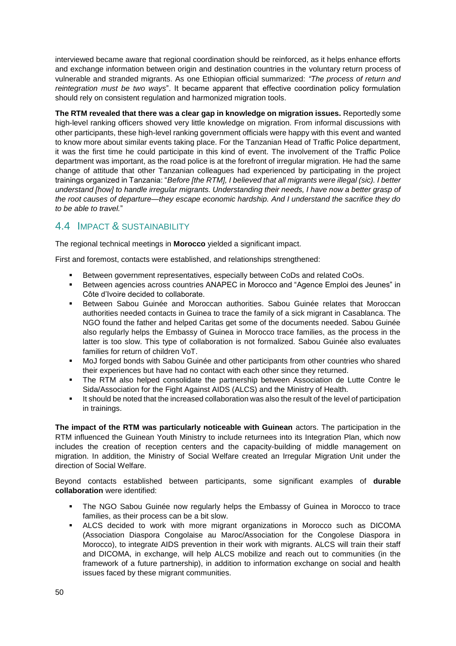interviewed became aware that regional coordination should be reinforced, as it helps enhance efforts and exchange information between origin and destination countries in the voluntary return process of vulnerable and stranded migrants. As one Ethiopian official summarized: *"The process of return and reintegration must be two ways*". It became apparent that effective coordination policy formulation should rely on consistent regulation and harmonized migration tools.

**The RTM revealed that there was a clear gap in knowledge on migration issues.** Reportedly some high-level ranking officers showed very little knowledge on migration. From informal discussions with other participants, these high-level ranking government officials were happy with this event and wanted to know more about similar events taking place. For the Tanzanian Head of Traffic Police department, it was the first time he could participate in this kind of event. The involvement of the Traffic Police department was important, as the road police is at the forefront of irregular migration. He had the same change of attitude that other Tanzanian colleagues had experienced by participating in the project trainings organized in Tanzania: "*Before [the RTM], I believed that all migrants were illegal (sic). I better understand [how] to handle irregular migrants. Understanding their needs, I have now a better grasp of the root causes of departure—they escape economic hardship. And I understand the sacrifice they do to be able to travel.*"

### <span id="page-49-0"></span>4.4 IMPACT & SUSTAINABILITY

The regional technical meetings in **Morocco** yielded a significant impact.

First and foremost, contacts were established, and relationships strengthened:

- Between government representatives, especially between CoDs and related CoOs.
- **EXECT ANALLY ENGLO** BETWEED ANAPEC in Morocco and "Agence Emploi des Jeunes" in Côte d'Ivoire decided to collaborate.
- Between Sabou Guinée and Moroccan authorities. Sabou Guinée relates that Moroccan authorities needed contacts in Guinea to trace the family of a sick migrant in Casablanca. The NGO found the father and helped Caritas get some of the documents needed. Sabou Guinée also regularly helps the Embassy of Guinea in Morocco trace families, as the process in the latter is too slow. This type of collaboration is not formalized. Sabou Guinée also evaluates families for return of children VoT.
- MoJ forged bonds with Sabou Guinée and other participants from other countries who shared their experiences but have had no contact with each other since they returned.
- The RTM also helped consolidate the partnership between Association de Lutte Contre le Sida/Association for the Fight Against AIDS (ALCS) and the Ministry of Health.
- It should be noted that the increased collaboration was also the result of the level of participation in trainings.

**The impact of the RTM was particularly noticeable with Guinean** actors. The participation in the RTM influenced the Guinean Youth Ministry to include returnees into its Integration Plan, which now includes the creation of reception centers and the capacity-building of middle management on migration. In addition, the Ministry of Social Welfare created an Irregular Migration Unit under the direction of Social Welfare.

Beyond contacts established between participants, some significant examples of **durable collaboration** were identified:

- The NGO Sabou Guinée now regularly helps the Embassy of Guinea in Morocco to trace families, as their process can be a bit slow.
- ALCS decided to work with more migrant organizations in Morocco such as DICOMA (Association Diaspora Congolaise au Maroc/Association for the Congolese Diaspora in Morocco), to integrate AIDS prevention in their work with migrants. ALCS will train their staff and DICOMA, in exchange, will help ALCS mobilize and reach out to communities (in the framework of a future partnership), in addition to information exchange on social and health issues faced by these migrant communities.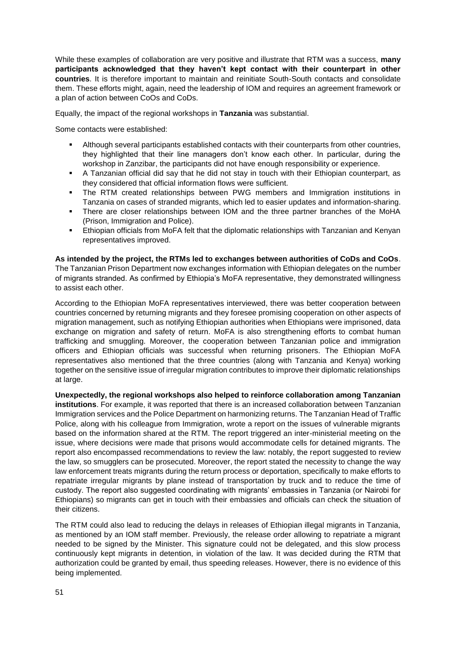While these examples of collaboration are very positive and illustrate that RTM was a success, **many participants acknowledged that they haven't kept contact with their counterpart in other countries**. It is therefore important to maintain and reinitiate South-South contacts and consolidate them. These efforts might, again, need the leadership of IOM and requires an agreement framework or a plan of action between CoOs and CoDs.

Equally, the impact of the regional workshops in **Tanzania** was substantial.

Some contacts were established:

- Although several participants established contacts with their counterparts from other countries, they highlighted that their line managers don't know each other. In particular, during the workshop in Zanzibar, the participants did not have enough responsibility or experience.
- A Tanzanian official did say that he did not stay in touch with their Ethiopian counterpart, as they considered that official information flows were sufficient.
- The RTM created relationships between PWG members and Immigration institutions in Tanzania on cases of stranded migrants, which led to easier updates and information-sharing.
- There are closer relationships between IOM and the three partner branches of the MoHA (Prison, Immigration and Police).
- Ethiopian officials from MoFA felt that the diplomatic relationships with Tanzanian and Kenyan representatives improved.

**As intended by the project, the RTMs led to exchanges between authorities of CoDs and CoOs**.

The Tanzanian Prison Department now exchanges information with Ethiopian delegates on the number of migrants stranded. As confirmed by Ethiopia's MoFA representative, they demonstrated willingness to assist each other.

According to the Ethiopian MoFA representatives interviewed, there was better cooperation between countries concerned by returning migrants and they foresee promising cooperation on other aspects of migration management, such as notifying Ethiopian authorities when Ethiopians were imprisoned, data exchange on migration and safety of return. MoFA is also strengthening efforts to combat human trafficking and smuggling. Moreover, the cooperation between Tanzanian police and immigration officers and Ethiopian officials was successful when returning prisoners. The Ethiopian MoFA representatives also mentioned that the three countries (along with Tanzania and Kenya) working together on the sensitive issue of irregular migration contributes to improve their diplomatic relationships at large.

**Unexpectedly, the regional workshops also helped to reinforce collaboration among Tanzanian institutions**. For example, it was reported that there is an increased collaboration between Tanzanian Immigration services and the Police Department on harmonizing returns. The Tanzanian Head of Traffic Police, along with his colleague from Immigration, wrote a report on the issues of vulnerable migrants based on the information shared at the RTM. The report triggered an inter-ministerial meeting on the issue, where decisions were made that prisons would accommodate cells for detained migrants. The report also encompassed recommendations to review the law: notably, the report suggested to review the law, so smugglers can be prosecuted. Moreover, the report stated the necessity to change the way law enforcement treats migrants during the return process or deportation, specifically to make efforts to repatriate irregular migrants by plane instead of transportation by truck and to reduce the time of custody. The report also suggested coordinating with migrants' embassies in Tanzania (or Nairobi for Ethiopians) so migrants can get in touch with their embassies and officials can check the situation of their citizens.

The RTM could also lead to reducing the delays in releases of Ethiopian illegal migrants in Tanzania, as mentioned by an IOM staff member. Previously, the release order allowing to repatriate a migrant needed to be signed by the Minister. This signature could not be delegated, and this slow process continuously kept migrants in detention, in violation of the law. It was decided during the RTM that authorization could be granted by email, thus speeding releases. However, there is no evidence of this being implemented.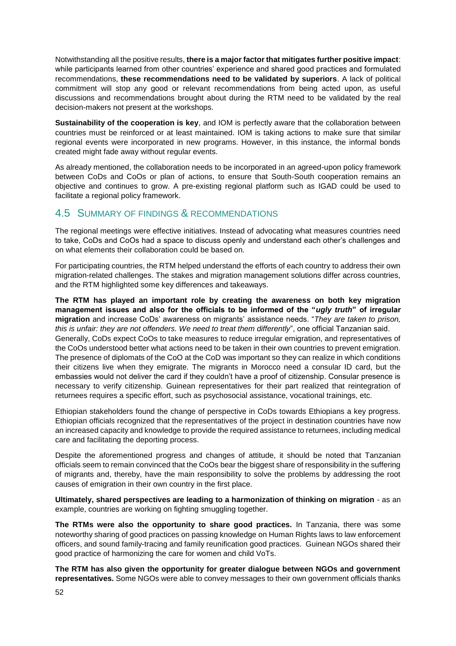Notwithstanding all the positive results, **there is a major factor that mitigates further positive impact**: while participants learned from other countries' experience and shared good practices and formulated recommendations, **these recommendations need to be validated by superiors**. A lack of political commitment will stop any good or relevant recommendations from being acted upon, as useful discussions and recommendations brought about during the RTM need to be validated by the real decision-makers not present at the workshops.

**Sustainability of the cooperation is key**, and IOM is perfectly aware that the collaboration between countries must be reinforced or at least maintained. IOM is taking actions to make sure that similar regional events were incorporated in new programs. However, in this instance, the informal bonds created might fade away without regular events.

As already mentioned, the collaboration needs to be incorporated in an agreed-upon policy framework between CoDs and CoOs or plan of actions, to ensure that South-South cooperation remains an objective and continues to grow. A pre-existing regional platform such as IGAD could be used to facilitate a regional policy framework.

### <span id="page-51-0"></span>4.5 SUMMARY OF FINDINGS & RECOMMENDATIONS

The regional meetings were effective initiatives. Instead of advocating what measures countries need to take, CoDs and CoOs had a space to discuss openly and understand each other's challenges and on what elements their collaboration could be based on.

For participating countries, the RTM helped understand the efforts of each country to address their own migration-related challenges. The stakes and migration management solutions differ across countries, and the RTM highlighted some key differences and takeaways.

**The RTM has played an important role by creating the awareness on both key migration management issues and also for the officials to be informed of the "***ugly truth***" of irregular migration** and increase CoDs' awareness on migrants' assistance needs. "*They are taken to prison, this is unfair: they are not offenders. We need to treat them differently*", one official Tanzanian said. Generally, CoDs expect CoOs to take measures to reduce irregular emigration, and representatives of the CoOs understood better what actions need to be taken in their own countries to prevent emigration. The presence of diplomats of the CoO at the CoD was important so they can realize in which conditions their citizens live when they emigrate. The migrants in Morocco need a consular ID card, but the embassies would not deliver the card if they couldn't have a proof of citizenship. Consular presence is necessary to verify citizenship. Guinean representatives for their part realized that reintegration of returnees requires a specific effort, such as psychosocial assistance, vocational trainings, etc.

Ethiopian stakeholders found the change of perspective in CoDs towards Ethiopians a key progress. Ethiopian officials recognized that the representatives of the project in destination countries have now an increased capacity and knowledge to provide the required assistance to returnees, including medical care and facilitating the deporting process.

Despite the aforementioned progress and changes of attitude, it should be noted that Tanzanian officials seem to remain convinced that the CoOs bear the biggest share of responsibility in the suffering of migrants and, thereby, have the main responsibility to solve the problems by addressing the root causes of emigration in their own country in the first place.

**Ultimately, shared perspectives are leading to a harmonization of thinking on migration** - as an example, countries are working on fighting smuggling together.

**The RTMs were also the opportunity to share good practices.** In Tanzania, there was some noteworthy sharing of good practices on passing knowledge on Human Rights laws to law enforcement officers, and sound family-tracing and family reunification good practices. Guinean NGOs shared their good practice of harmonizing the care for women and child VoTs.

**The RTM has also given the opportunity for greater dialogue between NGOs and government representatives.** Some NGOs were able to convey messages to their own government officials thanks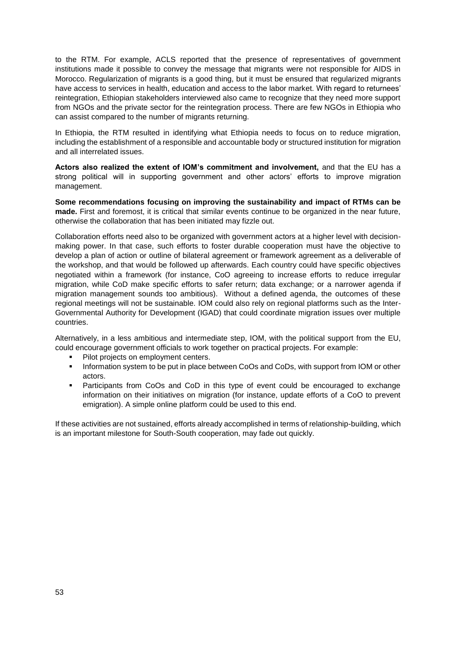to the RTM. For example, ACLS reported that the presence of representatives of government institutions made it possible to convey the message that migrants were not responsible for AIDS in Morocco. Regularization of migrants is a good thing, but it must be ensured that regularized migrants have access to services in health, education and access to the labor market. With regard to returnees' reintegration, Ethiopian stakeholders interviewed also came to recognize that they need more support from NGOs and the private sector for the reintegration process. There are few NGOs in Ethiopia who can assist compared to the number of migrants returning.

In Ethiopia, the RTM resulted in identifying what Ethiopia needs to focus on to reduce migration, including the establishment of a responsible and accountable body or structured institution for migration and all interrelated issues.

**Actors also realized the extent of IOM's commitment and involvement,** and that the EU has a strong political will in supporting government and other actors' efforts to improve migration management.

**Some recommendations focusing on improving the sustainability and impact of RTMs can be made.** First and foremost, it is critical that similar events continue to be organized in the near future, otherwise the collaboration that has been initiated may fizzle out.

Collaboration efforts need also to be organized with government actors at a higher level with decisionmaking power. In that case, such efforts to foster durable cooperation must have the objective to develop a plan of action or outline of bilateral agreement or framework agreement as a deliverable of the workshop, and that would be followed up afterwards. Each country could have specific objectives negotiated within a framework (for instance, CoO agreeing to increase efforts to reduce irregular migration, while CoD make specific efforts to safer return; data exchange; or a narrower agenda if migration management sounds too ambitious). Without a defined agenda, the outcomes of these regional meetings will not be sustainable. IOM could also rely on regional platforms such as the Inter-Governmental Authority for Development (IGAD) that could coordinate migration issues over multiple countries.

Alternatively, in a less ambitious and intermediate step, IOM, with the political support from the EU, could encourage government officials to work together on practical projects. For example:

- Pilot projects on employment centers.
- **.** Information system to be put in place between CoOs and CoDs, with support from IOM or other actors.
- Participants from CoOs and CoD in this type of event could be encouraged to exchange information on their initiatives on migration (for instance, update efforts of a CoO to prevent emigration). A simple online platform could be used to this end.

If these activities are not sustained, efforts already accomplished in terms of relationship-building, which is an important milestone for South-South cooperation, may fade out quickly.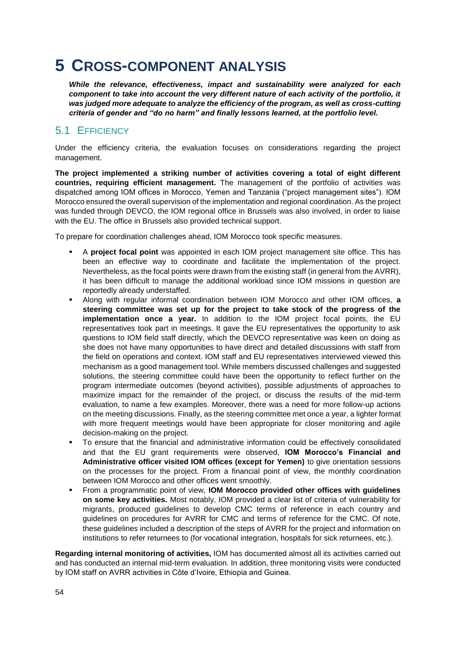## <span id="page-53-0"></span>**5 CROSS-COMPONENT ANALYSIS**

*While the relevance, effectiveness, impact and sustainability were analyzed for each component to take into account the very different nature of each activity of the portfolio, it was judged more adequate to analyze the efficiency of the program, as well as cross-cutting criteria of gender and "do no harm" and finally lessons learned, at the portfolio level.*

### <span id="page-53-1"></span>5.1 EFFICIENCY

Under the efficiency criteria, the evaluation focuses on considerations regarding the project management.

**The project implemented a striking number of activities covering a total of eight different countries, requiring efficient management.** The management of the portfolio of activities was dispatched among IOM offices in Morocco, Yemen and Tanzania ("project management sites"). IOM Morocco ensured the overall supervision of the implementation and regional coordination. As the project was funded through DEVCO, the IOM regional office in Brussels was also involved, in order to liaise with the EU. The office in Brussels also provided technical support.

To prepare for coordination challenges ahead, IOM Morocco took specific measures.

- A **project focal point** was appointed in each IOM project management site office. This has been an effective way to coordinate and facilitate the implementation of the project. Nevertheless, as the focal points were drawn from the existing staff (in general from the AVRR), it has been difficult to manage the additional workload since IOM missions in question are reportedly already understaffed.
- Along with regular informal coordination between IOM Morocco and other IOM offices, **a steering committee was set up for the project to take stock of the progress of the implementation once a year.** In addition to the IOM project focal points, the EU representatives took part in meetings. It gave the EU representatives the opportunity to ask questions to IOM field staff directly, which the DEVCO representative was keen on doing as she does not have many opportunities to have direct and detailed discussions with staff from the field on operations and context. IOM staff and EU representatives interviewed viewed this mechanism as a good management tool. While members discussed challenges and suggested solutions, the steering committee could have been the opportunity to reflect further on the program intermediate outcomes (beyond activities), possible adjustments of approaches to maximize impact for the remainder of the project, or discuss the results of the mid-term evaluation, to name a few examples. Moreover, there was a need for more follow-up actions on the meeting discussions. Finally, as the steering committee met once a year, a lighter format with more frequent meetings would have been appropriate for closer monitoring and agile decision-making on the project.
- To ensure that the financial and administrative information could be effectively consolidated and that the EU grant requirements were observed, **IOM Morocco's Financial and Administrative officer visited IOM offices (except for Yemen)** to give orientation sessions on the processes for the project. From a financial point of view, the monthly coordination between IOM Morocco and other offices went smoothly.
- From a programmatic point of view, **IOM Morocco provided other offices with guidelines on some key activities.** Most notably, IOM provided a clear list of criteria of vulnerability for migrants, produced guidelines to develop CMC terms of reference in each country and guidelines on procedures for AVRR for CMC and terms of reference for the CMC. Of note, these guidelines included a description of the steps of AVRR for the project and information on institutions to refer returnees to (for vocational integration, hospitals for sick returnees, etc.).

**Regarding internal monitoring of activities,** IOM has documented almost all its activities carried out and has conducted an internal mid-term evaluation. In addition, three monitoring visits were conducted by IOM staff on AVRR activities in Côte d'Ivoire, Ethiopia and Guinea.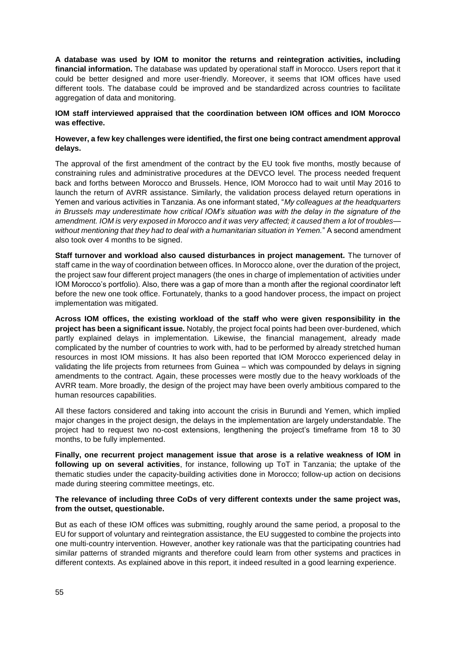**A database was used by IOM to monitor the returns and reintegration activities, including financial information.** The database was updated by operational staff in Morocco. Users report that it could be better designed and more user-friendly. Moreover, it seems that IOM offices have used different tools. The database could be improved and be standardized across countries to facilitate aggregation of data and monitoring.

#### **IOM staff interviewed appraised that the coordination between IOM offices and IOM Morocco was effective.**

#### **However, a few key challenges were identified, the first one being contract amendment approval delays.**

The approval of the first amendment of the contract by the EU took five months, mostly because of constraining rules and administrative procedures at the DEVCO level. The process needed frequent back and forths between Morocco and Brussels. Hence, IOM Morocco had to wait until May 2016 to launch the return of AVRR assistance. Similarly, the validation process delayed return operations in Yemen and various activities in Tanzania. As one informant stated, "*My colleagues at the headquarters in Brussels may underestimate how critical IOM's situation was with the delay in the signature of the amendment. IOM is very exposed in Morocco and it was very affected; it caused them a lot of troubles without mentioning that they had to deal with a humanitarian situation in Yemen.*" A second amendment also took over 4 months to be signed.

**Staff turnover and workload also caused disturbances in project management.** The turnover of staff came in the way of coordination between offices. In Morocco alone, over the duration of the project, the project saw four different project managers (the ones in charge of implementation of activities under IOM Morocco's portfolio). Also, there was a gap of more than a month after the regional coordinator left before the new one took office. Fortunately, thanks to a good handover process, the impact on project implementation was mitigated.

**Across IOM offices, the existing workload of the staff who were given responsibility in the project has been a significant issue.** Notably, the project focal points had been over-burdened, which partly explained delays in implementation. Likewise, the financial management, already made complicated by the number of countries to work with, had to be performed by already stretched human resources in most IOM missions. It has also been reported that IOM Morocco experienced delay in validating the life projects from returnees from Guinea – which was compounded by delays in signing amendments to the contract. Again, these processes were mostly due to the heavy workloads of the AVRR team. More broadly, the design of the project may have been overly ambitious compared to the human resources capabilities.

All these factors considered and taking into account the crisis in Burundi and Yemen, which implied major changes in the project design, the delays in the implementation are largely understandable. The project had to request two no-cost extensions, lengthening the project's timeframe from 18 to 30 months, to be fully implemented.

**Finally, one recurrent project management issue that arose is a relative weakness of IOM in following up on several activities**, for instance, following up ToT in Tanzania; the uptake of the thematic studies under the capacity-building activities done in Morocco; follow-up action on decisions made during steering committee meetings, etc.

#### **The relevance of including three CoDs of very different contexts under the same project was, from the outset, questionable.**

But as each of these IOM offices was submitting, roughly around the same period, a proposal to the EU for support of voluntary and reintegration assistance, the EU suggested to combine the projects into one multi-country intervention. However, another key rationale was that the participating countries had similar patterns of stranded migrants and therefore could learn from other systems and practices in different contexts. As explained above in this report, it indeed resulted in a good learning experience.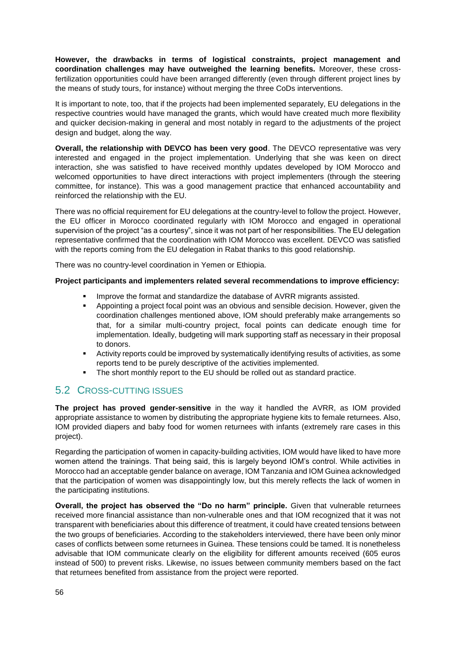**However, the drawbacks in terms of logistical constraints, project management and coordination challenges may have outweighed the learning benefits.** Moreover, these crossfertilization opportunities could have been arranged differently (even through different project lines by the means of study tours, for instance) without merging the three CoDs interventions.

It is important to note, too, that if the projects had been implemented separately, EU delegations in the respective countries would have managed the grants, which would have created much more flexibility and quicker decision-making in general and most notably in regard to the adjustments of the project design and budget, along the way.

**Overall, the relationship with DEVCO has been very good**. The DEVCO representative was very interested and engaged in the project implementation. Underlying that she was keen on direct interaction, she was satisfied to have received monthly updates developed by IOM Morocco and welcomed opportunities to have direct interactions with project implementers (through the steering committee, for instance). This was a good management practice that enhanced accountability and reinforced the relationship with the EU.

There was no official requirement for EU delegations at the country-level to follow the project. However, the EU officer in Morocco coordinated regularly with IOM Morocco and engaged in operational supervision of the project "as a courtesy", since it was not part of her responsibilities. The EU delegation representative confirmed that the coordination with IOM Morocco was excellent. DEVCO was satisfied with the reports coming from the EU delegation in Rabat thanks to this good relationship.

There was no country-level coordination in Yemen or Ethiopia.

#### **Project participants and implementers related several recommendations to improve efficiency:**

- Improve the format and standardize the database of AVRR migrants assisted.
- Appointing a project focal point was an obvious and sensible decision. However, given the coordination challenges mentioned above, IOM should preferably make arrangements so that, for a similar multi-country project, focal points can dedicate enough time for implementation. Ideally, budgeting will mark supporting staff as necessary in their proposal to donors.
- Activity reports could be improved by systematically identifying results of activities, as some reports tend to be purely descriptive of the activities implemented.
- The short monthly report to the EU should be rolled out as standard practice.

### <span id="page-55-0"></span>5.2 CROSS-CUTTING ISSUES

**The project has proved gender-sensitive** in the way it handled the AVRR, as IOM provided appropriate assistance to women by distributing the appropriate hygiene kits to female returnees. Also, IOM provided diapers and baby food for women returnees with infants (extremely rare cases in this project).

Regarding the participation of women in capacity-building activities, IOM would have liked to have more women attend the trainings. That being said, this is largely beyond IOM's control. While activities in Morocco had an acceptable gender balance on average, IOM Tanzania and IOM Guinea acknowledged that the participation of women was disappointingly low, but this merely reflects the lack of women in the participating institutions.

**Overall, the project has observed the "Do no harm" principle.** Given that vulnerable returnees received more financial assistance than non-vulnerable ones and that IOM recognized that it was not transparent with beneficiaries about this difference of treatment, it could have created tensions between the two groups of beneficiaries. According to the stakeholders interviewed, there have been only minor cases of conflicts between some returnees in Guinea. These tensions could be tamed. It is nonetheless advisable that IOM communicate clearly on the eligibility for different amounts received (605 euros instead of 500) to prevent risks. Likewise, no issues between community members based on the fact that returnees benefited from assistance from the project were reported.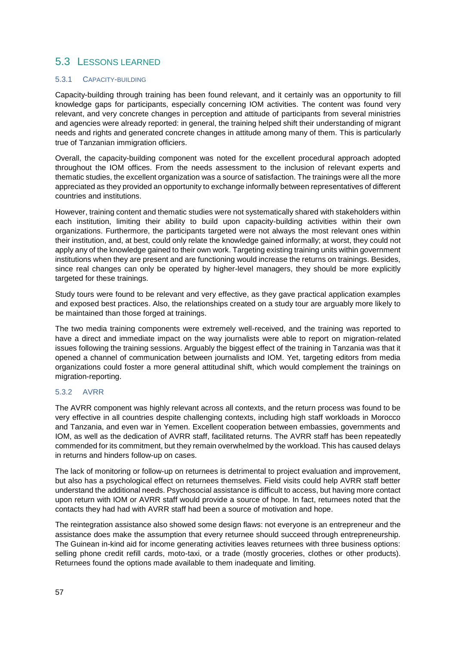### <span id="page-56-0"></span>5.3 LESSONS LEARNED

#### 5.3.1 CAPACITY-BUILDING

Capacity-building through training has been found relevant, and it certainly was an opportunity to fill knowledge gaps for participants, especially concerning IOM activities. The content was found very relevant, and very concrete changes in perception and attitude of participants from several ministries and agencies were already reported: in general, the training helped shift their understanding of migrant needs and rights and generated concrete changes in attitude among many of them. This is particularly true of Tanzanian immigration officiers.

Overall, the capacity-building component was noted for the excellent procedural approach adopted throughout the IOM offices. From the needs assessment to the inclusion of relevant experts and thematic studies, the excellent organization was a source of satisfaction. The trainings were all the more appreciated as they provided an opportunity to exchange informally between representatives of different countries and institutions.

However, training content and thematic studies were not systematically shared with stakeholders within each institution, limiting their ability to build upon capacity-building activities within their own organizations. Furthermore, the participants targeted were not always the most relevant ones within their institution, and, at best, could only relate the knowledge gained informally; at worst, they could not apply any of the knowledge gained to their own work. Targeting existing training units within government institutions when they are present and are functioning would increase the returns on trainings. Besides, since real changes can only be operated by higher-level managers, they should be more explicitly targeted for these trainings.

Study tours were found to be relevant and very effective, as they gave practical application examples and exposed best practices. Also, the relationships created on a study tour are arguably more likely to be maintained than those forged at trainings.

The two media training components were extremely well-received, and the training was reported to have a direct and immediate impact on the way journalists were able to report on migration-related issues following the training sessions. Arguably the biggest effect of the training in Tanzania was that it opened a channel of communication between journalists and IOM. Yet, targeting editors from media organizations could foster a more general attitudinal shift, which would complement the trainings on migration-reporting.

### 5.3.2 AVRR

The AVRR component was highly relevant across all contexts, and the return process was found to be very effective in all countries despite challenging contexts, including high staff workloads in Morocco and Tanzania, and even war in Yemen. Excellent cooperation between embassies, governments and IOM, as well as the dedication of AVRR staff, facilitated returns. The AVRR staff has been repeatedly commended for its commitment, but they remain overwhelmed by the workload. This has caused delays in returns and hinders follow-up on cases.

The lack of monitoring or follow-up on returnees is detrimental to project evaluation and improvement, but also has a psychological effect on returnees themselves. Field visits could help AVRR staff better understand the additional needs. Psychosocial assistance is difficult to access, but having more contact upon return with IOM or AVRR staff would provide a source of hope. In fact, returnees noted that the contacts they had had with AVRR staff had been a source of motivation and hope.

The reintegration assistance also showed some design flaws: not everyone is an entrepreneur and the assistance does make the assumption that every returnee should succeed through entrepreneurship. The Guinean in-kind aid for income generating activities leaves returnees with three business options: selling phone credit refill cards, moto-taxi, or a trade (mostly groceries, clothes or other products). Returnees found the options made available to them inadequate and limiting.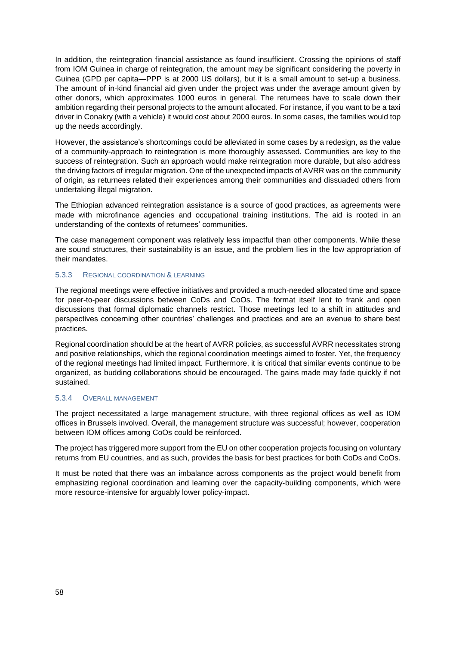In addition, the reintegration financial assistance as found insufficient. Crossing the opinions of staff from IOM Guinea in charge of reintegration, the amount may be significant considering the poverty in Guinea (GPD per capita—PPP is at 2000 US dollars), but it is a small amount to set-up a business. The amount of in-kind financial aid given under the project was under the average amount given by other donors, which approximates 1000 euros in general. The returnees have to scale down their ambition regarding their personal projects to the amount allocated. For instance, if you want to be a taxi driver in Conakry (with a vehicle) it would cost about 2000 euros. In some cases, the families would top up the needs accordingly.

However, the assistance's shortcomings could be alleviated in some cases by a redesign, as the value of a community-approach to reintegration is more thoroughly assessed. Communities are key to the success of reintegration. Such an approach would make reintegration more durable, but also address the driving factors of irregular migration. One of the unexpected impacts of AVRR was on the community of origin, as returnees related their experiences among their communities and dissuaded others from undertaking illegal migration.

The Ethiopian advanced reintegration assistance is a source of good practices, as agreements were made with microfinance agencies and occupational training institutions. The aid is rooted in an understanding of the contexts of returnees' communities.

The case management component was relatively less impactful than other components. While these are sound structures, their sustainability is an issue, and the problem lies in the low appropriation of their mandates.

#### 5.3.3 REGIONAL COORDINATION & LEARNING

The regional meetings were effective initiatives and provided a much-needed allocated time and space for peer-to-peer discussions between CoDs and CoOs. The format itself lent to frank and open discussions that formal diplomatic channels restrict. Those meetings led to a shift in attitudes and perspectives concerning other countries' challenges and practices and are an avenue to share best practices.

Regional coordination should be at the heart of AVRR policies, as successful AVRR necessitates strong and positive relationships, which the regional coordination meetings aimed to foster. Yet, the frequency of the regional meetings had limited impact. Furthermore, it is critical that similar events continue to be organized, as budding collaborations should be encouraged. The gains made may fade quickly if not sustained.

#### 5.3.4 OVERALL MANAGEMENT

The project necessitated a large management structure, with three regional offices as well as IOM offices in Brussels involved. Overall, the management structure was successful; however, cooperation between IOM offices among CoOs could be reinforced.

The project has triggered more support from the EU on other cooperation projects focusing on voluntary returns from EU countries, and as such, provides the basis for best practices for both CoDs and CoOs.

It must be noted that there was an imbalance across components as the project would benefit from emphasizing regional coordination and learning over the capacity-building components, which were more resource-intensive for arguably lower policy-impact.